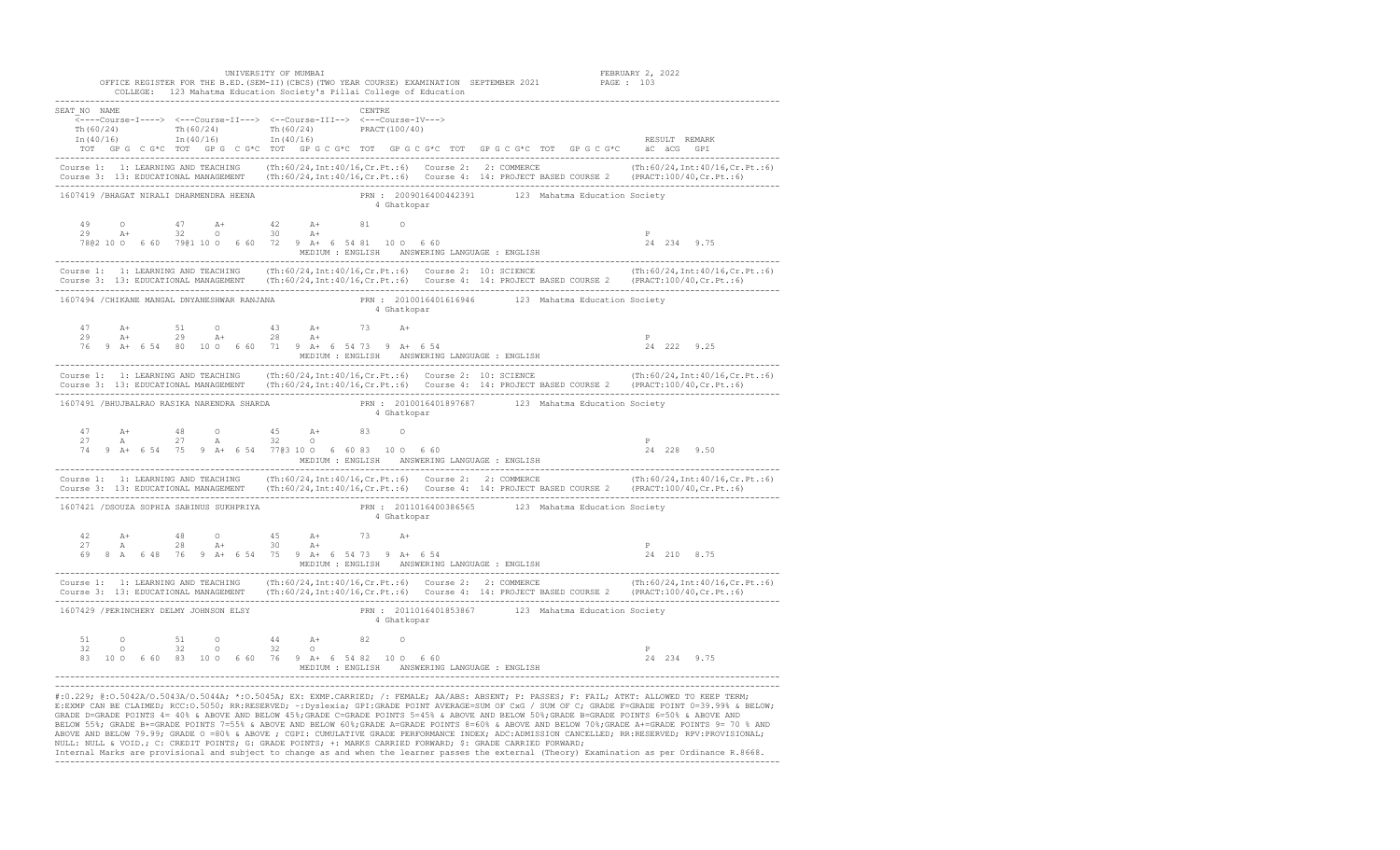|                                                                                                                                 | OFFICE REGISTER FOR THE B.ED. (SEM-II) (CBCS) (TWO YEAR COURSE) EXAMINATION SEPTEMBER 2021 PAGE : 103<br>COLLEGE: 123 Mahatma Education Society's Pillai College of Education                                                                                      |                             |
|---------------------------------------------------------------------------------------------------------------------------------|--------------------------------------------------------------------------------------------------------------------------------------------------------------------------------------------------------------------------------------------------------------------|-----------------------------|
| SEAT NO NAME<br><----Course-I----> <---Course-II---> <--Course-III--> <---Course-IV--->                                         | CENTRE<br>TOT GPG C G*C TOT GPG C G*C TOT GPG C G*C TOT GPG C G*C TOT GPG C G*C TOT GPG C G*C aC aCG GPI                                                                                                                                                           | RESULT REMARK               |
|                                                                                                                                 | Course 1: 1: LEARNING AND TEACHING (Th:60/24, Int:40/16, Cr. Pt.:6) Course 2: 2: COMMERCE (Th:60/24, Int:40/16, Cr. Pt.:6)<br>Course 3: 13: EDUCATIONAL MANAGEMENT (Th:60/24, Int:40/16, Cr. Pt.:6) Course 4: 14: PROJECT BASED COURSE 2 (PRACT:100/40, Cr. Pt.:6) |                             |
| 1607419 / BHAGAT NIRALI DHARMENDRA HEENA                                                                                        | PRN : 2009016400442391 123 Mahatma Education Society<br>4 Ghatkopar                                                                                                                                                                                                |                             |
| 49<br>$\circ$<br>$47$ $A+$<br>$29$ $A+$<br>32 0                                                                                 | 42 A+ 81 0<br>$30 \overline{A}$ +                                                                                                                                                                                                                                  | $_{\rm P}$                  |
|                                                                                                                                 | Course 1: 1: LEARNING AND TEACHING (Th:60/24,Int:40/16,Cr.Pt.:6) Course 2: 10: SCIENCE (Th:60/24,Int:40/16,Cr.Pt.:6)<br>Course 3: 13: EDUCATIONAL MANAGEMENT (Th:60/24,Int:40/16,Cr.Pt.:6) Course 4: 14: PROJECT BASED COURSE 2 (                                  |                             |
| 1607494 / CHIKANE MANGAL DNYANESHWAR RANJANA                                                                                    | PRN : 2010016401616946 123 Mahatma Education Society<br>4 Ghatkopar                                                                                                                                                                                                |                             |
| 47<br>A+ 29 A+<br>29<br>76 9 A+ 6 54 80 10 0 6 60 71 9 A+ 6 54 73 9 A+ 6 54                                                     | $A+$ 51 0 43 $A+$ 73 $A+$<br>28 A+                                                                                                                                                                                                                                 | P<br>24 222 9.25            |
|                                                                                                                                 | Course 1: 1: LEARNING AND TEACHING (Th:60/24,Int:40/16,Cr.Pt.:6) Course 2: 10: SCIENCE (Th:60/24,Int:40/16,Cr.Pt.:6)<br>Course 3: 13: EDUCATIONAL MANAGEMENT (Th:60/24,Int:40/16,Cr.Pt.:6) Course 4: 14: PROJECT BASED COURSE 2 (                                  |                             |
|                                                                                                                                 | 1607491 /BHUJBALRAO RASIKA NARENDRA SHARDA PRN: 2010016401897687 123 Mahatma Education Society<br>4 Ghatkopar                                                                                                                                                      |                             |
| 48 0 45 A+<br>47<br>$A+$<br>27<br>27 A<br>A<br>74 9 A+ 6 54 75 9 A+ 6 54 7703 10 0 6 60 83 10 0 6 60                            | 83<br>$\overline{\phantom{0}}$<br>32 0                                                                                                                                                                                                                             | P<br>24 228 9.50            |
|                                                                                                                                 | Course 1: 1: LEARNING AND TEACHING (Th:60/24,Int:40/16,Cr.Pt.:6) Course 2: 2: COMMERCE (Th:60/24,Int:40/16,Cr.Pt.:6)<br>Course 3: 13: EDUCATIONAL MANAGEMENT (Th:60/24,Int:40/16,Cr.Pt.:6) Course 4: 14: PROJECT BASED COURSE 2 (                                  |                             |
| 1607421 /DSOUZA SOPHIA SABINUS SUKHPRIYA                                                                                        | PRN : 2011016400386565 123 Mahatma Education Society<br>4 Ghatkopar                                                                                                                                                                                                |                             |
| 42 A+<br>27<br>A                                                                                                                | $18$ 0 $45$ $A+$ 73 $A+$<br>28 $A+$ 30 $A+$<br>69 8 A 6 48 76 9 A+ 6 54 75 9 A+ 6 54 73 9 A+ 6 54                                                                                                                                                                  | $\mathbb{P}$<br>24 210 8.75 |
|                                                                                                                                 | Course 1: 1: LEARNING AND TEACHING (Th:60/24,Int:40/16,Cr.Pt.:6) Course 2: 2: COMMERCE (Th:60/24,Int:40/16,Cr.Pt.:6)<br>Course 3: 13: EDUCATIONAL MANAGEMENT (Th:60/24,Int:40/16,Cr.Pt.:6) Course 4: 14: PROJECT BASED COURSE 2 (                                  |                             |
| 1607429 /PERINCHERY DELMY JOHNSON ELSY                                                                                          | PRN: 2011016401853867 123 Mahatma Education Society<br>4 Ghatkopar                                                                                                                                                                                                 |                             |
| 51<br>$\Omega$<br>51<br>$\circ$<br>32<br>$32 \qquad \qquad 0$<br>$\circ$<br>83 10 0 6 60 83 10 0 6 60 76 9 A+ 6 54 82 10 0 6 60 | 44 A+ 82<br>$\circ$<br>$32$ 0<br>MEDIUM : ENGLISH ANSWERING LANGUAGE : ENGLISH                                                                                                                                                                                     | $\, {\bf P}$<br>24 234 9.75 |

#:0.229; @:O.5042A/O.5043A/O.5044A; \*:O.5045A; EX: EXMP.CARRIED; /: FEMALE; AA/ABS: ABSENT; P: PASSES; F: FAIL; ATKT: ALLOWED TO KEEP TERM; E:EXMP CAN BE CLAIMED; RCC:O.5050; RR:RESERVED; ~:Dyslexia; GPI:GRADE POINT AVERAGE=SUM OF CxG / SUM OF C; GRADE F=GRADE POINT 0=39.99% & BELOW; GRADE D=GRADE POINTS 4= 40% & ABOVE AND BELOW 45%;GRADE C=GRADE POINTS 5=45% & ABOVE AND BELOW 50%;GRADE B=GRADE POINTS 6=50% & ABOVE AND<br>BELOW 55%; GRADE B+=GRADE POINTS 7=55% & ABOVE AND BELOW 60%;GRADE A=GRADE POINTS 8= ABOVE AND BELOW 79.99; GRADE O =80% & ABOVE ; CGPI: CUMULATIVE GRADE PERFORMANCE INDEX; ADC:ADMISSION CANCELLED; RR:RESERVED; RPV:PROVISIONAL; NULL: NULL & VOID.; C: CREDIT POINTS; G: GRADE POINTS; +: MARKS CARRIED FORWARD; \$: GRADE CARRIED FORWARD;

-------------------------------------------------------------------------------------------------------------------------------------------------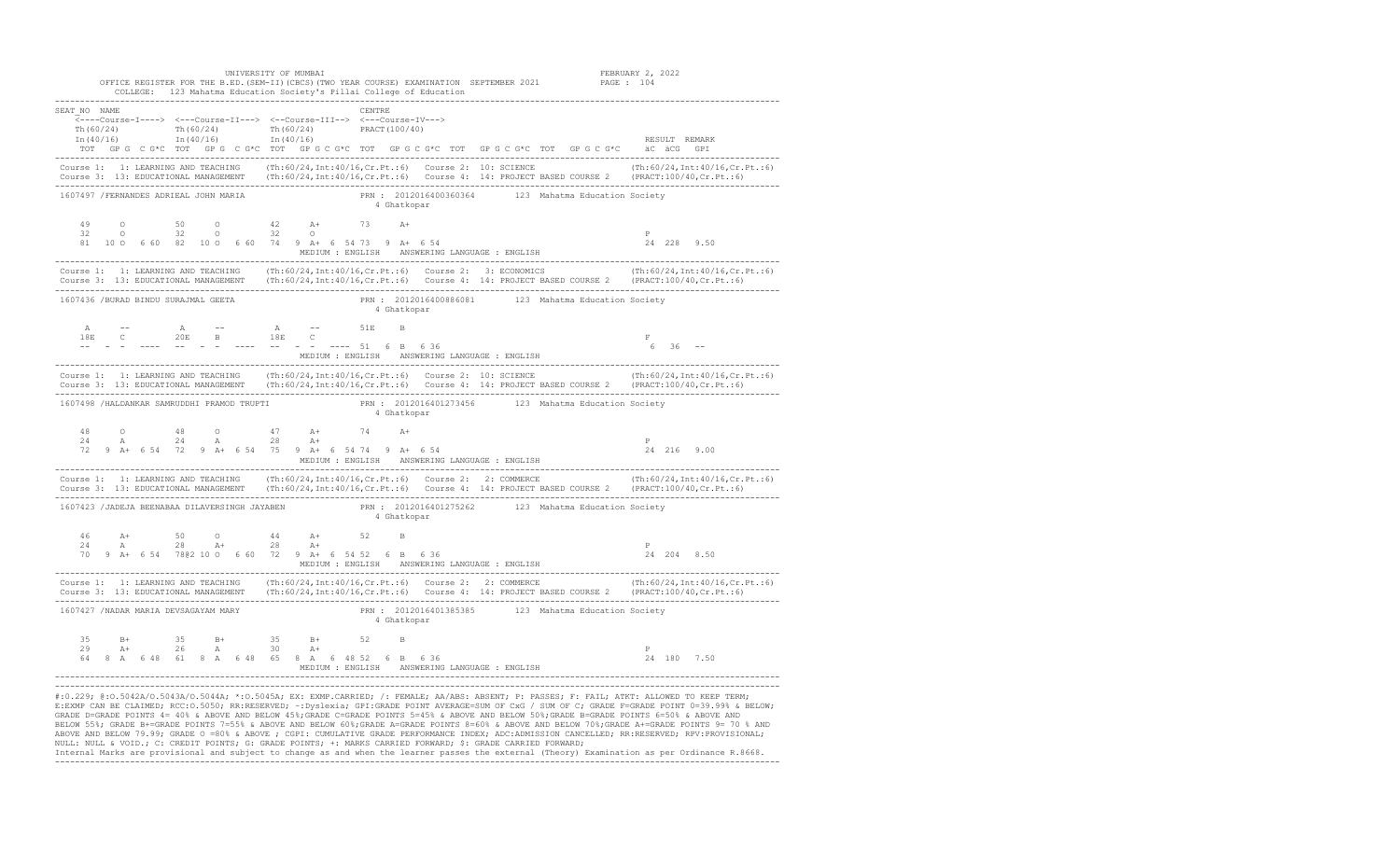|                                                                                                                                                                                                   | UNIVERSITY OF MUMBAI<br>OFFICE REGISTER FOR THE B.ED. (SEM-II) (CBCS) (TWO YEAR COURSE) EXAMINATION SEPTEMBER 2021<br>COLLEGE: 123 Mahatma Education Society's Pillai College of Education                                        | FEBRUARY 2, 2022<br>PAGE : 104 |
|---------------------------------------------------------------------------------------------------------------------------------------------------------------------------------------------------|-----------------------------------------------------------------------------------------------------------------------------------------------------------------------------------------------------------------------------------|--------------------------------|
| SEAT NO NAME<br><----Course-I----> <---Course-II---> <--Course-III--> <---Course-IV--->                                                                                                           | CENTRE<br>TOT GPG CG*C TOT GPG CG*C TOT GPG CG*C TOT GPG CG*C TOT GPG CG*C TOT GPG CG*C äC äCG GPI                                                                                                                                | RESULT REMARK                  |
|                                                                                                                                                                                                   | Course 1: 1: LEARNING AND TEACHING (Th:60/24,Int:40/16,Cr.Pt.:6) Course 2: 10: SCIENCE (Th:60/24,Int:40/16,Cr.Pt.:6)<br>Course 3: 13: EDUCATIONAL MANAGEMENT (Th:60/24,Int:40/16,Cr.Pt.:6) Course 4: 14: PROJECT BASED COURSE 2 ( |                                |
| 1607497 /FERNANDES ADRIEAL JOHN MARIA                                                                                                                                                             | PRN : 2012016400360364 123 Mahatma Education Society<br>4 Ghatkopar                                                                                                                                                               |                                |
| $\begin{array}{cccccccccccc} 49 & & {\bf 0} & & & 50 & & {\bf 0} & & & 42 & {\bf A} + & & 73 & {\bf A} + & & & & \\ 32 & & {\bf 0} & & & 32 & & {\bf 0} & & & 32 & & {\bf 0} & & & & \end{array}$ | 81  10  0  6  60  82  10  0  6  60  74  9  A +  6  54  73  9  A +  6  54                                                                                                                                                          | $_{\rm P}$<br>24 228 9.50      |
|                                                                                                                                                                                                   | Course 1: 1: LEARNING AND TEACHING (Th:60/24,Int:40/16,Cr.Pt.:6) Course 2: 3: ECONOMICS (Th:60/24,Int:40/16,Cr.Pt.:6)<br>Course 3: 13: EDUCATIONAL MANAGEMENT (Th:60/24,Int:40/16,Cr.Pt.:6) Course 4: 14: PROJECT BASED COURSE 2  |                                |
| ----------<br>1607436 /BURAD BINDU SURAJMAL GEETA                                                                                                                                                 | PRN: 2012016400886081 123 Mahatma Education Society<br>4 Ghatkopar                                                                                                                                                                |                                |
| A<br>$\mathbb{A}$<br>20E B 18E C<br>18E<br>$\mathbb{C}$ and $\mathbb{C}$<br>and the same of the same                                                                                              | $A = 51E$<br>$\mathbf{B}$<br>$--- 51 6 B 6 36$<br>MEDIUM : ENGLISH ANSWERING LANGUAGE : ENGLISH                                                                                                                                   | $\mathbf F$<br>6 36            |
|                                                                                                                                                                                                   | Course 1: 1: LEARNING AND TEACHING (Th:60/24,Int:40/16,Cr.Pt.:6) Course 2: 10: SCIENCE (Th:60/24,Int:40/16,Cr.Pt.:6)<br>Course 3: 13: EDUCATIONAL MANAGEMENT (Th:60/24,Int:40/16,Cr.Pt.:6) Course 4: 14: PROJECT BASED COURSE 2 ( |                                |
| 1607498 /HALDANKAR SAMRUDDHI PRAMOD TRUPTI                                                                                                                                                        | PRN: 2012016401273456 123 Mahatma Education Society<br>4 Ghatkopar                                                                                                                                                                |                                |
| 48<br>$\begin{array}{ccccccccc}\n\circ & & & & & 48 & & & \circ \\ \circ & & & & & 24 & & & \circ \\ \end{array}$<br>24                                                                           | 47 $A+$ 74<br>28 $A+$<br>$A+$<br>$72$ 9 A + 6 54 72 9 A + 6 54 75 9 A + 6 54 74 9 A + 6 54                                                                                                                                        | $\mathbb{P}$<br>24 216 9.00    |
|                                                                                                                                                                                                   | Course 1: 1: LEARNING AND TEACHING (Th:60/24,Int:40/16,Cr.Pt.:6) Course 2: 2: COMMERCE (Th:60/24,Int:40/16,Cr.Pt.:6)<br>Course 3: 13: EDUCATIONAL MANAGEMENT (Th:60/24,Int:40/16,Cr.Pt.:6) Course 4: 14: PROJECT BASED COURSE 2 ( |                                |
|                                                                                                                                                                                                   | 1607423 /JADEJA BEENABAA DILAVERSINGH JAYABEN PRN : 2012016401275262 123 Mahatma Education Society<br>4 Ghatkopar                                                                                                                 |                                |
| 46<br>$A+$<br>$24$ A $28$ A+ $28$ A+                                                                                                                                                              | $50$ 0 44 A+ 52 B<br>70 9 A+ 6 54 7802 10 0 6 60 72 9 A+ 6 54 52 6 B 6 36                                                                                                                                                         | $_{\rm P}$<br>24 204 8.50      |
|                                                                                                                                                                                                   | Course 1: 1: LEARNING AND TEACHING (Th:60/24, Int:40/16, Cr.Pt.:6) Course 2: 2: COMMERCE (Th:60/24, Int:40/16, Cr.Pt.:6)<br>Course 3: 13: EDUCATIONAL MANAGEMENT (Th:60/24, Int:40/16, Cr.Pt.:6) Course 4: 14: PROJECT BASED COU  |                                |
| 1607427 /NADAR MARIA DEVSAGAYAM MARY                                                                                                                                                              | PRN: 2012016401385385 123 Mahatma Education Society<br>4 Ghatkopar                                                                                                                                                                |                                |
| 35<br>$35 \t\t B+$<br>$B+$<br>$2\,6$ $\hbox{A}$ $\hbox{30}$ $\hbox{A+}$<br>29<br>$A+$                                                                                                             | $35$ B+<br>52<br>B<br>64 8 A 6 48 61 8 A 6 48 65 8 A 6 48 52 6 B 6 36<br>MEDIUM : ENGLISH ANSWERING LANGUAGE : ENGLISH                                                                                                            | $_{\rm P}$<br>24 180 7.50      |

#:0.229; @:O.5042A/O.5043A/O.5044A; \*:O.5045A; EX: EXMP.CARRIED; /: FEMALE; AA/ABS: ABSENT; P: PASSES; F: FAIL; ATKT: ALLOWED TO KEEP TERM; E:EXMP CAN BE CLAIMED; RCC:O.5050; RR:RESERVED; ~:Dyslexia; GPI:GRADE POINT AVERAGE=SUM OF CxG / SUM OF C; GRADE F=GRADE POINT 0=39.99% & BELOW; GRADE D=GRADE POINTS 4= 40% & ABOVE AND BELOW 45%;GRADE C=GRADE POINTS 5=45% & ABOVE AND BELOW 50%;GRADE B=GRADE POINTS 6=50% & ABOVE AND<br>BELOW 55%; GRADE B+=GRADE POINTS 7=55% & ABOVE AND BELOW 60%;GRADE A=GRADE POINTS 8= ABOVE AND BELOW 79.99; GRADE O =80% & ABOVE ; CGPI: CUMULATIVE GRADE PERFORMANCE INDEX; ADC:ADMISSION CANCELLED; RR:RESERVED; RPV:PROVISIONAL; NULL: NULL & VOID.; C: CREDIT POINTS; G: GRADE POINTS; +: MARKS CARRIED FORWARD; \$: GRADE CARRIED FORWARD;

-------------------------------------------------------------------------------------------------------------------------------------------------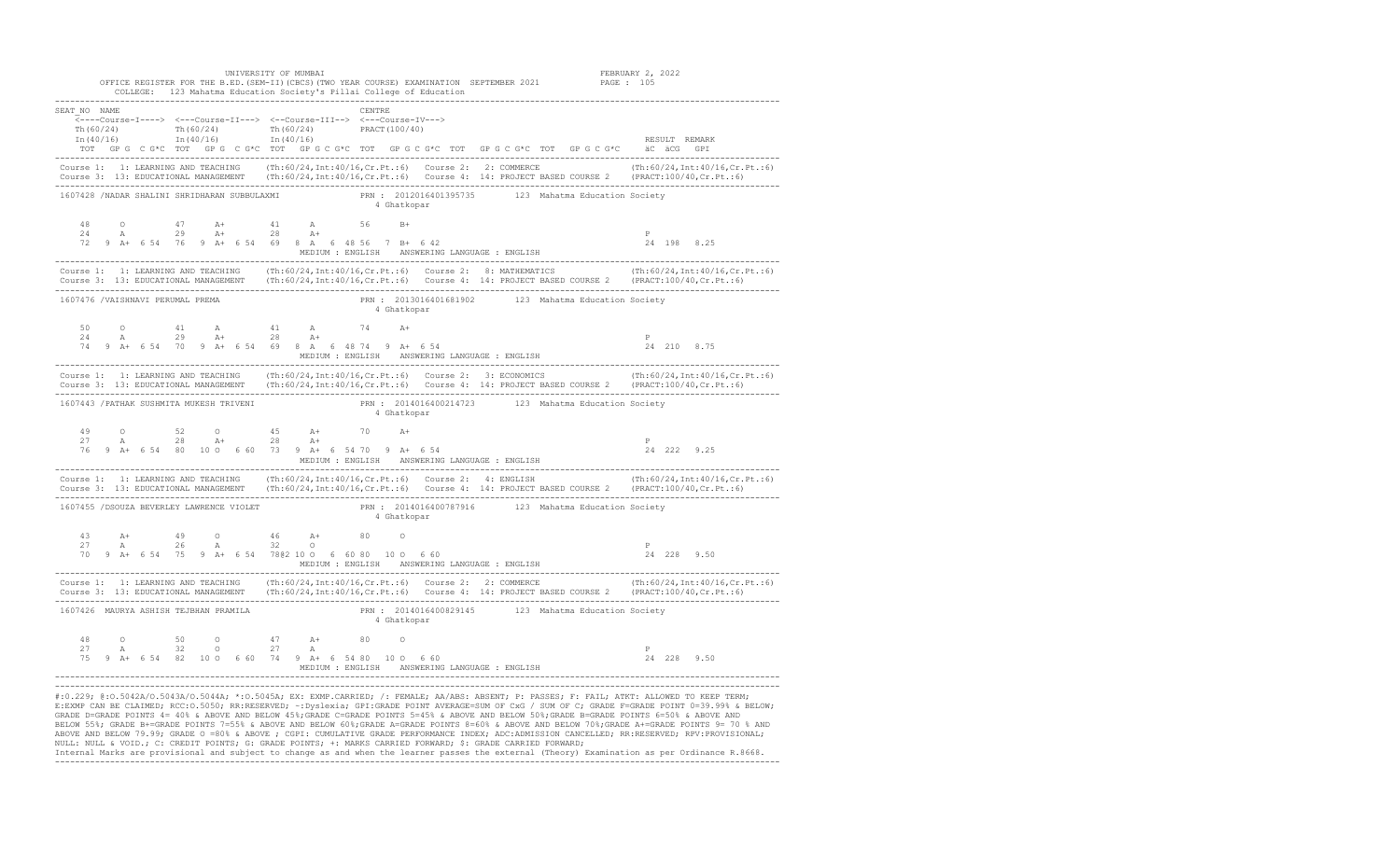|                                                                                                                                                                                                                                                                                                                  | OFFICE REGISTER FOR THE B.ED. (SEM-II) (CBCS) (TWO YEAR COURSE) EXAMINATION SEPTEMBER 2021 PAGE : 105<br>COLLEGE: 123 Mahatma Education Society's Pillai College of Education                                                                                                                                                                                                                                                                                                                                       |                            |
|------------------------------------------------------------------------------------------------------------------------------------------------------------------------------------------------------------------------------------------------------------------------------------------------------------------|---------------------------------------------------------------------------------------------------------------------------------------------------------------------------------------------------------------------------------------------------------------------------------------------------------------------------------------------------------------------------------------------------------------------------------------------------------------------------------------------------------------------|----------------------------|
| SEAT NO NAME<br><----Course-I----> <---Course-II---> <--Course-III--> <---Course-IV---><br>$\begin{tabular}{llll} \hline \mbox{Th (60/24)} & \mbox{Th (60/24)} & \mbox{Th (60/24)} & \mbox{Th (40/16)} \\ \mbox{In (40/16)} & \mbox{In (40/16)} & \mbox{In (40/16)} & \mbox{In (40/16)} \\ \hline \end{tabular}$ | CENTRE<br>TOT GPG C G*C TOT GPG C G*C TOT GPG C G*C TOT GPG C G*C TOT GPG C G*C TOT GPG C G*C aC aCG GPI                                                                                                                                                                                                                                                                                                                                                                                                            | RESULT REMARK              |
|                                                                                                                                                                                                                                                                                                                  | Course 1: 1: LEARNING AND TEACHING (Th:60/24, Int:40/16, Cr. Pt.:6) Course 2: 2: COMMERCE (Th:60/24, Int:40/16, Cr. Pt.:6)<br>Course 3: 13: EDUCATIONAL MANAGEMENT (Th:60/24, Int:40/16, Cr. Pt.:6) Course 4: 14: PROJECT BASED COURSE 2 (PRACT:100/40, Cr. Pt.:6)                                                                                                                                                                                                                                                  |                            |
|                                                                                                                                                                                                                                                                                                                  | 1607428 /NADAR SHALINI SHRIDHARAN SUBBULAXMI PRN : 2012016401395735 123 Mahatma Education Society<br>4 Ghatkopar                                                                                                                                                                                                                                                                                                                                                                                                    |                            |
| $\circ$<br>$47 \qquad A+$<br>48<br>29 A+ 28 A+<br>24<br>$A \sim 1$                                                                                                                                                                                                                                               | 41 A 56<br>$B+$                                                                                                                                                                                                                                                                                                                                                                                                                                                                                                     | $_{\rm P}$<br>24 198 8.25  |
|                                                                                                                                                                                                                                                                                                                  | Course 1: 1: LEARNING AND TEACHING (Th:60/24,Int:40/16,Cr.Pt.:6) Course 2: 8: MATHEMATICS (Th:60/24,Int:40/16,Cr.Pt.:6)<br>Course 3: 13: EDUCATIONAL MANAGEMENT (Th:60/24,Int:40/16,Cr.Pt.:6) Course 4: 14: PROJECT BASED COURSE                                                                                                                                                                                                                                                                                    |                            |
| 1607476 /VAISHNAVI PERUMAL PREMA                                                                                                                                                                                                                                                                                 | PRN : 2013016401681902 123 Mahatma Education Society<br>4 Ghatkopar                                                                                                                                                                                                                                                                                                                                                                                                                                                 |                            |
| $50 -$<br>24<br>$A$ and $A$<br>74 9 A+ 6 54 70 9 A+ 6 54 69 8 A 6 48 74 9 A+ 6 54                                                                                                                                                                                                                                | $\begin{tabular}{cccccccccc} O & & & 41 & & A & & 41 & & A & & 74 & & A+ \\ A & & & 29 & & A+ & & 28 & & A+ & & \end{tabular}$                                                                                                                                                                                                                                                                                                                                                                                      | P<br>24 210 8.75           |
|                                                                                                                                                                                                                                                                                                                  | Course 1: 1: LEARNING AND TEACHING (Th:60/24,Int:40/16,Cr.Pt.:6) Course 2: 3: ECONOMICS (Th:60/24,Int:40/16,Cr.Pt.:6)<br>Course 3: 13: EDUCATIONAL MANAGEMENT (Th:60/24,Int:40/16,Cr.Pt.:6) Course 4: 14: PROJECT BASED COURSE 2                                                                                                                                                                                                                                                                                    |                            |
| 1607443 / PATHAK SUSHMITA MUKESH TRIVENI                                                                                                                                                                                                                                                                         | PRN: 2014016400214723 123 Mahatma Education Society<br>4 Ghatkopar                                                                                                                                                                                                                                                                                                                                                                                                                                                  |                            |
| $\overline{O}$<br>49<br>$\circ$<br>52<br>$28$ $A+$<br>27<br>$A \sim$<br>76 9 A+ 6 54 80 10 0 6 60 73 9 A+ 6 54 70 9 A+ 6 54                                                                                                                                                                                      | $45$ $A+$<br>70 A+<br>$28$ $A+$<br>$\frac{1}{2}$ . The contract of the contract of the contract of the contract of the contract of the contract of the contract of the contract of the contract of the contract of the contract of the contract of the contract of t                                                                                                                                                                                                                                                | P<br>24 222 9.25           |
|                                                                                                                                                                                                                                                                                                                  | $\texttt{Course 1: LEARNING AND TERCHING} \hspace{1.5em} \begin{minipage}{0.9\textwidth} \begin{minipage}{0.9\textwidth} \begin{minipage}{0.9\textwidth} \begin{minipage}{0.9\textwidth} \begin{minipage}{0.9\textwidth} \begin{minipage}{0.9\textwidth} \begin{minipage}{0.9\textwidth} \begin{minipage}{0.9\textwidth} \begin{minipage}{0.9\textwidth} \begin{minipage}{0.9\textwidth} \begin{minipage}{0.9\textwidth} \begin{minipage}{0.9\textwidth} \begin{minipage}{0.9\textwidth} \begin{minipage}{0.9\text$ |                            |
| 1607455 /DSOUZA BEVERLEY LAWRENCE VIOLET                                                                                                                                                                                                                                                                         | PRN : 2014016400787916 123 Mahatma Education Society<br>4 Ghatkopar                                                                                                                                                                                                                                                                                                                                                                                                                                                 |                            |
| $4.3 \qquad \qquad \lambda +$<br>$\mathbbm{A}$<br>27                                                                                                                                                                                                                                                             | $\begin{array}{ccccccc} 49 & & \circ & & & 46 & & \text{A+} & & 80 & & \circ \\ 26 & & \text{A} & & & 32 & & \circ & & \end{array}$<br>70 9 A+ 6 54 75 9 A+ 6 54 78@2 10 0 6 60 80 10 0 6 60                                                                                                                                                                                                                                                                                                                        | $_{\rm P}$<br>24 228 9.50  |
|                                                                                                                                                                                                                                                                                                                  | Course 1: 1: LEARNING AND TEACHING (Th:60/24,Int:40/16,Cr.Pt.:6) Course 2: 2: COMMERCE (Th:60/24,Int:40/16,Cr.Pt.:6)<br>Course 3: 13: EDUCATIONAL MANAGEMENT (Th:60/24,Int:40/16,Cr.Pt.:6) Course 4: 14: PROJECT BASED COURSE 2 (                                                                                                                                                                                                                                                                                   |                            |
| 1607426 MAURYA ASHISH TEJBHAN PRAMILA                                                                                                                                                                                                                                                                            | PRN: 2014016400829145 123 Mahatma Education Society<br>4 Ghatkopar                                                                                                                                                                                                                                                                                                                                                                                                                                                  |                            |
| 48<br>$\circ$<br>50<br>$\Omega$<br>27<br>$32$ 0<br>$A \sim 1$<br>75 9 A+ 6 54 82 10 0 6 60 74 9 A+ 6 54 80 10 0 6 60                                                                                                                                                                                             | 47 A+<br>80<br>$\circ$<br>27 A<br>MEDIUM : ENGLISH ANSWERING LANGUAGE : ENGLISH                                                                                                                                                                                                                                                                                                                                                                                                                                     | $\mathbb P$<br>24 228 9.50 |

#:0.229; @:O.5042A/O.5043A/O.5044A; \*:O.5045A; EX: EXMP.CARRIED; /: FEMALE; AA/ABS: ABSENT; P: PASSES; F: FAIL; ATKT: ALLOWED TO KEEP TERM; E:EXMP CAN BE CLAIMED; RCC:O.5050; RR:RESERVED; ~:Dyslexia; GPI:GRADE POINT AVERAGE=SUM OF CxG / SUM OF C; GRADE F=GRADE POINT 0=39.99% & BELOW; GRADE D=GRADE POINTS 4= 40% & ABOVE AND BELOW 45%;GRADE C=GRADE POINTS 5=45% & ABOVE AND BELOW 50%;GRADE B=GRADE POINTS 6=50% & ABOVE AND<br>BELOW 55%; GRADE B+=GRADE POINTS 7=55% & ABOVE AND BELOW 60%;GRADE A=GRADE POINTS 8= ABOVE AND BELOW 79.99; GRADE O =80% & ABOVE ; CGPI: CUMULATIVE GRADE PERFORMANCE INDEX; ADC:ADMISSION CANCELLED; RR:RESERVED; RPV:PROVISIONAL; NULL: NULL & VOID.; C: CREDIT POINTS; G: GRADE POINTS; +: MARKS CARRIED FORWARD; \$: GRADE CARRIED FORWARD;

-------------------------------------------------------------------------------------------------------------------------------------------------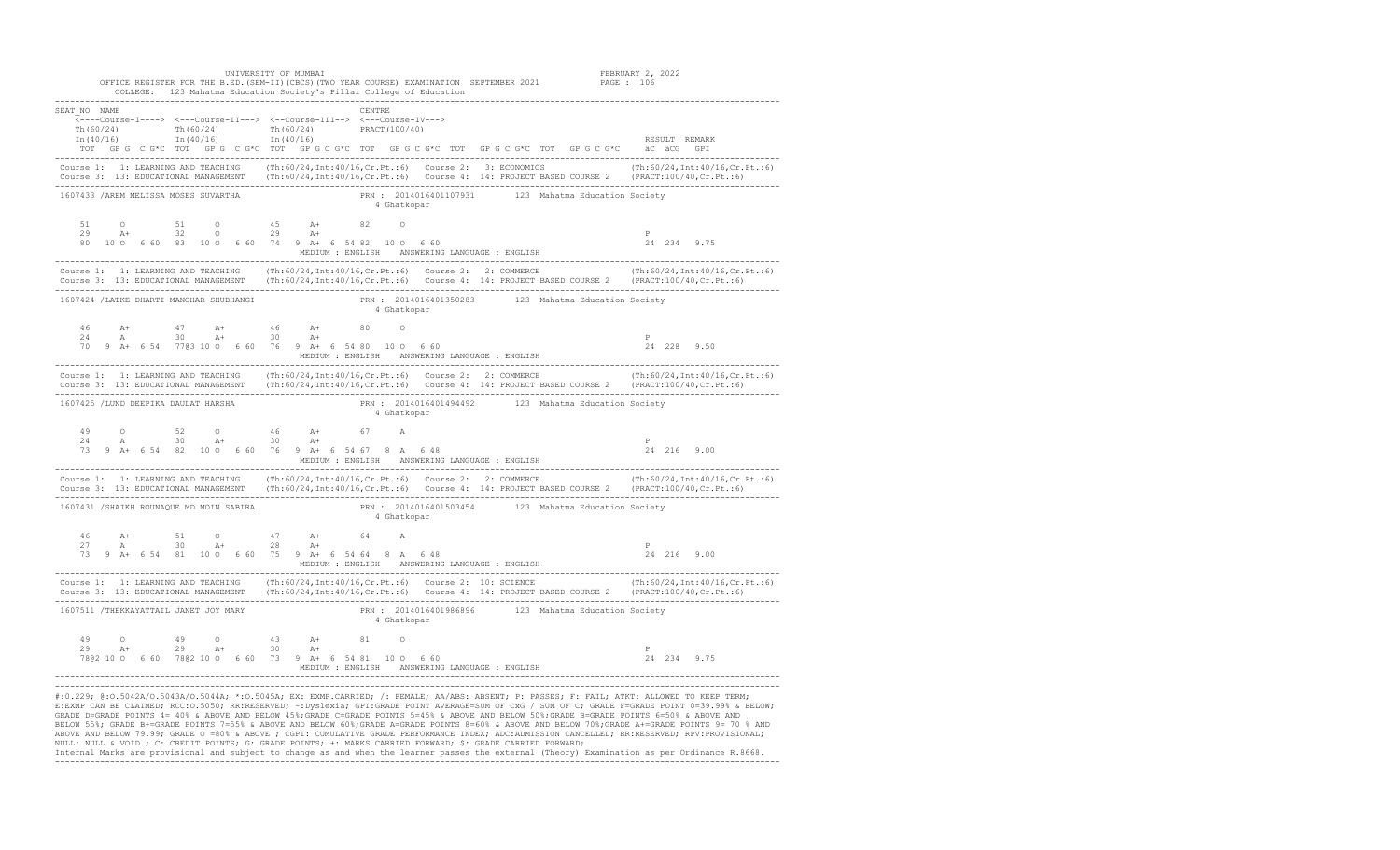|                                                                                                                                                                                                         | UNIVERSITY OF MUMBAI<br>OFFICE REGISTER FOR THE B.ED. (SEM-II) (CBCS) (TWO YEAR COURSE) EXAMINATION SEPTEMBER 2021 PAGE : 106<br>COLLEGE: 123 Mahatma Education Society's Pillai College of Education                             | FEBRUARY 2, 2022          |
|---------------------------------------------------------------------------------------------------------------------------------------------------------------------------------------------------------|-----------------------------------------------------------------------------------------------------------------------------------------------------------------------------------------------------------------------------------|---------------------------|
| SEAT NO NAME                                                                                                                                                                                            | CENTRE<br><----Course-I----> <---Course-II---> <--Course-III--> <---Course-IV---><br>TOT GPG CG*C TOT GPG CG*C TOT GPG CG*C TOT GPG CG*C TOT GPG CG*C TOT GPG CG*C äC äCG GPI                                                     | RESULT REMARK             |
|                                                                                                                                                                                                         | Course 1: 1: LEARNING AND TEACHING (Th:60/24,Int:40/16,Cr.Pt.:6) Course 2: 3: ECONOMICS (Th:60/24,Int:40/16,Cr.Pt.:6)<br>Course 3: 13: EDUCATIONAL MANAGEMENT (Th:60/24,Int:40/16,Cr.Pt.:6) Course 4: 14: PROJECT BASED COURSE 2  |                           |
| 1607433 / AREM MELISSA MOSES SUVARTHA                                                                                                                                                                   | PRN : 2014016401107931 123 Mahatma Education Society<br>4 Ghatkopar                                                                                                                                                               |                           |
| 51 0 51 0 45 A+ 82 0<br>29 A+ 32 0 29 A+                                                                                                                                                                | 80  10  0  6  60  83  10  0  6  60  74  9  A +  6  54  82  10  0  6  60                                                                                                                                                           | $_{\rm P}$<br>24 234 9.75 |
|                                                                                                                                                                                                         | Course 1: 1: LEARNING AND TEACHING (Th:60/24,Int:40/16,Cr.Pt.:6) Course 2: 2: COMMERCE (Th:60/24,Int:40/16,Cr.Pt.:6)<br>Course 3: 13: EDUCATIONAL MANAGEMENT (Th:60/24,Int:40/16,Cr.Pt.:6) Course 4: 14: PROJECT BASED COURSE 2 ( |                           |
| 1607424 /LATKE DHARTI MANOHAR SHUBHANGI                                                                                                                                                                 | PRN : 2014016401350283 123 Mahatma Education Society<br>4 Ghatkopar                                                                                                                                                               |                           |
| $A+$<br>46<br>$30 \overline{A}$ +<br>24<br>$A \sim 1$                                                                                                                                                   | $47 \qquad \qquad {\rm A+} \qquad \qquad 46 \qquad \qquad {\rm A+} \qquad \qquad 80$<br>$\circ$<br>$30 \overline{A}$ +<br>70 9 A+ 6 54 77@3 10 0 6 60 76 9 A+ 6 54 80 10 0 6 60<br>MEDIUM : ENGLISH ANSWERING LANGUAGE : ENGLISH  | P<br>24 228 9.50          |
|                                                                                                                                                                                                         | Course 1: 1: LEARNING AND TEACHING (Th:60/24,Int:40/16,Cr.Pt.:6) Course 2: 2: COMMERCE (Th:60/24,Int:40/16,Cr.Pt.:6)<br>Course 3: 13: EDUCATIONAL MANAGEMENT (Th:60/24,Int:40/16,Cr.Pt.:6) Course 4: 14: PROJECT BASED COURSE 2 ( |                           |
| 1607425 /LUND DEEPIKA DAULAT HARSHA                                                                                                                                                                     | PRN: 2014016401494492 123 Mahatma Education Society<br>4 Ghatkopar                                                                                                                                                                |                           |
| 49<br>0 52 0 46 A+ 67 A<br>A 30 A+ 30 A+<br>24                                                                                                                                                          |                                                                                                                                                                                                                                   | $\mathbb{P}$              |
|                                                                                                                                                                                                         | Course 1: 1: LEARNING AND TEACHING (Th:60/24,Int:40/16,Cr.Pt.:6) Course 2: 2: COMMERCE (Th:60/24,Int:40/16,Cr.Pt.:6)<br>Course 3: 13: EDUCATIONAL MANAGEMENT (Th:60/24,Int:40/16,Cr.Pt.:6) Course 4: 14: PROJECT BASED COURSE 2 ( |                           |
| 1607431 /SHAIKH ROUNAQUE MD MOIN SABIRA                                                                                                                                                                 | PRN : 2014016401503454 123 Mahatma Education Society<br>4 Ghatkopar                                                                                                                                                               |                           |
| $\begin{tabular}{cccccccccc} 46 & & A+ & & 51 & & O & & 47 & & A+ & & 64 & & A \\ 27 & & A & & 30 & & A+ & & 28 & & A+ & & \end{tabular}$                                                               | 73 9 A+ 6 54 81 10 0 6 60 75 9 A+ 6 54 64 8 A 6 48                                                                                                                                                                                | $_{\rm P}$<br>24 216 9.00 |
|                                                                                                                                                                                                         | Course 1: 1: LEARNING AND TEACHING (Th:60/24, Int:40/16, Cr.Pt.:6) Course 2: 10: SCIENCE (Th:60/24, Int:40/16, Cr.Pt.:6)<br>Course 3: 13: EDUCATIONAL MANAGEMENT (Th:60/24, Int:40/16, Cr.Pt.:6) Course 4: 14: PROJECT BASED COU  |                           |
| 1607511 /THEKKAYATTAIL JANET JOY MARY                                                                                                                                                                   | PRN: 2014016401986896 123 Mahatma Education Society<br>4 Ghatkopar                                                                                                                                                                |                           |
| $\begin{array}{cccc} 4\,9 & \qquad \,0 & \qquad \  \  \, 4\,3 & \qquad \, \text{A+} \\ 2\,9 & \qquad \text{A+} & \qquad \  \, 3\,0 & \qquad \text{A+} \end{array}$<br>49<br>49<br>$\circ$<br>$A+$<br>29 | 81<br>$\circ$<br>78@2 10 0 6 60 78@2 10 0 6 60 73 9 A+ 6 54 81 10 0 6 60<br>MEDIUM : ENGLISH ANSWERING LANGUAGE : ENGLISH                                                                                                         | $_{\rm P}$<br>24 234 9.75 |

#:0.229; @:O.5042A/O.5043A/O.5044A; \*:O.5045A; EX: EXMP.CARRIED; /: FEMALE; AA/ABS: ABSENT; P: PASSES; F: FAIL; ATKT: ALLOWED TO KEEP TERM; E:EXMP CAN BE CLAIMED; RCC:O.5050; RR:RESERVED; ~:Dyslexia; GPI:GRADE POINT AVERAGE=SUM OF CxG / SUM OF C; GRADE F=GRADE POINT 0=39.99% & BELOW; GRADE D=GRADE POINTS 4= 40% & ABOVE AND BELOW 45%;GRADE C=GRADE POINTS 5=45% & ABOVE AND BELOW 50%;GRADE B=GRADE POINTS 6=50% & ABOVE AND<br>BELOW 55%; GRADE B+=GRADE POINTS 7=55% & ABOVE AND BELOW 60%;GRADE A=GRADE POINTS 8= ABOVE AND BELOW 79.99; GRADE O =80% & ABOVE ; CGPI: CUMULATIVE GRADE PERFORMANCE INDEX; ADC:ADMISSION CANCELLED; RR:RESERVED; RPV:PROVISIONAL; NULL: NULL & VOID.; C: CREDIT POINTS; G: GRADE POINTS; +: MARKS CARRIED FORWARD; \$: GRADE CARRIED FORWARD;

-------------------------------------------------------------------------------------------------------------------------------------------------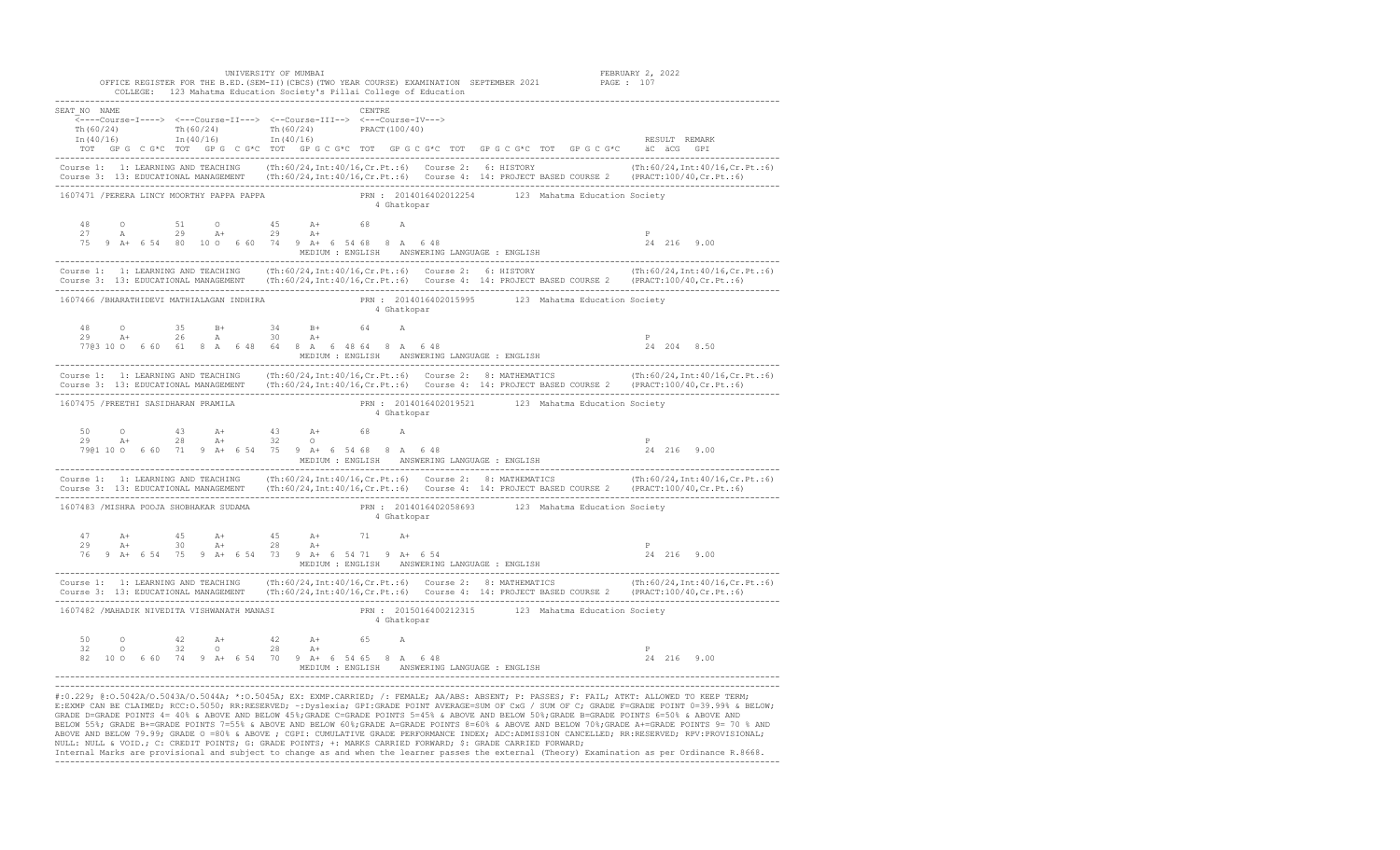|                                                                                                                  | OFFICE REGISTER FOR THE B.ED. (SEM-II) (CBCS) (TWO YEAR COURSE) EXAMINATION SEPTEMBER 2021 PAGE : 107<br>COLLEGE: 123 Mahatma Education Society's Pillai College of Education                                                                                     |                             |
|------------------------------------------------------------------------------------------------------------------|-------------------------------------------------------------------------------------------------------------------------------------------------------------------------------------------------------------------------------------------------------------------|-----------------------------|
| SEAT NO NAME<br><----Course-I----> <---Course-II---> <--Course-III--> <---Course-IV--->                          | CENTRE<br>TOT GPG C G*C TOT GPG C G*C TOT GPG C G*C TOT GPG C G*C TOT GPG C G*C TOT GPG C G*C aC aCG GPI                                                                                                                                                          | RESULT REMARK               |
|                                                                                                                  | Course 1: 1: LEARNING AND TEACHING (Th:60/24, Int:40/16, Cr. Pt.:6) Course 2: 6: HISTORY (Th:60/24, Int:40/16, Cr. Pt.:6)<br>Course 3: 13: EDUCATIONAL MANAGEMENT (Th:60/24, Int:40/16, Cr. Pt.:6) Course 4: 14: PROJECT BASED COURSE 2 (PRACT:100/40, Cr. Pt.:6) |                             |
| 1607471 /PERERA LINCY MOORTHY PAPPA PAPPA                                                                        | PRN : 2014016402012254 123 Mahatma Education Society<br>4 Ghatkopar                                                                                                                                                                                               |                             |
| $\Omega$<br>51 0<br>48<br>27 A 29 A+                                                                             | $45$ $A+$ 68 $A$<br>$29$ $A+$                                                                                                                                                                                                                                     | $_{\rm P}$                  |
|                                                                                                                  | Course 1: 1: LEARNING AND TEACHING (Th:60/24,Int:40/16,Cr.Pt.:6) Course 2: 6: HISTORY (Th:60/24,Int:40/16,Cr.Pt.:6)<br>Course 3: 13: EDUCATIONAL MANAGEMENT (Th:60/24,Int:40/16,Cr.Pt.:6) Course 4: 14: PROJECT BASED COURSE 2 (P                                 |                             |
| 1607466 /BHARATHIDEVI MATHIALAGAN INDHIRA                                                                        | PRN : 2014016402015995 123 Mahatma Education Society<br>4 Ghatkopar                                                                                                                                                                                               |                             |
| 48<br>$\Omega$<br>29<br>A+ 26 A 30 A+<br>77@3 10 O 6 60 61 8 A 6 48 64 8 A 6 48 64 8 A 6 48                      | $35$ B+ $34$ B+ $64$ A                                                                                                                                                                                                                                            | P<br>24 204 8.50            |
|                                                                                                                  | Course 1: 1: LEARNING AND TEACHING (Th:60/24,Int:40/16,Cr.Pt.:6) Course 2: 8: MATHEMATICS (Th:60/24,Int:40/16,Cr.Pt.:6)<br>Course 3: 13: EDUCATIONAL MANAGEMENT (Th:60/24,Int:40/16,Cr.Pt.:6) Course 4: 14: PROJECT BASED COURSE                                  |                             |
| 1607475 /PREETHI SASIDHARAN PRAMILA                                                                              | PRN : 2014016402019521 123 Mahatma Education Society<br>4 Ghatkopar                                                                                                                                                                                               |                             |
| 43 $A+$ 43 $A+$<br>50<br>$\circ$<br>29 A+<br>$28$ $A+$                                                           | 68 A<br>$32$ 0                                                                                                                                                                                                                                                    | P                           |
|                                                                                                                  | Course 1: 1: LEARNING AND TEACHING (Th:60/24,Int:40/16,Cr.Pt.:6) Course 2: 8: MATHEMATICS (Th:60/24,Int:40/16,Cr.Pt.:6)<br>Course 3: 13: EDUCATIONAL MANAGEMENT (Th:60/24,Int:40/16,Cr.Pt.:6) Course 4: 14: PROJECT BASED COURSE                                  |                             |
| 1607483 /MISHRA POOJA SHOBHAKAR SUDAMA                                                                           | PRN : 2014016402058693 123 Mahatma Education Society<br>4 Ghatkopar                                                                                                                                                                                               |                             |
| 47<br>$A+$<br>$A+$<br>29                                                                                         | $45$ $A+$ $45$ $A+$ $71$ $A+$<br>30 $A+$ 28 $A+$<br>76 9 A+ 6 54 75 9 A+ 6 54 73 9 A+ 6 54 71 9 A+ 6 54                                                                                                                                                           | $\mathbb{P}$<br>24 216 9.00 |
|                                                                                                                  | Course 1: 1: LEARNING AND TEACHING (Th:60/24,Int:40/16,Cr.Pt.:6) Course 2: 8: MATHEMATICS (Th:60/24,Int:40/16,Cr.Pt.:6)<br>Course 3: 13: EDUCATIONAL MANAGEMENT (Th:60/24,Int:40/16,Cr.Pt.:6) Course 4: 14: PROJECT BASED COURSE                                  |                             |
| 1607482 / MAHADIK NIVEDITA VISHWANATH MANASI                                                                     | PRN : 2015016400212315 123 Mahatma Education Society<br>4 Ghatkopar                                                                                                                                                                                               |                             |
| 50<br>$\Omega$<br>42 - 12<br>$A+$<br>32<br>32 0<br>$\circ$<br>82 10 0 6 60 74 9 A+ 6 54 70 9 A+ 6 54 65 8 A 6 48 | 42<br>65 A<br>$A+$<br>$28$ $A+$<br>MEDIUM : ENGLISH ANSWERING LANGUAGE : ENGLISH                                                                                                                                                                                  | $\, {\bf P}$<br>24 216 9.00 |

#:0.229; @:O.5042A/O.5043A/O.5044A; \*:O.5045A; EX: EXMP.CARRIED; /: FEMALE; AA/ABS: ABSENT; P: PASSES; F: FAIL; ATKT: ALLOWED TO KEEP TERM; E:EXMP CAN BE CLAIMED; RCC:O.5050; RR:RESERVED; ~:Dyslexia; GPI:GRADE POINT AVERAGE=SUM OF CxG / SUM OF C; GRADE F=GRADE POINT 0=39.99% & BELOW; GRADE D=GRADE POINTS 4= 40% & ABOVE AND BELOW 45%;GRADE C=GRADE POINTS 5=45% & ABOVE AND BELOW 50%;GRADE B=GRADE POINTS 6=50% & ABOVE AND<br>BELOW 55%; GRADE B+=GRADE POINTS 7=55% & ABOVE AND BELOW 60%;GRADE A=GRADE POINTS 8= ABOVE AND BELOW 79.99; GRADE O =80% & ABOVE ; CGPI: CUMULATIVE GRADE PERFORMANCE INDEX; ADC:ADMISSION CANCELLED; RR:RESERVED; RPV:PROVISIONAL; NULL: NULL & VOID.; C: CREDIT POINTS; G: GRADE POINTS; +: MARKS CARRIED FORWARD; \$: GRADE CARRIED FORWARD;

-------------------------------------------------------------------------------------------------------------------------------------------------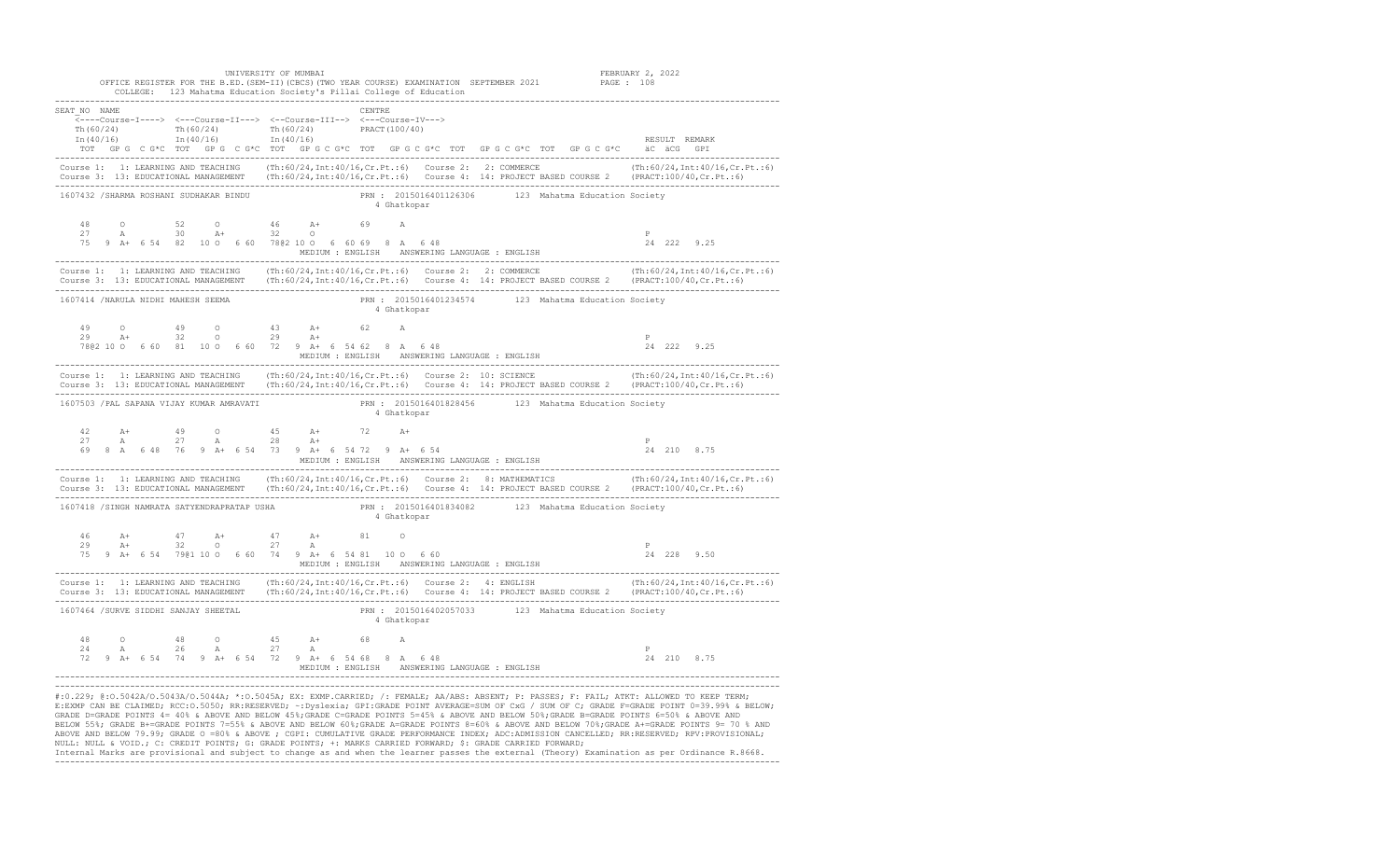|                                                                                                                        | OFFICE REGISTER FOR THE B.ED. (SEM-II) (CBCS) (TWO YEAR COURSE) EXAMINATION SEPTEMBER 2021 PAGE : 108<br>COLLEGE: 123 Mahatma Education Society's Pillai College of Education                                                                                      |                             |
|------------------------------------------------------------------------------------------------------------------------|--------------------------------------------------------------------------------------------------------------------------------------------------------------------------------------------------------------------------------------------------------------------|-----------------------------|
| SEAT NO NAME<br><----Course-I----> <---Course-II---> <--Course-III--> <---Course-IV--->                                | CENTRE<br>TOT GPG C G*C TOT GPG C G*C TOT GPG C G*C TOT GPG C G*C TOT GPG C G*C TOT GPG C G*C aC aCG GPI                                                                                                                                                           | RESULT REMARK               |
|                                                                                                                        | Course 1: 1: LEARNING AND TEACHING (Th:60/24, Int:40/16, Cr. Pt.:6) Course 2: 2: COMMERCE (Th:60/24, Int:40/16, Cr. Pt.:6)<br>Course 3: 13: EDUCATIONAL MANAGEMENT (Th:60/24, Int:40/16, Cr. Pt.:6) Course 4: 14: PROJECT BASED COURSE 2 (PRACT:100/40, Cr. Pt.:6) |                             |
| 1607432 /SHARMA ROSHANI SUDHAKAR BINDU                                                                                 | PRN: 2015016401126306 123 Mahatma Education Society<br>4 Ghatkopar                                                                                                                                                                                                 |                             |
| 48<br>$\circ$<br>$52$ 0<br>27<br>A 30 A+<br>75 9 A+ 6 54 82 10 0 6 60 7802 10 0 6 60 69 8 A 6 48                       | 46 A+ 69 A<br>32 0                                                                                                                                                                                                                                                 | $_{\rm P}$<br>24 222 9.25   |
|                                                                                                                        | Course 1: 1: LEARNING AND TEACHING (Th:60/24,Int:40/16,Cr.Pt.:6) Course 2: 2: COMMERCE (Th:60/24,Int:40/16,Cr.Pt.:6)<br>Course 3: 13: EDUCATIONAL MANAGEMENT (Th:60/24,Int:40/16,Cr.Pt.:6) Course 4: 14: PROJECT BASED COURSE 2 (                                  |                             |
| 1607414 /NARULA NIDHI MAHESH SEEMA                                                                                     | PRN : 2015016401234574 123 Mahatma Education Society<br>4 Ghatkopar                                                                                                                                                                                                |                             |
| 49<br>29<br>78@2 10 0 6 60 81 10 0 6 60 72 9 A+ 6 54 62 8 A 6 48                                                       | 0 $49$ 0 $43$ $At$ 62 A<br>A+ 32 0 29 A+                                                                                                                                                                                                                           | P<br>24 222 9.25            |
|                                                                                                                        | Course 1: 1: LEARNING AND TEACHING (Th:60/24,Int:40/16,Cr.Pt.:6) Course 2: 10: SCIENCE (Th:60/24,Int:40/16,Cr.Pt.:6)<br>Course 3: 13: EDUCATIONAL MANAGEMENT (Th:60/24,Int:40/16,Cr.Pt.:6) Course 4: 14: PROJECT BASED COURSE 2 (                                  |                             |
|                                                                                                                        | 1607503 /PAL SAPANA VIJAY KUMAR AMRAVATI <b>1808</b> PRN : 2015016401828456 123 Mahatma Education Society<br>4 Ghatkopar                                                                                                                                           |                             |
| $\overline{O}$ and $\overline{O}$ and $\overline{O}$<br>42<br>49<br>$A+$<br>27 A 28 $A+$<br>27<br>$A$ and $A$          | 45 A+ 72 A+                                                                                                                                                                                                                                                        | P                           |
|                                                                                                                        | Course 1: 1: LEARNING AND TEACHING (Th:60/24,Int:40/16,Cr.Pt.:6) Course 2: 8: MATHEMATICS (Th:60/24,Int:40/16,Cr.Pt.:6)<br>Course 3: 13: EDUCATIONAL MANAGEMENT (Th:60/24,Int:40/16,Cr.Pt.:6) Course 4: 14: PROJECT BASED COURSE                                   |                             |
| 1607418 /SINGH NAMRATA SATYENDRAPRATAP USHA                                                                            | PRN : 2015016401834082 123 Mahatma Education Society<br>4 Ghatkopar                                                                                                                                                                                                |                             |
| 46<br>$A +$<br>$\mathrm{A}+$<br>29                                                                                     | 75 9 A+ 6 54 7901 10 0 6 60 74 9 A+ 6 54 81 10 0 6 60                                                                                                                                                                                                              | $\mathbb{P}$<br>24 228 9.50 |
|                                                                                                                        | Course 1: 1: LEARNING AND TEACHING (Th:60/24,Int:40/16,Cr.Pt.:6) Course 2: 4: ENGLISH (Th:60/24,Int:40/16,Cr.Pt.:6)<br>Course 3: 13: EDUCATIONAL MANAGEMENT (Th:60/24,Int:40/16,Cr.Pt.:6) Course 4: 14: PROJECT BASED COURSE 2 (P                                  |                             |
| 1607464 /SURVE SIDDHI SANJAY SHEETAL                                                                                   | PRN: 2015016402057033 123 Mahatma Education Society<br>4 Ghatkopar                                                                                                                                                                                                 |                             |
| 48<br>$\Omega$<br>48<br>$\circ$<br>26 A 27 A<br>24<br>$A \sim 1$<br>72 9 A+ 6 54 74 9 A+ 6 54 72 9 A+ 6 54 68 8 A 6 48 | 45 A+<br>68 A<br>MEDIUM: ENGLISH ANSWERING LANGUAGE: ENGLISH                                                                                                                                                                                                       | $\, {\bf P}$<br>24 210 8.75 |

#:0.229; @:O.5042A/O.5043A/O.5044A; \*:O.5045A; EX: EXMP.CARRIED; /: FEMALE; AA/ABS: ABSENT; P: PASSES; F: FAIL; ATKT: ALLOWED TO KEEP TERM; E:EXMP CAN BE CLAIMED; RCC:O.5050; RR:RESERVED; ~:Dyslexia; GPI:GRADE POINT AVERAGE=SUM OF CxG / SUM OF C; GRADE F=GRADE POINT 0=39.99% & BELOW; GRADE D=GRADE POINTS 4= 40% & ABOVE AND BELOW 45%;GRADE C=GRADE POINTS 5=45% & ABOVE AND BELOW 50%;GRADE B=GRADE POINTS 6=50% & ABOVE AND<br>BELOW 55%; GRADE B+=GRADE POINTS 7=55% & ABOVE AND BELOW 60%;GRADE A=GRADE POINTS 8= ABOVE AND BELOW 79.99; GRADE O =80% & ABOVE ; CGPI: CUMULATIVE GRADE PERFORMANCE INDEX; ADC:ADMISSION CANCELLED; RR:RESERVED; RPV:PROVISIONAL; NULL: NULL & VOID.; C: CREDIT POINTS; G: GRADE POINTS; +: MARKS CARRIED FORWARD; \$: GRADE CARRIED FORWARD;

-------------------------------------------------------------------------------------------------------------------------------------------------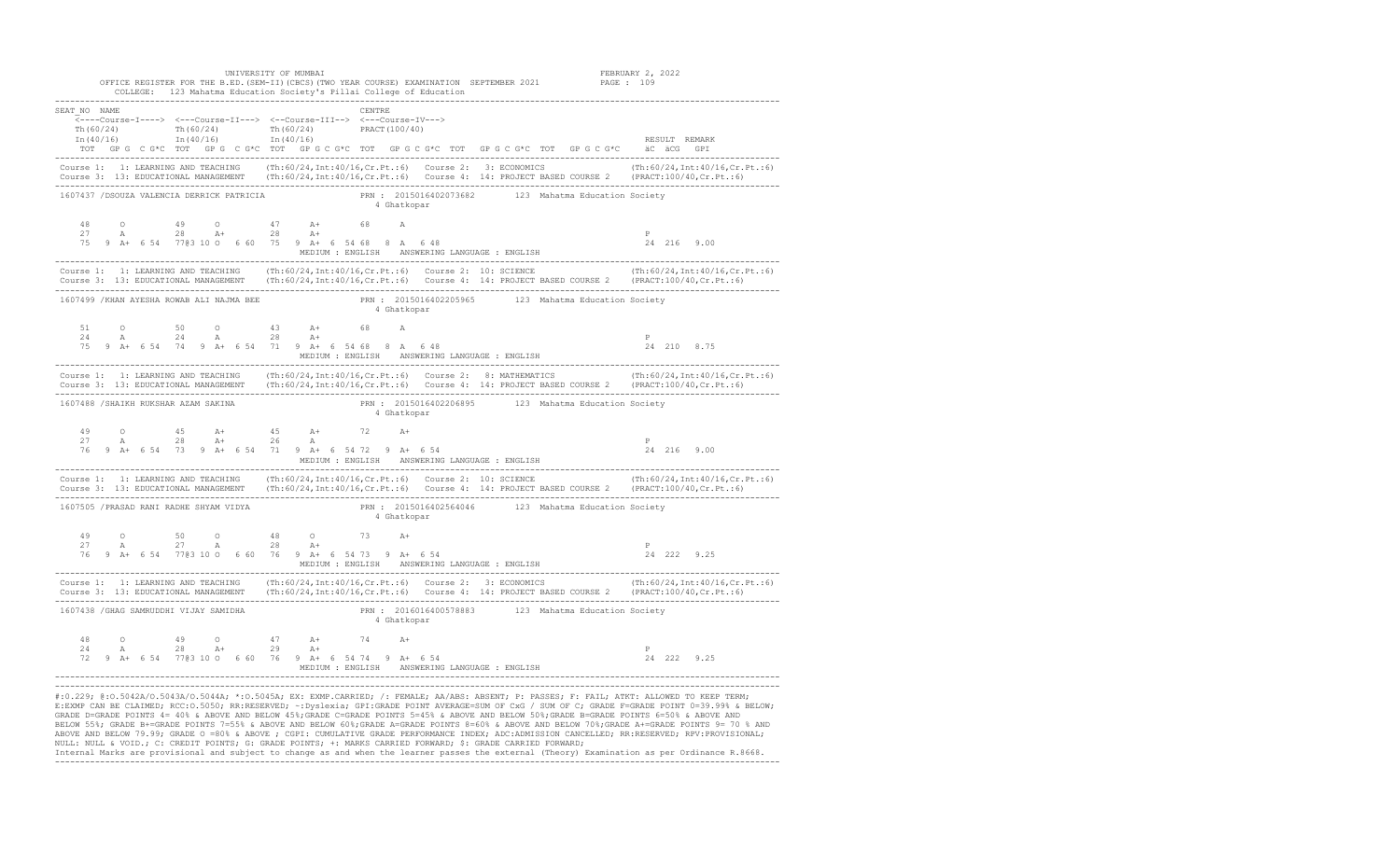|                                                                                                                                                                   | OFFICE REGISTER FOR THE B.ED. (SEM-II) (CBCS) (TWO YEAR COURSE) EXAMINATION SEPTEMBER 2021 PAGE : 109<br>COLLEGE: 123 Mahatma Education Society's Pillai College of Education                                                                                                                                                                                                                                  |                             |
|-------------------------------------------------------------------------------------------------------------------------------------------------------------------|----------------------------------------------------------------------------------------------------------------------------------------------------------------------------------------------------------------------------------------------------------------------------------------------------------------------------------------------------------------------------------------------------------------|-----------------------------|
| SEAT NO NAME<br><----Course-I----> <---Course-II---> <--Course-III--> <---Course-IV--->                                                                           | CENTRE<br>TOT GPG C G*C TOT GPG C G*C TOT GPG C G*C TOT GPG C G*C TOT GPG C G*C TOT GPG C G*C aC aCG GPI                                                                                                                                                                                                                                                                                                       | RESULT REMARK               |
|                                                                                                                                                                   | Course 1: 1: LEARNING AND TEACHING (Th:60/24, Int:40/16, Cr. Pt.:6) Course 2: 3: ECONOMICS (Th:60/24, Int:40/16, Cr. Pt.:6)<br>Course 3: 13: EDUCATIONAL MANAGEMENT (Th:60/24, Int:40/16, Cr. Pt.:6) Course 4: 14: PROJECT BASED COURSE 2 (PRACT:100/40, Cr. Pt.:6)                                                                                                                                            |                             |
| 1607437 /DSOUZA VALENCIA DERRICK PATRICIA                                                                                                                         | PRN : 2015016402073682 123 Mahatma Education Society<br>4 Ghatkopar                                                                                                                                                                                                                                                                                                                                            |                             |
| $\circ$<br>$\overline{0}$<br>48<br>49<br>27 A<br>$28$ $\lambda$ +                                                                                                 | $47$ $A+$ 68<br>A<br>28 A+                                                                                                                                                                                                                                                                                                                                                                                     | $_{\rm P}$                  |
|                                                                                                                                                                   | Course 1: 1: LEARNING AND TEACHING (Th:60/24,Int:40/16,Cr.Pt.:6) Course 2: 10: SCIENCE (Th:60/24,Int:40/16,Cr.Pt.:6)<br>Course 3: 13: EDUCATIONAL MANAGEMENT (Th:60/24,Int:40/16,Cr.Pt.:6) Course 4: 14: PROJECT BASED COURSE 2 (                                                                                                                                                                              |                             |
| 1607499 / KHAN AYESHA ROWAB ALI NAJMA BEE                                                                                                                         | PRN : 2015016402205965 123 Mahatma Education Society<br>4 Ghatkopar                                                                                                                                                                                                                                                                                                                                            |                             |
| 51 0<br>24 A<br>24<br>A<br>75 9 A+ 6 54 74 9 A+ 6 54 71 9 A+ 6 54 68 8 A 6 48                                                                                     | $50$ 0 43 A+ 68 A<br>$28$ $A+$<br>MEDIUM : ENGLISH ANSWERING LANGUAGE : ENGLISH                                                                                                                                                                                                                                                                                                                                | P<br>24 210 8.75            |
|                                                                                                                                                                   | Course 1: 1: LEARNING AND TEACHING (Th:60/24,Int:40/16,Cr.Pt.:6) Course 2: 8: MATHEMATICS (Th:60/24,Int:40/16,Cr.Pt.:6)<br>Course 3: 13: EDUCATIONAL MANAGEMENT (Th:60/24,Int:40/16,Cr.Pt.:6) Course 4: 14: PROJECT BASED COURSE                                                                                                                                                                               |                             |
| 1607488 / SHAIKH RUKSHAR AZAM SAKINA                                                                                                                              | PRN: 2015016402206895 123 Mahatma Education Society<br>4 Ghatkopar                                                                                                                                                                                                                                                                                                                                             |                             |
| 45 A+<br>49<br>$\circ$<br>27<br>28 A+<br>$A \sim$                                                                                                                 | $45$ $A+$<br>72 A+<br>26 A                                                                                                                                                                                                                                                                                                                                                                                     | P                           |
|                                                                                                                                                                   | $\texttt{Course 1: LEARNING AND TEACHING} \hspace{1.5em} (\texttt{Th:60/24, Int:40/16, Cr.Ft.:6}) \hspace{1.5em} \hspace{1.5em} \texttt{Course 2: } 10: SCIENCE \hspace{1.5em} (\texttt{Th:60/24, Int:40/16, Cr.Ft.:6}) \hspace{1.5em} (\texttt{Ourse 3: } 13: EDUCATIONAL MANASEMENT \hspace{1.5em} (\texttt{Th:60/24, Int:40/16, Cr.Ft.:6}) \hspace{1.5em} (\texttt{Ourse 4: } 14: PROJECT BASED COURSE 2 \$ |                             |
| 1607505 / PRASAD RANI RADHE SHYAM VIDYA                                                                                                                           | PRN : 2015016402564046 123 Mahatma Education Society<br>4 Ghatkopar                                                                                                                                                                                                                                                                                                                                            |                             |
| 49 0<br>27<br>A                                                                                                                                                   | $27$ a $28$ $28$ $3 + 73$ $3 + 28$<br>76 9 A+ 6 54 7703 10 O 6 60 76 9 A+ 6 54 73 9 A+ 6 54                                                                                                                                                                                                                                                                                                                    | $\mathbb{P}$<br>24 222 9.25 |
|                                                                                                                                                                   | Course 1: 1: LEARNING AND TEACHING (Th:60/24,Int:40/16,Cr.Pt.:6) Course 2: 3: ECONOMICS (Th:60/24,Int:40/16,Cr<br>Course 3: 13: EDUCATIONAL MANAGEMENT (Th:60/24,Int:40/16,Cr.Pt.:6) Course 4: 14: PROJECT BASED COURSE 2 (TR:60<br>                                                                                                                                                                           |                             |
| 1607438 / GHAG SAMRUDDHI VIJAY SAMIDHA                                                                                                                            | PRN: 2016016400578883 123 Mahatma Education Society<br>4 Ghatkopar                                                                                                                                                                                                                                                                                                                                             |                             |
| $0 \qquad \qquad$<br>48<br>$\circ$<br>49<br>$28$ $\hbox{A+}$ $\hbox{29}$ $\hbox{A+}$<br>24<br>$A \sim 1$<br>72 9 A+ 6 54 77@3 10 O 6 60 76 9 A+ 6 54 74 9 A+ 6 54 | $47$ $A+$<br>74 —<br>$A+$<br>MEDIUM : ENGLISH ANSWERING LANGUAGE : ENGLISH                                                                                                                                                                                                                                                                                                                                     | $\, {\bf P}$<br>24 222 9.25 |

#:0.229; @:O.5042A/O.5043A/O.5044A; \*:O.5045A; EX: EXMP.CARRIED; /: FEMALE; AA/ABS: ABSENT; P: PASSES; F: FAIL; ATKT: ALLOWED TO KEEP TERM; E:EXMP CAN BE CLAIMED; RCC:O.5050; RR:RESERVED; ~:Dyslexia; GPI:GRADE POINT AVERAGE=SUM OF CxG / SUM OF C; GRADE F=GRADE POINT 0=39.99% & BELOW; GRADE D=GRADE POINTS 4= 40% & ABOVE AND BELOW 45%;GRADE C=GRADE POINTS 5=45% & ABOVE AND BELOW 50%;GRADE B=GRADE POINTS 6=50% & ABOVE AND<br>BELOW 55%; GRADE B+=GRADE POINTS 7=55% & ABOVE AND BELOW 60%;GRADE A=GRADE POINTS 8= ABOVE AND BELOW 79.99; GRADE O =80% & ABOVE ; CGPI: CUMULATIVE GRADE PERFORMANCE INDEX; ADC:ADMISSION CANCELLED; RR:RESERVED; RPV:PROVISIONAL; NULL: NULL & VOID.; C: CREDIT POINTS; G: GRADE POINTS; +: MARKS CARRIED FORWARD; \$: GRADE CARRIED FORWARD;

-------------------------------------------------------------------------------------------------------------------------------------------------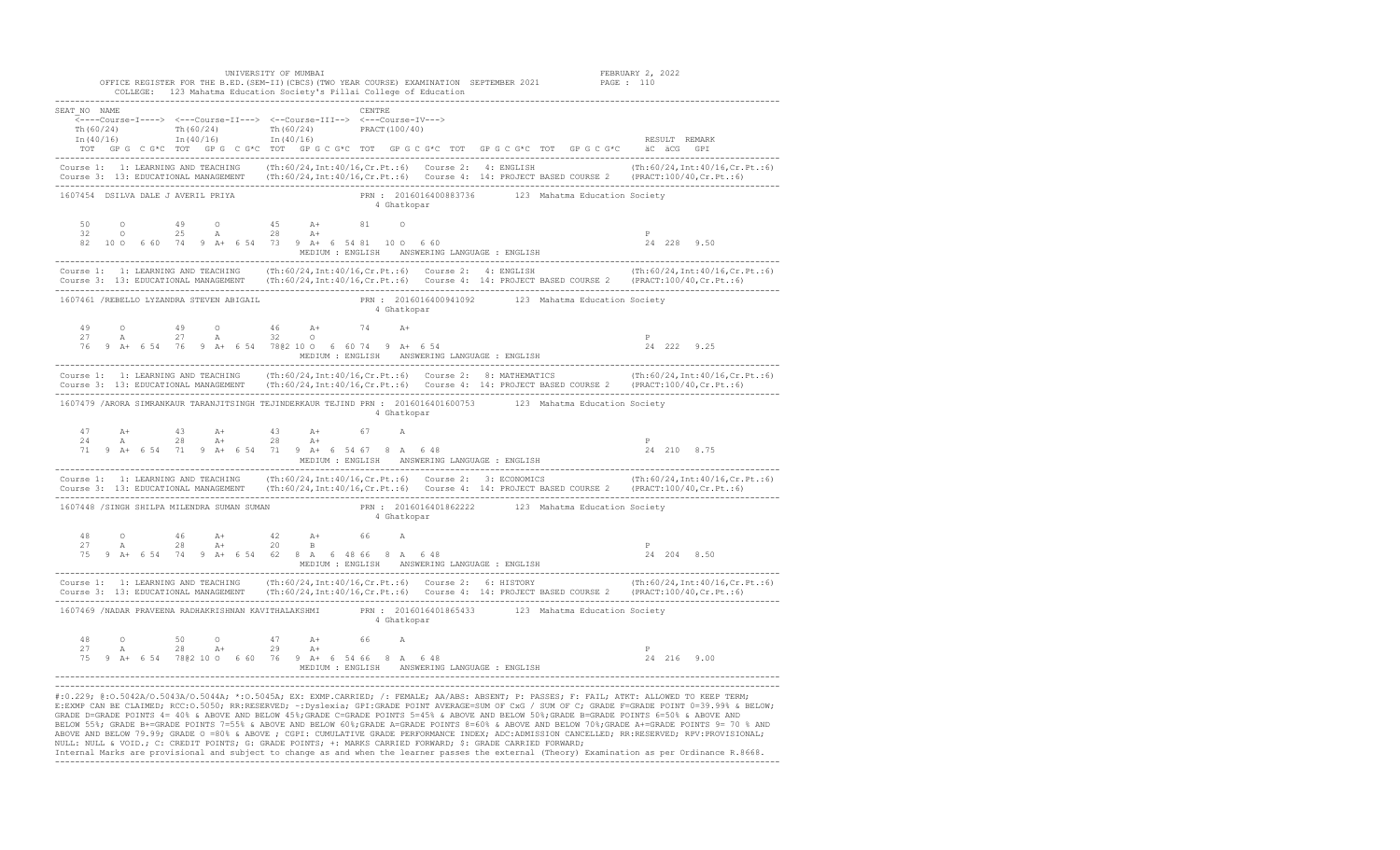|                                                                                                                                                                                               | OFFICE REGISTER FOR THE B.ED. (SEM-II) (CBCS) (TWO YEAR COURSE) EXAMINATION SEPTEMBER 2021 PAGE : 110<br>COLLEGE: 123 Mahatma Education Society's Pillai College of Education                                                                                     |                             |
|-----------------------------------------------------------------------------------------------------------------------------------------------------------------------------------------------|-------------------------------------------------------------------------------------------------------------------------------------------------------------------------------------------------------------------------------------------------------------------|-----------------------------|
| SEAT NO NAME<br><----Course-I----> <---Course-II---> <--Course-III--> <---Course-IV--->                                                                                                       | CENTRE<br>TOT GPG C G*C TOT GPG C G*C TOT GPG C G*C TOT GPG C G*C TOT GPG C G*C TOT GPG C G*C aC aCG GPI                                                                                                                                                          | RESULT REMARK               |
|                                                                                                                                                                                               | Course 1: 1: LEARNING AND TEACHING (Th:60/24, Int:40/16, Cr. Pt.:6) Course 2: 4: ENGLISH (Th:60/24, Int:40/16, Cr. Pt.:6)<br>Course 3: 13: EDUCATIONAL MANAGEMENT (Th:60/24, Int:40/16, Cr. Pt.:6) Course 4: 14: PROJECT BASED COURSE 2 (PRACT:100/40, Cr. Pt.:6) |                             |
| 1607454 DSILVA DALE J AVERIL PRIYA                                                                                                                                                            | PRN: 2016016400883736 123 Mahatma Education Society<br>4 Ghatkopar                                                                                                                                                                                                |                             |
| 50<br>$\circ$<br>49<br>$\overline{O}$ and $\overline{O}$ and $\overline{O}$ and $\overline{O}$<br>32<br>25 A<br>$\overline{O}$<br>82 10 0 6 60 74 9 A+ 6 54 73 9 A+ 6 54 81 10 0 6 60         | 45 A+ 81 O<br>$28$ $A+$                                                                                                                                                                                                                                           | $\mathbb{P}$<br>24 228 9.50 |
|                                                                                                                                                                                               | Course 1: 1: LEARNING AND TEACHING (Th:60/24,Int:40/16,Cr.Pt.:6) Course 2: 4: ENGLISH (Th:60/24,Int:40/16,Cr.Pt.:6)<br>Course 3: 13: EDUCATIONAL MANAGEMENT (Th:60/24,Int:40/16,Cr.Pt.:6) Course 4: 14: PROJECT BASED COURSE 2 (P                                 |                             |
| 1607461 /REBELLO LYZANDRA STEVEN ABIGAIL                                                                                                                                                      | PRN : 2016016400941092 123 Mahatma Education Society<br>4 Ghatkopar                                                                                                                                                                                               |                             |
| 49<br>27<br>76 9 A+ 6 54 76 9 A+ 6 54 7802 10 0 6 60 74 9 A+ 6 54                                                                                                                             |                                                                                                                                                                                                                                                                   | $\mathbb{P}$<br>24 222 9.25 |
|                                                                                                                                                                                               | Course 3: 13: EDUCATIONAL MANAGEMENT (Th:60/24,Int:40/16,Cr.Pt.:6) Course 4: 14: PROJECT BASED COURSE 2 (PRACT:100/40,Cr.Pt.:6)                                                                                                                                   |                             |
|                                                                                                                                                                                               | 1607479 / ARORA SIMRANKAUR TARANJITSINGH TEJINDERKAUR TEJIND PRN: 2016016401600753 123 Mahatma Education Society<br>4 Ghatkopar                                                                                                                                   |                             |
| 47<br>$43 \overline{A}$ +<br>$A+$<br>28 A+<br>24<br>$A \sim$<br>71 9 A+ 6 54 71 9 A+ 6 54 71 9 A+ 6 54 67 8 A 6 48                                                                            | 43<br>$A+$<br>67 A<br>$28$ $A+$<br>MEDIUM : ENGLISH ANSWERING LANGUAGE : ENGLISH                                                                                                                                                                                  | $\mathbb{P}$<br>24 210 8.75 |
|                                                                                                                                                                                               | Course 1: 1: LEARNING AND TEACHING (Th:60/24,Int:40/16,Cr.Pt.:6) Course 2: 3: ECONOMICS (Th:60/24,Int:40/16,Cr.Pt.:6)<br>Course 3: 13: EDUCATIONAL MANAGEMENT (Th:60/24,Int:40/16,Cr.Pt.:6) Course 4: 14: PROJECT BASED COURSE 2                                  |                             |
| 1607448 /SINGH SHILPA MILENDRA SUMAN SUMAN                                                                                                                                                    | PRN : 2016016401862222 123 Mahatma Education Society<br>4 Ghatkopar                                                                                                                                                                                               |                             |
| $\begin{tabular}{cccccccccc} O & & 46 & & A+ & & 42 & & A+ & & 66 & & A \\ A & & 28 & & A+ & & 20 & & B & & & \end{tabular}$<br>48<br>27<br>75 9 A+ 6 54 74 9 A+ 6 54 62 8 A 6 48 66 8 A 6 48 |                                                                                                                                                                                                                                                                   | P<br>24 204 8.50            |
|                                                                                                                                                                                               | Course 1: 1: LEARNING AND TEACHING (Th:60/24,Int:40/16,Cr.Pt.:6) Course 2: 6: HISTORY (Th:60/24,Int:40/16,Cr.Pt.:6)<br>Course 3: 13: EDUCATIONAL MANAGEMENT (Th:60/24,Int:40/16,Cr.Pt.:6) Course 4: 14: PROJECT BASED COURSE 2 (P                                 |                             |
| 1607469 /NADAR PRAVEENA RADHAKRISHNAN KAVITHALAKSHMI                                                                                                                                          | PRN: 2016016401865433 123 Mahatma Education Society<br>4 Ghatkopar                                                                                                                                                                                                |                             |
| 48<br>$\Omega$<br>50<br>$\Omega$<br>$28$ $A+$<br>27<br>A<br>75 9 A+ 6 54 7802 10 0 6 60 76 9 A+ 6 54 66 8 A 6 48                                                                              | 47<br>$A+$<br>66 A<br>29<br>$A+$<br>MEDIUM : ENGLISH ANSWERING LANGUAGE : ENGLISH                                                                                                                                                                                 | $\, {\bf P}$<br>24 216 9.00 |

#:0.229; @:O.5042A/O.5043A/O.5044A; \*:O.5045A; EX: EXMP.CARRIED; /: FEMALE; AA/ABS: ABSENT; P: PASSES; F: FAIL; ATKT: ALLOWED TO KEEP TERM; E:EXMP CAN BE CLAIMED; RCC:O.5050; RR:RESERVED; ~:Dyslexia; GPI:GRADE POINT AVERAGE=SUM OF CxG / SUM OF C; GRADE F=GRADE POINT 0=39.99% & BELOW; GRADE D=GRADE POINTS 4= 40% & ABOVE AND BELOW 45%;GRADE C=GRADE POINTS 5=45% & ABOVE AND BELOW 50%;GRADE B=GRADE POINTS 6=50% & ABOVE AND<br>BELOW 55%; GRADE B+=GRADE POINTS 7=55% & ABOVE AND BELOW 60%;GRADE A=GRADE POINTS 8= ABOVE AND BELOW 79.99; GRADE O =80% & ABOVE ; CGPI: CUMULATIVE GRADE PERFORMANCE INDEX; ADC:ADMISSION CANCELLED; RR:RESERVED; RPV:PROVISIONAL; NULL: NULL & VOID.; C: CREDIT POINTS; G: GRADE POINTS; +: MARKS CARRIED FORWARD; \$: GRADE CARRIED FORWARD;

-------------------------------------------------------------------------------------------------------------------------------------------------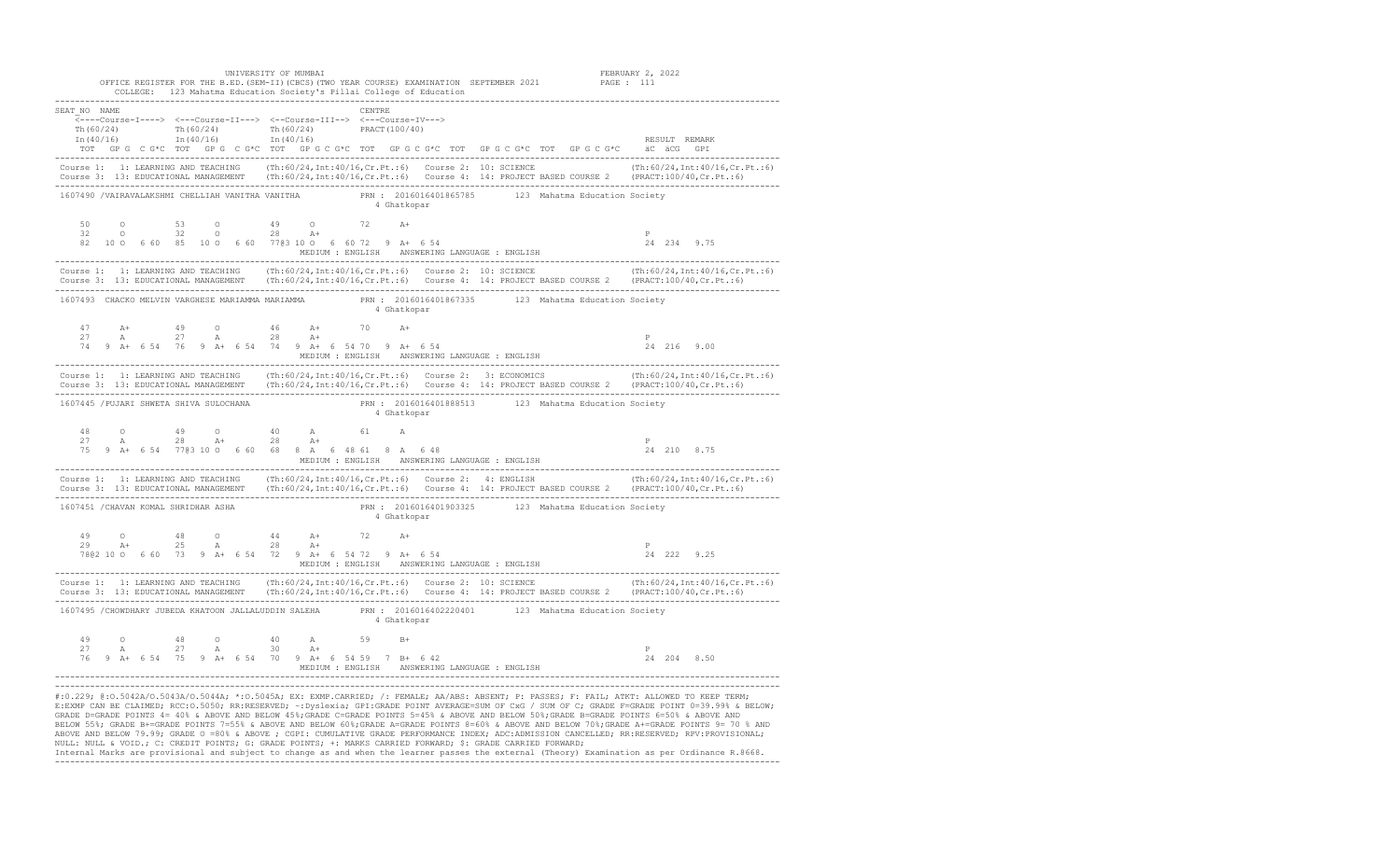|                                                                                                                                          | OFFICE REGISTER FOR THE B.ED. (SEM-II) (CBCS) (TWO YEAR COURSE) EXAMINATION SEPTEMBER 2021 PAGE : 111<br>COLLEGE: 123 Mahatma Education Society's Pillai College of Education                                                                                      |                             |
|------------------------------------------------------------------------------------------------------------------------------------------|--------------------------------------------------------------------------------------------------------------------------------------------------------------------------------------------------------------------------------------------------------------------|-----------------------------|
| SEAT NO NAME<br><----Course-I----> <---Course-II---> <--Course-III--> <---Course-IV--->                                                  | CENTRE<br>TOT GPG CG*C TOT GPG CG*C TOT GPG CG*C TOT GPG CG*C TOT GPG CG*C TOT GPG CG*C äC äCG GPI                                                                                                                                                                 | RESULT REMARK               |
|                                                                                                                                          | Course 1: 1: LEARNING AND TEACHING (Th:60/24, Int:40/16, Cr. Pt.:6) Course 2: 10: SCIENCE (Th:60/24, Int:40/16, Cr. Pt.:6)<br>Course 3: 13: EDUCATIONAL MANAGEMENT (Th:60/24, Int:40/16, Cr. Pt.:6) Course 4: 14: PROJECT BASED COURSE 2 (PRACT:100/40, Cr. Pt.:6) |                             |
|                                                                                                                                          | 1607490 /VAIRAVALAKSHMI CHELLIAH VANITHA VANITHA NANITHA PRN: 2016016401865785 123 Mahatma Education Society<br>4 Ghatkopar                                                                                                                                        |                             |
| $\Omega$<br>$53$ 0<br>50<br>32 0<br>32 0                                                                                                 | 49 0 72 A+<br>$28$ $A+$                                                                                                                                                                                                                                            | $_{\rm P}$                  |
|                                                                                                                                          | Course 1: 1: LEARNING AND TEACHING (Th:60/24,Int:40/16,Cr.Pt.:6) Course 2: 10: SCIENCE (Th:60/24,Int:40/16,Cr.Pt.:6)<br>Course 3: 13: EDUCATIONAL MANAGEMENT (Th:60/24,Int:40/16,Cr.Pt.:6) Course 4: 14: PROJECT BASED COURSE 2 (                                  |                             |
|                                                                                                                                          | 1607493 CHACKO MELVIN VARGHESE MARIAMMA MARIAMMA PRN: 2016016401867335 123 Mahatma Education Society<br>4 Ghatkopar                                                                                                                                                |                             |
| A+ 49 0 46 A+ 70 A+<br>A 27 A 28 A+<br>47<br>27<br>74 9 A+ 6 54 76 9 A+ 6 54 74 9 A+ 6 54 70 9 A+ 6 54                                   |                                                                                                                                                                                                                                                                    | P<br>24 216 9.00            |
|                                                                                                                                          | Course 1: 1: LEARNING AND TEACHING (Th:60/24,Int:40/16,Cr.Pt.:6) Course 2: 3: ECONOMICS (Th:60/24,Int:40/16,Cr.Pt.:6)<br>Course 3: 13: EDUCATIONAL MANAGEMENT (Th:60/24,Int:40/16,Cr.Pt.:6) Course 4: 14: PROJECT BASED COURSE 2                                   |                             |
|                                                                                                                                          | 1607445 /PUJARI SHWETA SHIVA SULOCHANA (2008) PRN : 2016016401888513 123 Mahatma Education Society<br>4 Ghatkopar                                                                                                                                                  |                             |
| 49<br>$\overline{O}$<br>48<br>$\overline{a}$<br>$28$ $A+$<br>27<br>$A \sim 1$                                                            | 40 A 61 A<br>$28$ $A+$                                                                                                                                                                                                                                             | P                           |
|                                                                                                                                          | Course 1: 1: LEARNING AND TEACHING (Th:60/24,Int:40/16,Cr.Pt.:6) Course 2: 4: ENGLISH (Th:60/24,Int:40/16,Cr.Pt.:6)<br>Course 3: 13: EDUCATIONAL MANAGEMENT (Th:60/24,Int:40/16,Cr.Pt.:6) Course 4: 14: PROJECT BASED COURSE 2 (P                                  |                             |
| 1607451 / CHAVAN KOMAL SHRIDHAR ASHA                                                                                                     | PRN : 2016016401903325 123 Mahatma Education Society<br>4 Ghatkopar                                                                                                                                                                                                |                             |
| 49<br>$\Omega$<br>$29$ $A+$                                                                                                              | $\begin{array}{cccccccc} 48 & & \textrm{O} & & & 44 & & \textrm{A+} & & \textrm{72} & & \textrm{A+} \\ 25 & & \textrm{A} & & \textrm{28} & & \textrm{A+} & & & \end{array}$<br>7802 10 0 6 60 73 9 A+ 6 54 72 9 A+ 6 54 72 9 A+ 6 54                               | $\mathbb{P}$<br>24 222 9.25 |
|                                                                                                                                          | Course 1: 1: LEARNING AND TEACHING (Th:60/24,Int:40/16,Cr.Pt.:6) Course 2: 10: SCIENCE (Th:60/24,Int:40/16,Cr.Pt.:6)<br>Course 3: 13: EDUCATIONAL MANAGEMENT (Th:60/24,Int:40/16,Cr.Pt.:6) Course 4: 14: PROJECT BASED COURSE 2 (                                  |                             |
|                                                                                                                                          | 1607495 / CHOWDHARY JUBEDA KHATOON JALLALUDDIN SALEHA PRN: 2016016402220401 123 Mahatma Education Society<br>4 Ghatkopar                                                                                                                                           |                             |
| 49<br>$\circ$<br>48 —<br>$\circ$ $\circ$<br>27 A 30 A+<br>27<br>$A \qquad \qquad$<br>76 9 A+ 6 54 75 9 A+ 6 54 70 9 A+ 6 54 59 7 B+ 6 42 | 40 A 59<br>$B+$<br>MEDIUM : ENGLISH ANSWERING LANGUAGE : ENGLISH                                                                                                                                                                                                   | $\, {\bf P}$<br>24 204 8.50 |

#:0.229; @:O.5042A/O.5043A/O.5044A; \*:O.5045A; EX: EXMP.CARRIED; /: FEMALE; AA/ABS: ABSENT; P: PASSES; F: FAIL; ATKT: ALLOWED TO KEEP TERM; E:EXMP CAN BE CLAIMED; RCC:O.5050; RR:RESERVED; ~:Dyslexia; GPI:GRADE POINT AVERAGE=SUM OF CxG / SUM OF C; GRADE F=GRADE POINT 0=39.99% & BELOW; GRADE D=GRADE POINTS 4= 40% & ABOVE AND BELOW 45%;GRADE C=GRADE POINTS 5=45% & ABOVE AND BELOW 50%;GRADE B=GRADE POINTS 6=50% & ABOVE AND<br>BELOW 55%; GRADE B+=GRADE POINTS 7=55% & ABOVE AND BELOW 60%;GRADE A=GRADE POINTS 8= ABOVE AND BELOW 79.99; GRADE O =80% & ABOVE ; CGPI: CUMULATIVE GRADE PERFORMANCE INDEX; ADC:ADMISSION CANCELLED; RR:RESERVED; RPV:PROVISIONAL; NULL: NULL & VOID.; C: CREDIT POINTS; G: GRADE POINTS; +: MARKS CARRIED FORWARD; \$: GRADE CARRIED FORWARD;

-------------------------------------------------------------------------------------------------------------------------------------------------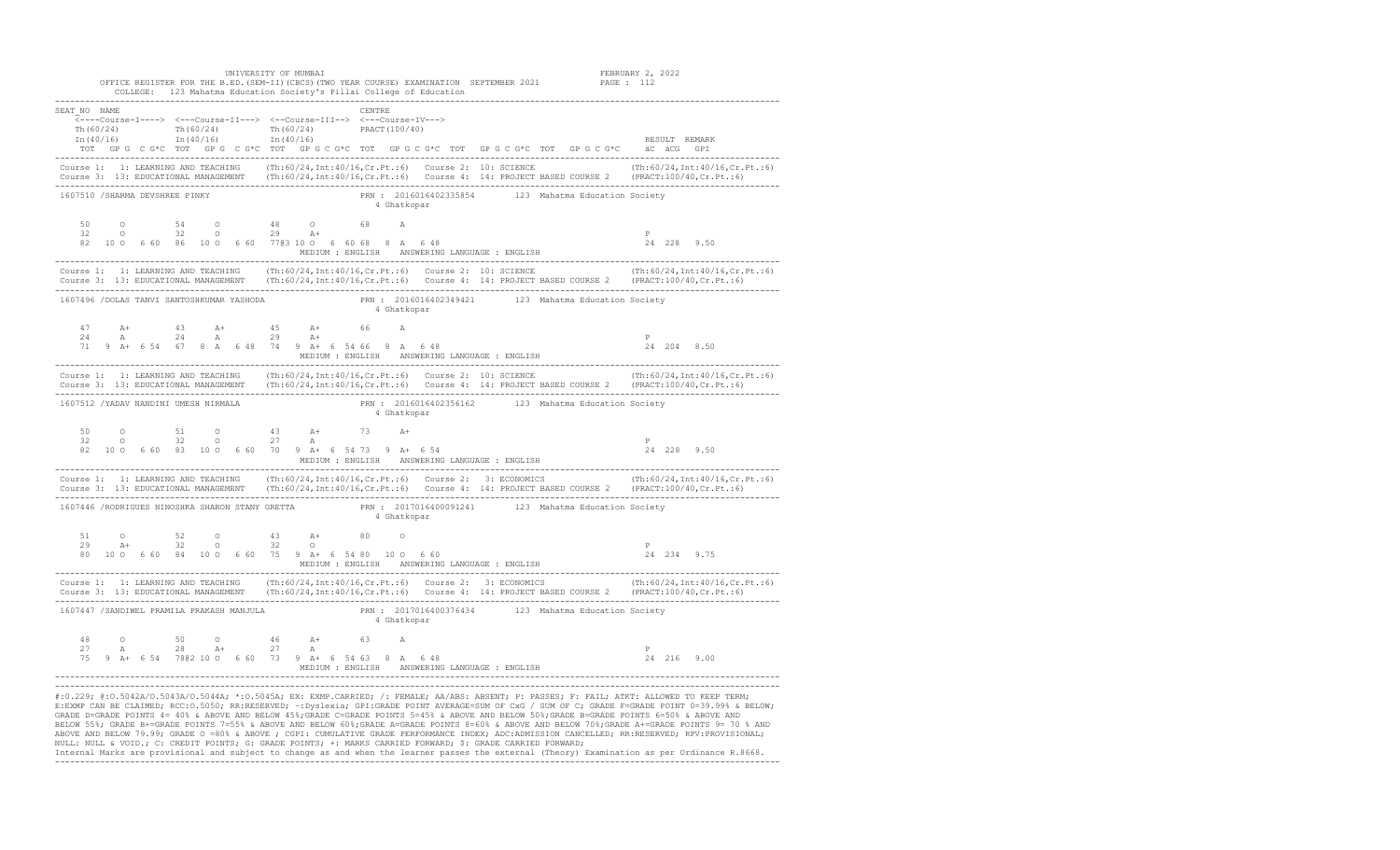|                                                                                                              | OFFICE REGISTER FOR THE B.ED. (SEM-II) (CBCS) (TWO YEAR COURSE) EXAMINATION SEPTEMBER 2021 PAGE : 112<br>COLLEGE: 123 Mahatma Education Society's Pillai College of Education                                                                                      |                            |
|--------------------------------------------------------------------------------------------------------------|--------------------------------------------------------------------------------------------------------------------------------------------------------------------------------------------------------------------------------------------------------------------|----------------------------|
| SEAT NO NAME<br><----Course-I----> <---Course-II---> <--Course-III--> <---Course-IV--->                      | CENTRE<br>TOT GPG CG*C TOT GPG CG*C TOT GPG CG*C TOT GPG CG*C TOT GPG CG*C TOT GPG CG*C aC aCG GPI                                                                                                                                                                 | RESULT REMARK              |
|                                                                                                              | Course 1: 1: LEARNING AND TEACHING (Th:60/24, Int:40/16, Cr. Pt.:6) Course 2: 10: SCIENCE (Th:60/24, Int:40/16, Cr. Pt.:6)<br>Course 3: 13: EDUCATIONAL MANAGEMENT (Th:60/24, Int:40/16, Cr. Pt.:6) Course 4: 14: PROJECT BASED COURSE 2 (PRACT:100/40, Cr. Pt.:6) |                            |
| 1607510 /SHARMA DEVSHREE PINKY                                                                               | PRN: 2016016402335854 123 Mahatma Education Society<br>4 Ghatkopar                                                                                                                                                                                                 |                            |
| 54 0 48 0 68<br>50<br>$\circ$<br>32<br>$32$ 0<br>$\overline{O}$                                              | $\mathbb A$<br>$29$ $A+$                                                                                                                                                                                                                                           | $_{\rm P}$                 |
|                                                                                                              | Course 1: 1: LEARNING AND TEACHING (Th:60/24,Int:40/16,Cr.Pt.:6) Course 2: 10: SCIENCE (Th:60/24,Int:40/16,Cr.Pt.:6)<br>Course 3: 13: EDUCATIONAL MANAGEMENT (Th:60/24,Int:40/16,Cr.Pt.:6) Course 4: 14: PROJECT BASED COURSE 2 (                                  |                            |
| 1607496 / DOLAS TANVI SANTOSHKUMAR YASHODA                                                                   | PRN : 2016016402349421 123 Mahatma Education Society<br>4 Ghatkopar                                                                                                                                                                                                |                            |
| $A+$ 43 $A+$ 45 $A+$ 66 $A$<br>47<br>A 24 A<br>24<br>71 9 A+ 6 54 67 8 A 6 48 74 9 A+ 6 54 66 8 A 6 48       | 29 A+                                                                                                                                                                                                                                                              | P<br>24 204 8.50           |
|                                                                                                              | Course 1: 1: LEARNING AND TEACHING (Th:60/24,Int:40/16,Cr.Pt.:6) Course 2: 10: SCIENCE (Th:60/24,Int:40/16,Cr.Pt.:6)<br>Course 3: 13: EDUCATIONAL MANAGEMENT (Th:60/24,Int:40/16,Cr.Pt.:6) Course 4: 14: PROJECT BASED COURSE 2 (                                  |                            |
| 1607512 /YADAV NANDINI UMESH NIRMALA                                                                         | PRN : 2016016402356162 123 Mahatma Education Society<br>4 Ghatkopar                                                                                                                                                                                                |                            |
| 51 0<br>50<br>$\circ$<br>32<br>$0 \qquad 32 \qquad 0$<br>82 10 0 6 60 83 10 0 6 60 70 9 A+ 6 54 73 9 A+ 6 54 | 43 A+<br>73 A+<br>27 A                                                                                                                                                                                                                                             | P<br>24 228 9.50           |
|                                                                                                              | Course 1: 1: LEARNING AND TEACHING (Th:60/24,Int:40/16,Cr.Pt.:6) Course 2: 3: ECONOMICS (Th:60/24,Int:40/16,Cr.Pt.:6)<br>Course 3: 13: EDUCATIONAL MANAGEMENT (Th:60/24,Int:40/16,Cr.Pt.:6) Course 4: 14: PROJECT BASED COURSE 2                                   |                            |
|                                                                                                              | 1607446 / RODRIGUES NINOSHKA SHARON STANY GRETTA PRN : 2017016400091241 123 Mahatma Education Society<br>4 Ghatkopar                                                                                                                                               |                            |
| 0 52 0 43 A+ 80 0<br>A+ 32 0 32 0<br>51<br>29                                                                | 80 10 0 6 60 84 10 0 6 60 75 9 A+ 6 54 80 10 0 6 60                                                                                                                                                                                                                | $_{\rm P}$<br>24 234 9.75  |
|                                                                                                              | Course 1: 1: LEARNING AND TEACHING (Th:60/24,Int:40/16,Cr.Pt.:6) Course 2: 3: ECONOMICS (Th:60/24,Int:40/16,Cr<br>Course 3: 13: EDUCATIONAL MANAGEMENT (Th:60/24,Int:40/16,Cr.Pt.:6) Course 4: 14: PROJECT BASED COURSE 2 (PRACT:                                  |                            |
| 1607447 /SANDIWEL PRAMILA PRAKASH MANJULA                                                                    | PRN: 2017016400376434 123 Mahatma Education Society<br>4 Ghatkopar                                                                                                                                                                                                 |                            |
| 48<br>$\Omega$<br>50<br>$\Omega$<br>A 28 A+<br>27<br>75 9 A+ 6 54 7802 10 0 6 60 73 9 A+ 6 54 63 8 A 6 48    | $46$ $A+$<br>$63$ A<br>27 A<br>MEDIUM : ENGLISH ANSWERING LANGUAGE : ENGLISH                                                                                                                                                                                       | $\mathbb P$<br>24 216 9.00 |

#:0.229; @:O.5042A/O.5043A/O.5044A; \*:O.5045A; EX: EXMP.CARRIED; /: FEMALE; AA/ABS: ABSENT; P: PASSES; F: FAIL; ATKT: ALLOWED TO KEEP TERM; E:EXMP CAN BE CLAIMED; RCC:O.5050; RR:RESERVED; ~:Dyslexia; GPI:GRADE POINT AVERAGE=SUM OF CxG / SUM OF C; GRADE F=GRADE POINT 0=39.99% & BELOW; GRADE D=GRADE POINTS 4= 40% & ABOVE AND BELOW 45%;GRADE C=GRADE POINTS 5=45% & ABOVE AND BELOW 50%;GRADE B=GRADE POINTS 6=50% & ABOVE AND<br>BELOW 55%; GRADE B+=GRADE POINTS 7=55% & ABOVE AND BELOW 60%;GRADE A=GRADE POINTS 8= ABOVE AND BELOW 79.99; GRADE O =80% & ABOVE ; CGPI: CUMULATIVE GRADE PERFORMANCE INDEX; ADC:ADMISSION CANCELLED; RR:RESERVED; RPV:PROVISIONAL; NULL: NULL & VOID.; C: CREDIT POINTS; G: GRADE POINTS; +: MARKS CARRIED FORWARD; \$: GRADE CARRIED FORWARD;

-------------------------------------------------------------------------------------------------------------------------------------------------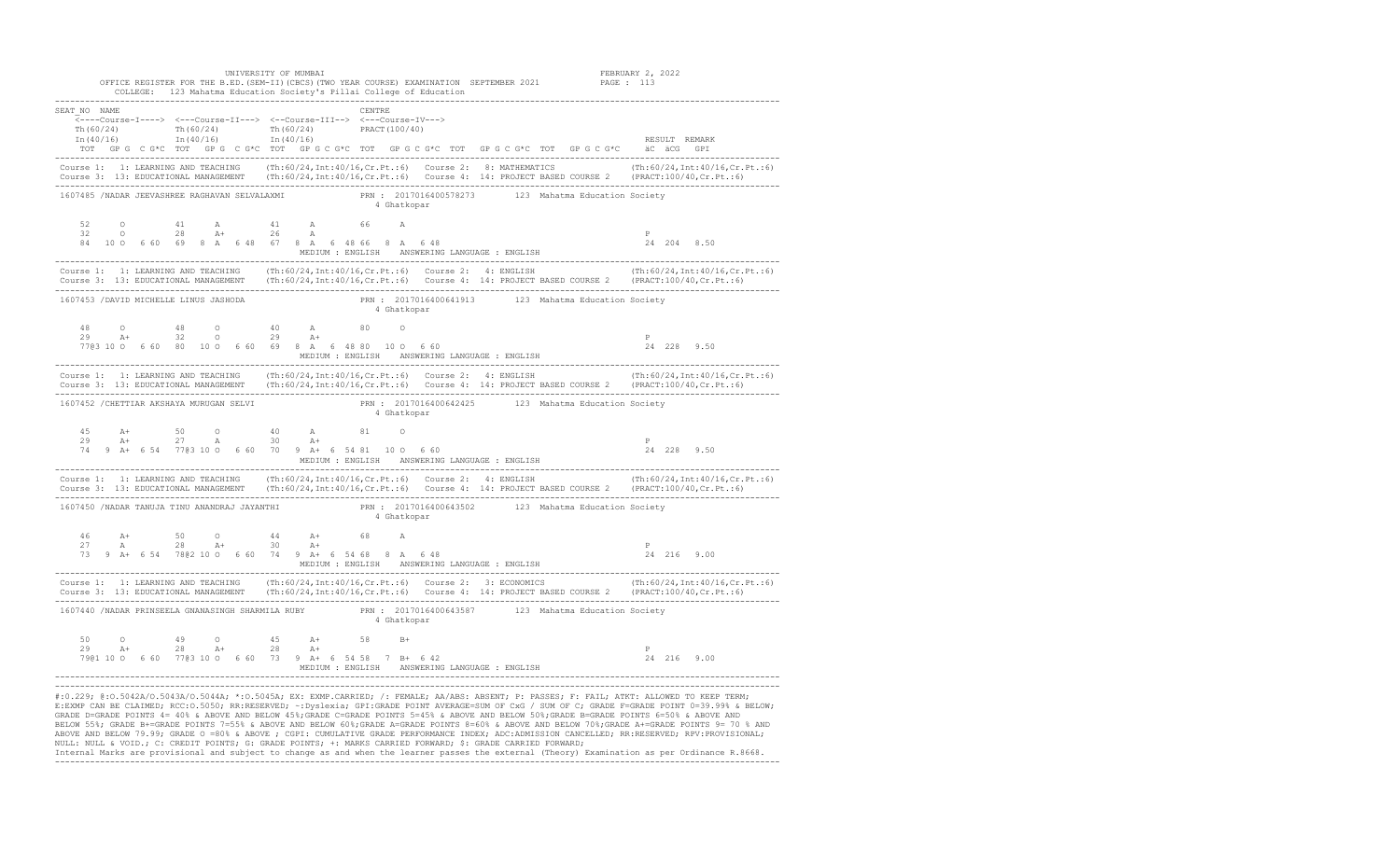|                                                                                                                                                                                                                                                    | OFFICE REGISTER FOR THE B.ED. (SEM-II) (CBCS) (TWO YEAR COURSE) EXAMINATION SEPTEMBER 2021 PAGE : 113<br>COLLEGE: 123 Mahatma Education Society's Pillai College of Education                                                     |                             |
|----------------------------------------------------------------------------------------------------------------------------------------------------------------------------------------------------------------------------------------------------|-----------------------------------------------------------------------------------------------------------------------------------------------------------------------------------------------------------------------------------|-----------------------------|
| SEAT NO NAME<br><----Course-I----> <---Course-II---> <--Course-III--> <---Course-IV--->                                                                                                                                                            | CENTRE<br>TOT GPG CG*C TOT GPG CG*C TOT GPG CG*C TOT GPG CG*C TOT GPG CG*C TOT GPG CG*C aC aCG GPI                                                                                                                                | RESULT REMARK               |
|                                                                                                                                                                                                                                                    | Course 1: 1: LEARNING AND TEACHING (Th:60/24,Int:40/16,Cr.Pt.:6) Course 2: 8: MATHEMATICS (Th:60/24,Int:40/16,Cr.Pt.:6)<br>Course 3: 13: EDUCATIONAL MANAGEMENT (Th:60/24,Int:40/16,Cr.Pt.:6) Course 4: 14: PROJECT BASED COURSE  |                             |
|                                                                                                                                                                                                                                                    | 1607485 /NADAR JEEVASHREE RAGHAVAN SELVALAXMI PRN : 2017016400578273 123 Mahatma Education Society<br>4 Ghatkopar                                                                                                                 |                             |
| 52<br>$\circ$<br>41 A<br>32<br>28 A+ 26 A<br>$\overline{O}$                                                                                                                                                                                        | 41 A 66 A                                                                                                                                                                                                                         | $\mathbb{P}$                |
|                                                                                                                                                                                                                                                    | Course 1: 1: LEARNING AND TEACHING (Th:60/24,Int:40/16,Cr.Pt.:6) Course 2: 4: ENGLISH (Th:60/24,Int:40/16,Cr.Pt.:6)<br>Course 3: 13: EDUCATIONAL MANAGEMENT (Th:60/24,Int:40/16,Cr.Pt.:6) Course 4: 14: PROJECT BASED COURSE 2 (P |                             |
| 1607453 /DAVID MICHELLE LINUS JASHODA                                                                                                                                                                                                              | PRN : 2017016400641913 123 Mahatma Education Society<br>4 Ghatkopar                                                                                                                                                               |                             |
| $\begin{array}{ccccccccccc} 48 & & {\rm O} & & & 48 & & {\rm O} & & & 40 & & {\rm A} & & & 80 & & {\rm O} \\ 29 & & {\rm A}+ & & & 32 & & {\rm O} & & & 29 & & {\rm A}+ & & & \end{array}$<br>77@3 10 0 6 60 80 10 0 6 60 69 8 A 6 48 80 10 0 6 60 |                                                                                                                                                                                                                                   | P<br>24 228 9.50            |
|                                                                                                                                                                                                                                                    | Course 1: 1: LEARNING AND TEACHING (Th:60/24,Int:40/16,Cr.Pt.:6) Course 2: 4: ENGLISH (Th:60/24,Int:40/16,Cr.Pt.:6)<br>Course 3: 13: EDUCATIONAL MANAGEMENT (Th:60/24,Int:40/16,Cr.Pt.:6) Course 4: 14: PROJECT BASED COURSE 2 (P |                             |
|                                                                                                                                                                                                                                                    | 1607452 / CHETTIAR AKSHAYA MURUGAN SELVI <b>FRICE 2017016400642425</b> 123 Mahatma Education Society<br>4 Ghatkopar                                                                                                               |                             |
| $\begin{array}{ccccccc} 50 & & & \textrm{O} & & & \textrm{40} & & \textrm{A} \\ 27 & & \textrm{A} & & \textrm{30} & & \textrm{A+} \end{array}$<br>45<br>50<br>$A+$<br>29 A+                                                                        | 81 0<br>$74$ 9 a+ 6 54 $77/$ 3 10 $\overline{0}$ 6 60 $\overline{0}$ 9 a+ 6 54 81 10 0 6 60 $\overline{24}$ 228 9.50 $\overline{24}$ 228 9.50 $\overline{24}$ 228 9.50                                                            | P                           |
|                                                                                                                                                                                                                                                    | Course 1: 1: LEARNING AND TEACHING (Th:60/24,Int:40/16,Cr.Pt.:6) Course 2: 4: ENGLISH (Th:60/24,Int:40/16,Cr.Pt.:6)<br>Course 3: 13: EDUCATIONAL MANAGEMENT (Th:60/24,Int:40/16,Cr.Pt.:6) Course 4: 14: PROJECT BASED COURSE 2 (P |                             |
| 1607450 /NADAR TANUJA TINU ANANDRAJ JAYANTHI                                                                                                                                                                                                       | PRN : 2017016400643502 123 Mahatma Education Society<br>4 Ghatkopar                                                                                                                                                               |                             |
|                                                                                                                                                                                                                                                    | 73 9 A + 6 54 780 2 10 0 6 60 74 9 A + 6 54 68 8 A 6 48                                                                                                                                                                           | $\mathbb{P}$<br>24 216 9.00 |
|                                                                                                                                                                                                                                                    | Course 1: 1: LEARNING AND TEACHING (Th:60/24,Int:40/16,Cr.Pt.:6) Course 2: 3: ECONOMICS (Th:60/24,Int:40/16,Cr<br>Course 3: 13: EDUCATIONAL MANAGEMENT (Th:60/24,Int:40/16,Cr.Pt.:6) Course 4: 14: PROJECT BASED COURSE 2 (PRACT: |                             |
|                                                                                                                                                                                                                                                    | 1607440 /NADAR PRINSEELA GNANASINGH SHARMILA RUBY PRN : 2017016400643587 123 Mahatma Education Society<br>4 Ghatkopar                                                                                                             |                             |
| $\circ$ $\circ$<br>50<br>$\Omega$<br>49<br>$A+$ 28 $A+$ 28 $A+$<br>29<br>79@1 10 0 6 60 77@3 10 0 6 60 73 9 A+ 6 54 58 7 B+ 6 42                                                                                                                   | 45 A+ 58<br>$B+$<br>MEDIUM : ENGLISH ANSWERING LANGUAGE : ENGLISH                                                                                                                                                                 | $\, {\bf P}$<br>24 216 9.00 |

#:0.229; @:O.5042A/O.5043A/O.5044A; \*:O.5045A; EX: EXMP.CARRIED; /: FEMALE; AA/ABS: ABSENT; P: PASSES; F: FAIL; ATKT: ALLOWED TO KEEP TERM; E:EXMP CAN BE CLAIMED; RCC:O.5050; RR:RESERVED; ~:Dyslexia; GPI:GRADE POINT AVERAGE=SUM OF CxG / SUM OF C; GRADE F=GRADE POINT 0=39.99% & BELOW; GRADE D=GRADE POINTS 4= 40% & ABOVE AND BELOW 45%;GRADE C=GRADE POINTS 5=45% & ABOVE AND BELOW 50%;GRADE B=GRADE POINTS 6=50% & ABOVE AND<br>BELOW 55%; GRADE B+=GRADE POINTS 7=55% & ABOVE AND BELOW 60%;GRADE A=GRADE POINTS 8= ABOVE AND BELOW 79.99; GRADE O =80% & ABOVE ; CGPI: CUMULATIVE GRADE PERFORMANCE INDEX; ADC:ADMISSION CANCELLED; RR:RESERVED; RPV:PROVISIONAL; NULL: NULL & VOID.; C: CREDIT POINTS; G: GRADE POINTS; +: MARKS CARRIED FORWARD; \$: GRADE CARRIED FORWARD;

-------------------------------------------------------------------------------------------------------------------------------------------------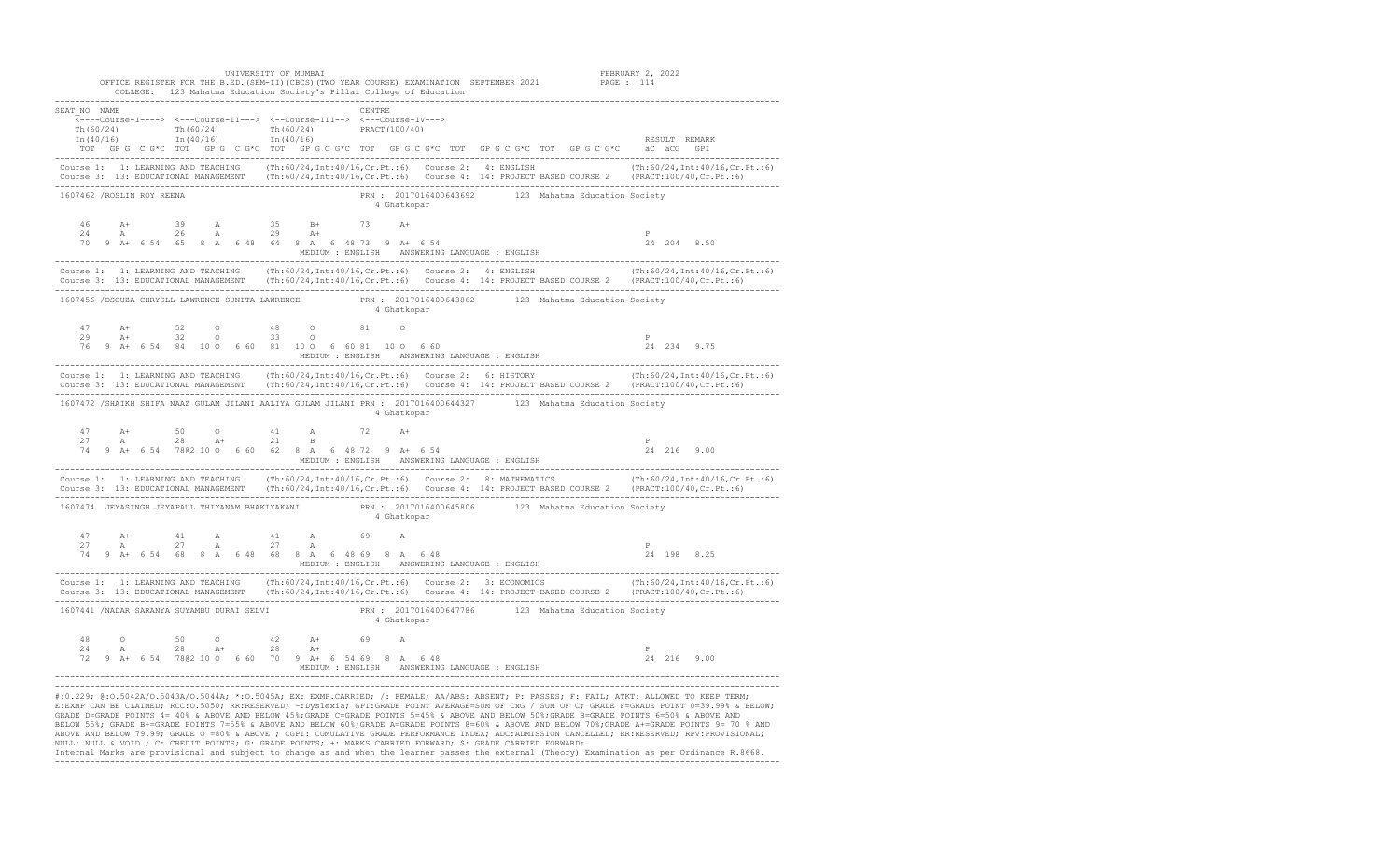| OFFICE REGISTER FOR THE B.ED. (SEM-II) (CBCS) (TWO YEAR COURSE) EXAMINATION SEPTEMBER 2021 PAGE : 114<br>COLLEGE: 123 Mahatma Education Society's Pillai College of Education                                                                                                                                                                                                                                                  |               |
|--------------------------------------------------------------------------------------------------------------------------------------------------------------------------------------------------------------------------------------------------------------------------------------------------------------------------------------------------------------------------------------------------------------------------------|---------------|
| SEAT NO NAME<br>CENTRE<br><----Course-I----> <---Course-II---> <--Course-III--> <---Course-IV---><br>$\begin{tabular}{llllll} \hline \mbox{Th (60/24)} & \mbox{Th (60/24)} & \mbox{Th (60/24)} & \mbox{Th (40/16)} \\ \mbox{In (40/16)} & \mbox{In (40/16)} & \mbox{In (40/16)} & \mbox{In (40/16)} \\ \hline \end{tabular}$<br>TOT GPG C G*C TOT GPG C G*C TOT GPG C G*C TOT GPG C G*C TOT GPG C G*C TOT GPG C G*C aC aCG GPI | RESULT REMARK |
| Course 1: 1: LEARNING AND TEACHING (Th:60/24, Int:40/16, Cr. Pt.:6) Course 2: 4: ENGLISH (Th:60/24, Int:40/16, Cr. Pt.:6)<br>Course 3: 13: EDUCATIONAL MANAGEMENT (Th:60/24, Int:40/16, Cr. Pt.:6) Course 4: 14: PROJECT BASED COURSE 2 (PRACT:100/40, Cr. Pt.:6)                                                                                                                                                              |               |
| PRN: 2017016400643692 123 Mahatma Education Society<br>1607462 /ROSLIN ROY REENA<br>4 Ghatkopar                                                                                                                                                                                                                                                                                                                                |               |
| A+ 39 A 35 B+ 73 A+<br>46<br>24<br>A 26 A 29 A+<br>$\mathbb{P}$                                                                                                                                                                                                                                                                                                                                                                |               |
| Course 1: 1: LEARNING AND TEACHING (Th:60/24,Int:40/16,Cr.Pt.:6) Course 2: 4: ENGLISH (Th:60/24,Int:40/16,Cr.Pt.:6)<br>Course 3: 13: EDUCATIONAL MANAGEMENT (Th:60/24,Int:40/16,Cr.Pt.:6) Course 4: 14: PROJECT BASED COURSE 2 (P                                                                                                                                                                                              |               |
| 1607456 /DSOUZA CHRYSLL LAWRENCE SUNITA LAWRENCE PRN : 2017016400643862 123 Mahatma Education Society<br>4 Ghatkopar                                                                                                                                                                                                                                                                                                           |               |
| A+ 52 0 48 0 81 0<br>A+ 32 0 33 0<br>47<br>29<br>P<br>76 9 A+ 6 54 84 10 0 6 60 81 10 0 6 60 81 10 0 6 60                                                                                                                                                                                                                                                                                                                      | 24 234 9.75   |
| Course 1: 1: LEARNING AND TEACHING (Th:60/24,Int:40/16,Cr.Pt.:6) Course 2: 6: HISTORY (Th:60/24,Int:40/16,Cr.Pt.:6)<br>Course 3: 13: EDUCATIONAL MANAGEMENT (Th:60/24,Int:40/16,Cr.Pt.:6) Course 4: 14: PROJECT BASED COURSE 2 (P                                                                                                                                                                                              |               |
| 1607472 /SHAIKH SHIFA NAAZ GULAM JILANI AALIYA GULAM JILANI PRN : 2017016400644327 123 Mahatma Education Society<br>4 Ghatkopar                                                                                                                                                                                                                                                                                                |               |
| 41 $A$ 72 $A+$<br>47<br>50<br>$\overline{O}$ and $\overline{O}$ and $\overline{O}$ and $\overline{O}$<br>$A+$<br>28 A+ 21 B<br>27<br>A<br>P                                                                                                                                                                                                                                                                                    |               |
| Course 1: 1: LEARNING AND TEACHING (Th:60/24,Int:40/16,Cr.Pt.:6) Course 2: 8: MATHEMATICS (Th:60/24,Int:40/16,Cr.Pt.:6)<br>Course 3: 13: EDUCATIONAL MANAGEMENT (Th:60/24,Int:40/16,Cr.Pt.:6) Course 4: 14: PROJECT BASED COURSE                                                                                                                                                                                               |               |
| 1607474 JEYASINGH JEYAPAUL THIYANAM BHAKIYAKANI PRN : 2017016400645806 123 Mahatma Education Society<br>4 Ghatkopar                                                                                                                                                                                                                                                                                                            |               |
| A+ 41 A 41 A 69 A<br>A 27 A 27 A<br>47<br>$74$ 9 A + 6 54 68 8 A 6 48 68 8 A 6 48 69 8 A 6 48<br>$-$<br>P                                                                                                                                                                                                                                                                                                                      | 24 198 8.25   |
| Course 1: 1: LEARNING AND TEACHING (Th:60/24,Int:40/16,Cr.Pt.:6) Course 2: 3: ECONOMICS (Th:60/24,Int:40/16,Cr<br>Course 3: 13: EDUCATIONAL MANAGEMENT (Th:60/24,Int:40/16,Cr.Pt.:6) Course 4: 14: PROJECT BASED COURSE 2 (PRACT:                                                                                                                                                                                              |               |
| 1607441 /NADAR SARANYA SUYAMBU DURAI SELVI PRN : 2017016400647786 123 Mahatma Education Society<br>4 Ghatkopar                                                                                                                                                                                                                                                                                                                 |               |
| $0 \qquad \qquad$<br>48<br>$\circ$<br>50<br>42 A+ 69 A<br>A $28$ $A+$ $28$ $A+$<br>$\, {\bf P}$<br>24<br>72 9 A+ 6 54 7802 10 0 6 60 70 9 A+ 6 54 69 8 A 6 48<br>MEDIUM : ENGLISH ANSWERING LANGUAGE : ENGLISH                                                                                                                                                                                                                 | 24 216 9.00   |

#:0.229; @:O.5042A/O.5043A/O.5044A; \*:O.5045A; EX: EXMP.CARRIED; /: FEMALE; AA/ABS: ABSENT; P: PASSES; F: FAIL; ATKT: ALLOWED TO KEEP TERM; E:EXMP CAN BE CLAIMED; RCC:O.5050; RR:RESERVED; ~:Dyslexia; GPI:GRADE POINT AVERAGE=SUM OF CxG / SUM OF C; GRADE F=GRADE POINT 0=39.99% & BELOW; GRADE D=GRADE POINTS 4= 40% & ABOVE AND BELOW 45%;GRADE C=GRADE POINTS 5=45% & ABOVE AND BELOW 50%;GRADE B=GRADE POINTS 6=50% & ABOVE AND<br>BELOW 55%; GRADE B+=GRADE POINTS 7=55% & ABOVE AND BELOW 60%;GRADE A=GRADE POINTS 8= ABOVE AND BELOW 79.99; GRADE O =80% & ABOVE ; CGPI: CUMULATIVE GRADE PERFORMANCE INDEX; ADC:ADMISSION CANCELLED; RR:RESERVED; RPV:PROVISIONAL; NULL: NULL & VOID.; C: CREDIT POINTS; G: GRADE POINTS; +: MARKS CARRIED FORWARD; \$: GRADE CARRIED FORWARD;

-------------------------------------------------------------------------------------------------------------------------------------------------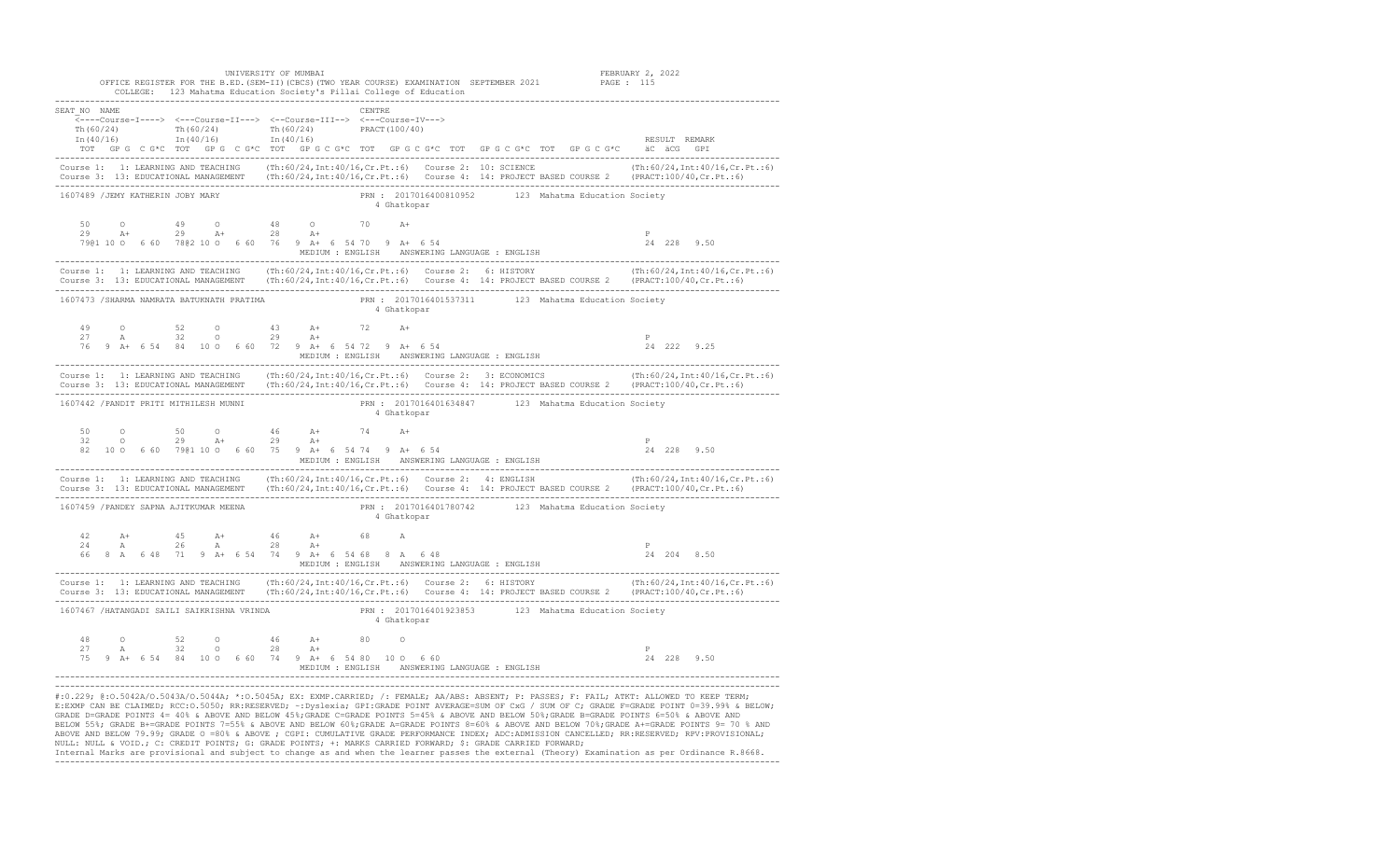|                                                                                                                                      | OFFICE REGISTER FOR THE B.ED. (SEM-II) (CBCS) (TWO YEAR COURSE) EXAMINATION SEPTEMBER 2021 PAGE : 115<br>COLLEGE: 123 Mahatma Education Society's Pillai College of Education                                                                                      |                             |  |
|--------------------------------------------------------------------------------------------------------------------------------------|--------------------------------------------------------------------------------------------------------------------------------------------------------------------------------------------------------------------------------------------------------------------|-----------------------------|--|
| SEAT NO NAME<br><----Course-I----> <---Course-II---> <--Course-III--> <---Course-IV--->                                              | CENTRE<br>TOT GPG C G*C TOT GPG C G*C TOT GPG C G*C TOT GPG C G*C TOT GPG C G*C TOT GPG C G*C äC äCG GPI                                                                                                                                                           | RESULT REMARK               |  |
|                                                                                                                                      | Course 1: 1: LEARNING AND TEACHING (Th:60/24, Int:40/16, Cr. Pt.:6) Course 2: 10: SCIENCE (Th:60/24, Int:40/16, Cr. Pt.:6)<br>Course 3: 13: EDUCATIONAL MANAGEMENT (Th:60/24, Int:40/16, Cr. Pt.:6) Course 4: 14: PROJECT BASED COURSE 2 (PRACT:100/40, Cr. Pt.:6) |                             |  |
| 1607489 / JEMY KATHERIN JOBY MARY                                                                                                    | PRN: 2017016400810952 123 Mahatma Education Society<br>4 Ghatkopar                                                                                                                                                                                                 |                             |  |
| 50<br>$\circ$<br>49<br>$\circ$ $\circ$<br>$29$ $A+$<br>$29 \qquad A+$<br>79@1 10 0 6 60 78@2 10 0 6 60 76 9 A+ 6 54 70 9 A+ 6 54     | 48 0<br>70 A+<br>$28$ $A+$                                                                                                                                                                                                                                         | $\mathbb{P}$<br>24 228 9.50 |  |
|                                                                                                                                      | Course 1: 1: LEARNING AND TEACHING (Th:60/24,Int:40/16,Cr.Pt.:6) Course 2: 6: HISTORY (Th:60/24,Int:40/16,Cr.Pt.:6)<br>Course 3: 13: EDUCATIONAL MANAGEMENT (Th:60/24,Int:40/16,Cr.Pt.:6) Course 4: 14: PROJECT BASED COURSE 2 (P                                  |                             |  |
| 1607473 /SHARMA NAMRATA BATUKNATH PRATIMA                                                                                            | PRN : 2017016401537311 123 Mahatma Education Society<br>4 Ghatkopar                                                                                                                                                                                                |                             |  |
| 49<br>27<br>76 9 A+ 6 54 84 10 0 6 60 72 9 A+ 6 54 72 9 A+ 6 54                                                                      | MEDIUM : ENGLISH ANSWERING LANGUAGE : ENGLISH                                                                                                                                                                                                                      | $\mathbb{P}$<br>24 222 9.25 |  |
|                                                                                                                                      | Course 1: 1: LEARNING AND TEACHING (Th:60/24, Int:40/16, Cr. Pt.:6) Course 2: 3: ECONOMICS (Th:60/24, Int:40/16, Cr. Pt.:6)<br>Course 3: 13: EDUCATIONAL MANAGEMENT (Th:60/24, Int:40/16, Cr. Pt.:6) Course 4: 14: PROJECT BASED                                   |                             |  |
| 1607442 / PANDIT PRITI MITHILESH MUNNI                                                                                               | PRN: 2017016401634847 123 Mahatma Education Society<br>4 Ghatkopar                                                                                                                                                                                                 |                             |  |
| 50<br>$\circ$<br>50<br>$\overline{O}$<br>$29$ $A+$<br>$\circ$ $\circ$<br>32<br>82 10 0 6 60 7901 10 0 6 60 75 9 A+ 6 54 74 9 A+ 6 54 | $46$ A+<br>$74$ A+<br>$29$ $A+$<br>MEDIUM : ENGLISH ANSWERING LANGUAGE : ENGLISH                                                                                                                                                                                   | $\mathbb{P}$<br>24 228 9.50 |  |
|                                                                                                                                      | Course 1: 1: LEARNING AND TEACHING (Th:60/24,Int:40/16,Cr.Pt.:6) Course 2: 4: ENGLISH (Th:60/24,Int:40/16,Cr.Pt.:6)<br>Course 3: 13: EDUCATIONAL MANAGEMENT (Th:60/24,Int:40/16,Cr.Pt.:6) Course 4: 14: PROJECT BASED COURSE 2 (P                                  |                             |  |
| 1607459 / PANDEY SAPNA AJITKUMAR MEENA<br>PRN : 2017016401780742 123 Mahatma Education Society<br>4 Ghatkopar                        |                                                                                                                                                                                                                                                                    |                             |  |
| 42<br>$A+$<br>$\mathbbm{A}$ , and $\mathbbm{A}$<br>24<br>66 8 A 6 48 71 9 A+ 6 54 74 9 A+ 6 54 68 8 A 6 48                           | $\begin{array}{ccccccc}\n45 & & A+ & & 46 & & A+ & & 68 & & A\\ 26 & & A & & 28 & & A+ & & &\n\end{array}$                                                                                                                                                         | $\mathbb{P}$<br>24 204 8.50 |  |
|                                                                                                                                      | Course 1: 1: LEARNING AND TEACHING (Th:60/24,Int:40/16,Cr.Pt.:6) Course 2: 6: HISTORY (Th:60/24,Int:40/16,Cr.Pt.:6)<br>Course 3: 13: EDUCATIONAL MANAGEMENT (Th:60/24,Int:40/16,Cr.Pt.:6) Course 4: 14: PROJECT BASED COURSE 2 (P                                  |                             |  |
| 1607467 / HATANGADI SAILI SAIKRISHNA VRINDA                                                                                          | PRN: 2017016401923853 123 Mahatma Education Society<br>4 Ghatkopar                                                                                                                                                                                                 |                             |  |
| 48<br>$\Omega$<br>52<br>$\Omega$<br>27<br>32 0<br>A<br>75 9 A+ 6 54 84 10 0 6 60 74 9 A+ 6 54 80 10 0 6 60                           | 46<br>80<br>$A+$<br>$\Omega$<br>28<br>$A+$<br>MEDIUM : ENGLISH ANSWERING LANGUAGE : ENGLISH                                                                                                                                                                        | $\, {\bf P}$<br>24 228 9.50 |  |

#:0.229; @:O.5042A/O.5043A/O.5044A; \*:O.5045A; EX: EXMP.CARRIED; /: FEMALE; AA/ABS: ABSENT; P: PASSES; F: FAIL; ATKT: ALLOWED TO KEEP TERM; E:EXMP CAN BE CLAIMED; RCC:O.5050; RR:RESERVED; ~:Dyslexia; GPI:GRADE POINT AVERAGE=SUM OF CxG / SUM OF C; GRADE F=GRADE POINT 0=39.99% & BELOW; GRADE D=GRADE POINTS 4= 40% & ABOVE AND BELOW 45%;GRADE C=GRADE POINTS 5=45% & ABOVE AND BELOW 50%;GRADE B=GRADE POINTS 6=50% & ABOVE AND<br>BELOW 55%; GRADE B+=GRADE POINTS 7=55% & ABOVE AND BELOW 60%;GRADE A=GRADE POINTS 8= ABOVE AND BELOW 79.99; GRADE O =80% & ABOVE ; CGPI: CUMULATIVE GRADE PERFORMANCE INDEX; ADC:ADMISSION CANCELLED; RR:RESERVED; RPV:PROVISIONAL; NULL: NULL & VOID.; C: CREDIT POINTS; G: GRADE POINTS; +: MARKS CARRIED FORWARD; \$: GRADE CARRIED FORWARD;

-------------------------------------------------------------------------------------------------------------------------------------------------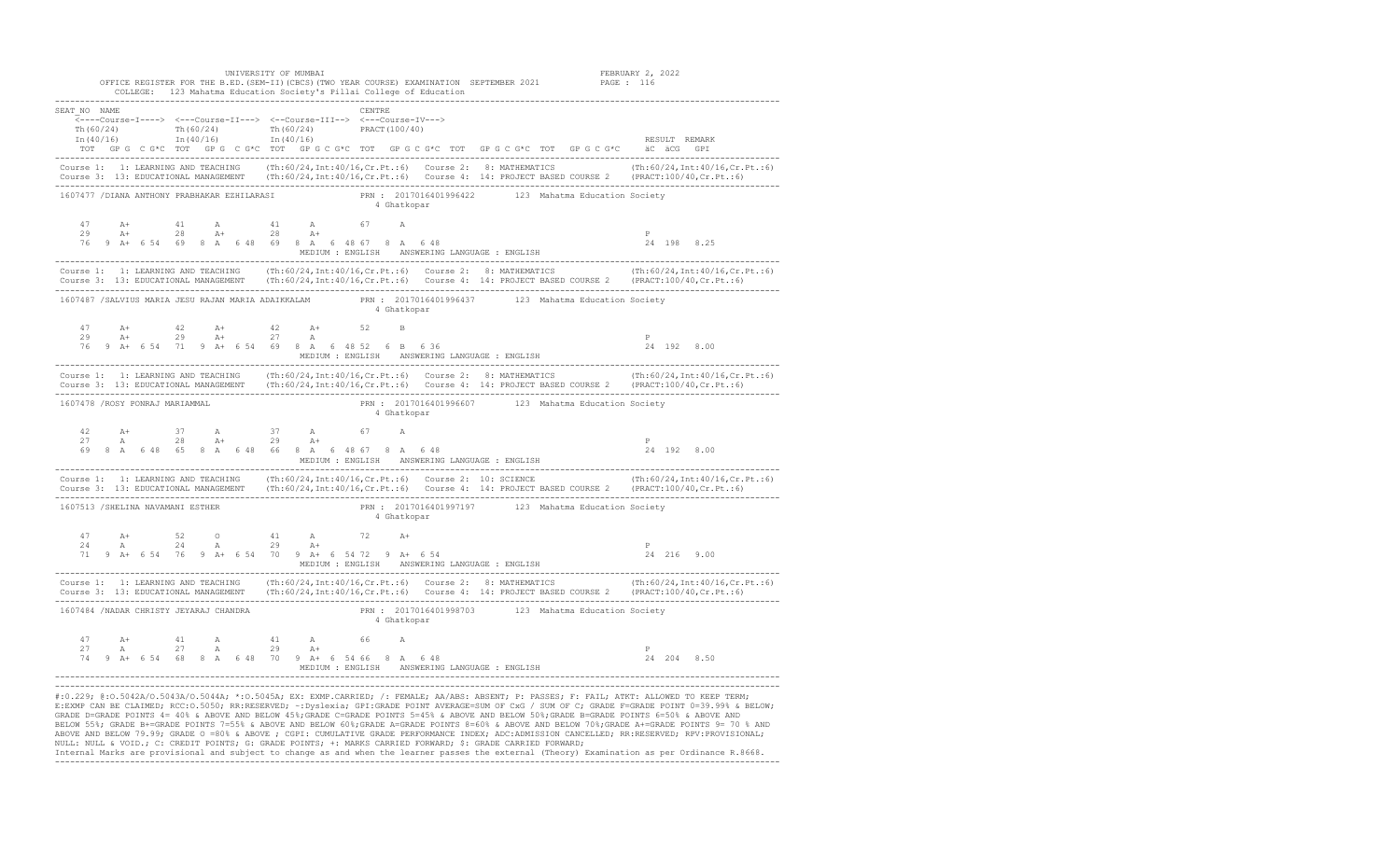|                                                                                                                                                                                                      | OFFICE REGISTER FOR THE B.ED. (SEM-II) (CBCS) (TWO YEAR COURSE) EXAMINATION SEPTEMBER 2021 PAGE : 116<br>COLLEGE: 123 Mahatma Education Society's Pillai College of Education                                                                                         |                             |
|------------------------------------------------------------------------------------------------------------------------------------------------------------------------------------------------------|-----------------------------------------------------------------------------------------------------------------------------------------------------------------------------------------------------------------------------------------------------------------------|-----------------------------|
| SEAT NO NAME                                                                                                                                                                                         | CENTRE<br><----Course-I----> <---Course-II---> <--Course-III--> <---Course-IV---><br>TOT GPG C G*C TOT GPG C G*C TOT GPG C G*C TOT GPG C G*C TOT GPG C G*C TOT GPG C G*C aC aCG GPI                                                                                   | RESULT REMARK               |
|                                                                                                                                                                                                      | Course 1: 1: LEARNING AND TEACHING (Th:60/24, Int:40/16, Cr. Pt.:6) Course 2: 8: MATHEMATICS (Th:60/24, Int:40/16, Cr. Pt.:6)<br>Course 3: 13: EDUCATIONAL MANAGEMENT (Th:60/24, Int:40/16, Cr. Pt.:6) Course 4: 14: PROJECT BASED COURSE 2 (PRACT:100/40, Cr. Pt.:6) |                             |
|                                                                                                                                                                                                      | 1607477 /DIANA ANTHONY PRABHAKAR EZHILARASI PRN : 2017016401996422 123 Mahatma Education Society<br>4 Ghatkopar                                                                                                                                                       |                             |
| 47<br>$A+$<br>41 A<br>$29 \qquad A+$<br>28 A+ 28 A+                                                                                                                                                  | 41 A 67 A                                                                                                                                                                                                                                                             | $_{\rm P}$<br>24 198 8.25   |
|                                                                                                                                                                                                      | Course 1: 1: LEARNING AND TEACHING (Th:60/24,Int:40/16,Cr.Pt.:6) Course 2: 8: MATHEMATICS (Th:60/24,Int:40/16,Cr.Pt.:6)<br>Course 3: 13: EDUCATIONAL MANAGEMENT (Th:60/24,Int:40/16,Cr.Pt.:6) Course 4: 14: PROJECT BASED COURSE                                      |                             |
|                                                                                                                                                                                                      | 1607487 /SALVIUS MARIA JESU RAJAN MARIA ADAIKKALAM PRN : 2017016401996437 123 Mahatma Education Society<br>4 Ghatkopar                                                                                                                                                |                             |
| 47<br>$A+$<br>29 A+ 27 A<br>29<br>$A+$                                                                                                                                                               | 42 A+ 42 A+ 52 B<br>76 9 A+ 6 54 71 9 A+ 6 54 69 8 A 6 48 52 6 B 6 36                                                                                                                                                                                                 | P<br>24 192 8.00            |
|                                                                                                                                                                                                      | Course 1: 1: LEARNING AND TEACHING (Th:60/24,Int:40/16,Cr.Pt.:6) Course 2: 8: MATHEMATICS (Th:60/24,Int:40/16,Cr.Pt.:6)<br>Course 3: 13: EDUCATIONAL MANAGEMENT (Th:60/24,Int:40/16,Cr.Pt.:6) Course 4: 14: PROJECT BASED COURSE                                      |                             |
| PRN: 2017016401996607 123 Mahatma Education Society<br>1607478 /ROSY PONRAJ MARIAMMAL<br>4 Ghatkopar                                                                                                 |                                                                                                                                                                                                                                                                       |                             |
| 42<br>37<br>A<br>$A+$<br>$28$ $A+$<br>27<br>A                                                                                                                                                        | 37 A<br>67 A<br>$29$ $A+$                                                                                                                                                                                                                                             | P                           |
|                                                                                                                                                                                                      | Course 1: 1: LEARNING AND TEACHING (Th:60/24,Int:40/16,Cr.Pt.:6) Course 2: 10: SCIENCE (Th:60/24,Int:40/16,Cr.Pt.:6)<br>Course 3: 13: EDUCATIONAL MANAGEMENT (Th:60/24,Int:40/16,Cr.Pt.:6) Course 4: 14: PROJECT BASED COURSE 2 (                                     |                             |
| 1607513 /SHELINA NAVAMANI ESTHER<br>PRN : 2017016401997197 123 Mahatma Education Society<br>4 Ghatkopar                                                                                              |                                                                                                                                                                                                                                                                       |                             |
| $\begin{array}{cccccccccccccc} 47 & & & {\rm A+} & & & 52 & & {\rm O} & & & 41 & & {\rm A} & & & 72 & & {\rm A+} \\ 24 & & & {\rm A} & & & 24 & & {\rm A} & & & 29 & & {\rm A+} & & & & \end{array}$ | 71 9 A+ 6 54 76 9 A+ 6 54 70 9 A+ 6 54 72 9 A+ 6 54                                                                                                                                                                                                                   | $\mathbb{P}$<br>24 216 9.00 |
|                                                                                                                                                                                                      | Course 1: 1: LEARNING AND TEACHING (Th:60/24,Int:40/16,Cr.Pt.:6) Course 2: 8: MATHEMATICS (Th:60/24,Int:40/16,Cr.Pt.:6)<br>Course 3: 13: EDUCATIONAL MANAGEMENT (Th:60/24,Int:40/16,Cr.Pt.:6) Course 4: 14: PROJECT BASED COURSE                                      |                             |
| PRN: 2017016401998703 123 Mahatma Education Society<br>1607484 /NADAR CHRISTY JEYARAJ CHANDRA<br>4 Ghatkopar                                                                                         |                                                                                                                                                                                                                                                                       |                             |
| 47<br>41<br>A<br>$A+$<br>27<br>$27$ A<br>A                                                                                                                                                           | 41 A<br>$\mathbb{A}$<br>$29$ $A+$<br>74 9 A+ 6 54 68 8 A 6 48 70 9 A+ 6 54 66 8 A 6 48<br>MEDIUM : ENGLISH ANSWERING LANGUAGE : ENGLISH                                                                                                                               | $\mathbb P$<br>24 204 8.50  |

#:0.229; @:O.5042A/O.5043A/O.5044A; \*:O.5045A; EX: EXMP.CARRIED; /: FEMALE; AA/ABS: ABSENT; P: PASSES; F: FAIL; ATKT: ALLOWED TO KEEP TERM; E:EXMP CAN BE CLAIMED; RCC:O.5050; RR:RESERVED; ~:Dyslexia; GPI:GRADE POINT AVERAGE=SUM OF CxG / SUM OF C; GRADE F=GRADE POINT 0=39.99% & BELOW; GRADE D=GRADE POINTS 4= 40% & ABOVE AND BELOW 45%;GRADE C=GRADE POINTS 5=45% & ABOVE AND BELOW 50%;GRADE B=GRADE POINTS 6=50% & ABOVE AND<br>BELOW 55%; GRADE B+=GRADE POINTS 7=55% & ABOVE AND BELOW 60%;GRADE A=GRADE POINTS 8= ABOVE AND BELOW 79.99; GRADE O =80% & ABOVE ; CGPI: CUMULATIVE GRADE PERFORMANCE INDEX; ADC:ADMISSION CANCELLED; RR:RESERVED; RPV:PROVISIONAL; NULL: NULL & VOID.; C: CREDIT POINTS; G: GRADE POINTS; +: MARKS CARRIED FORWARD; \$: GRADE CARRIED FORWARD;

-------------------------------------------------------------------------------------------------------------------------------------------------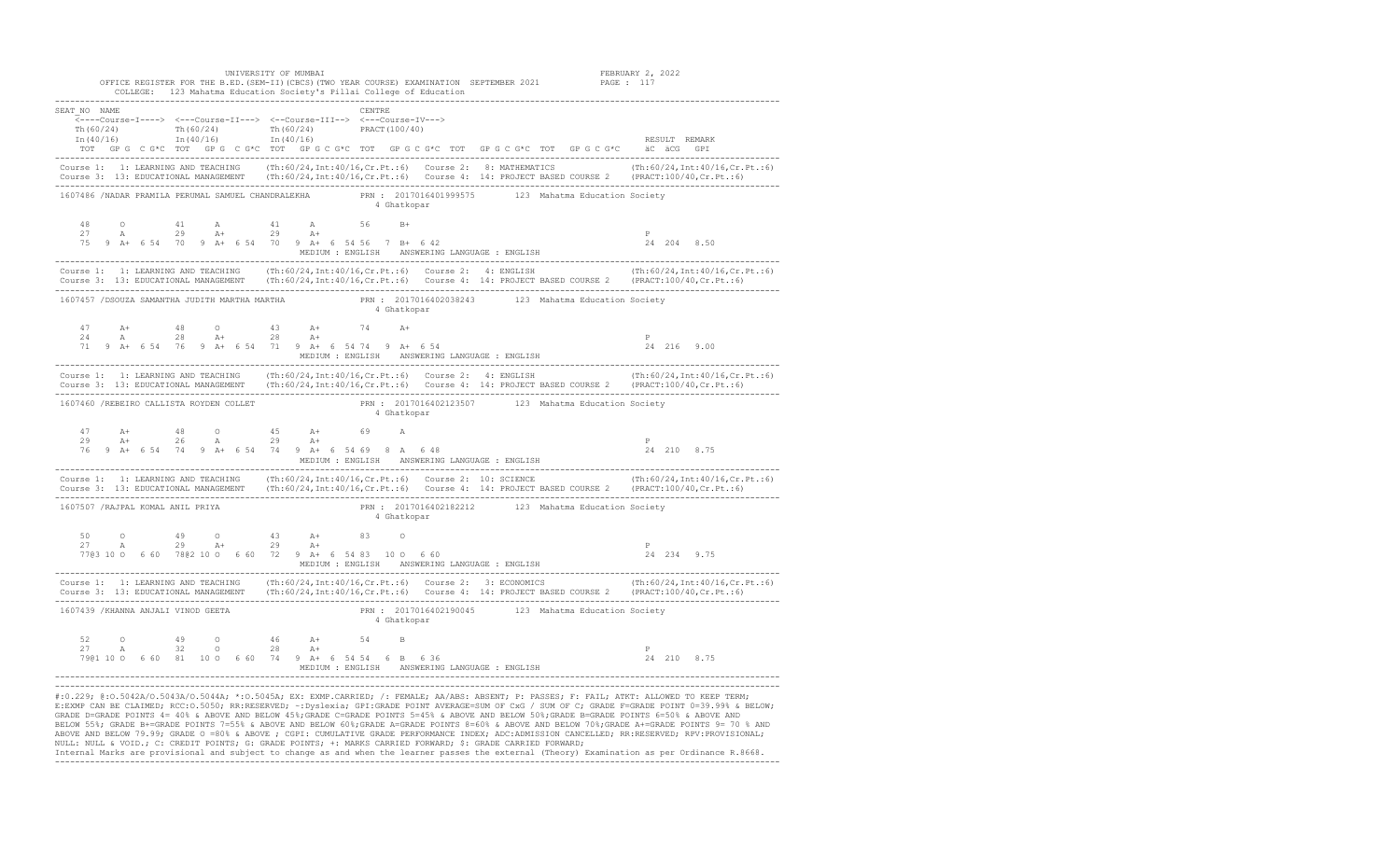|                                                                                                                               | OFFICE REGISTER FOR THE B.ED. (SEM-II) (CBCS) (TWO YEAR COURSE) EXAMINATION SEPTEMBER 2021 PAGE : 117<br>COLLEGE: 123 Mahatma Education Society's Pillai College of Education                                                                                         |                             |
|-------------------------------------------------------------------------------------------------------------------------------|-----------------------------------------------------------------------------------------------------------------------------------------------------------------------------------------------------------------------------------------------------------------------|-----------------------------|
| SEAT NO NAME<br><----Course-I----> <---Course-II---> <--Course-III--> <---Course-IV--->                                       | CENTRE<br>TOT GPG CG*C TOT GPG CG*C TOT GPG CG*C TOT GPG CG*C TOT GPG CG*C TOT GPG CG*C äC äCG GPI                                                                                                                                                                    | RESULT REMARK               |
|                                                                                                                               | Course 1: 1: LEARNING AND TEACHING (Th:60/24, Int:40/16, Cr. Pt.:6) Course 2: 8: MATHEMATICS (Th:60/24, Int:40/16, Cr. Pt.:6)<br>Course 3: 13: EDUCATIONAL MANAGEMENT (Th:60/24, Int:40/16, Cr. Pt.:6) Course 4: 14: PROJECT BASED COURSE 2 (PRACT:100/40, Cr. Pt.:6) |                             |
|                                                                                                                               | 1607486 /NADAR PRAMILA PERUMAL SAMUEL CHANDRALEKHA PRN: 2017016401999575 123 Mahatma Education Society<br>4 Ghatkopar                                                                                                                                                 |                             |
| $\circ$<br>48<br>41 A<br>$27$ A<br>29 A+ 29 A+                                                                                | 41 A 56 B+                                                                                                                                                                                                                                                            | $_{\rm P}$                  |
|                                                                                                                               | Course 1: 1: LEARNING AND TEACHING (Th:60/24,Int:40/16,Cr.Pt.:6) Course 2: 4: ENGLISH (Th:60/24,Int:40/16,Cr.Pt.:6)<br>Course 3: 13: EDUCATIONAL MANAGEMENT (Th:60/24,Int:40/16,Cr.Pt.:6) Course 4: 14: PROJECT BASED COURSE 2 (P                                     |                             |
|                                                                                                                               | 1607457 /DSOUZA SAMANTHA JUDITH MARTHA MARTHA PRN : 2017016402038243 123 Mahatma Education Society<br>4 Ghatkopar                                                                                                                                                     |                             |
| 47 A+ 48 0 43 A+ 74 A+<br>A 28 A+ 28 A+<br>24<br>71 9 A+ 6 54 76 9 A+ 6 54 71 9 A+ 6 54 74 9 A+ 6 54                          |                                                                                                                                                                                                                                                                       | P<br>24 216 9.00            |
|                                                                                                                               | Course 1: 1: LEARNING AND TEACHING (Th:60/24,Int:40/16,Cr.Pt.:6) Course 2: 4: ENGLISH (Th:60/24,Int:40/16,Cr.Pt.:6)<br>Course 3: 13: EDUCATIONAL MANAGEMENT (Th:60/24,Int:40/16,Cr.Pt.:6) Course 4: 14: PROJECT BASED COURSE 2 (P                                     |                             |
| 1607460 /REBEIRO CALLISTA ROYDEN COLLET PRN: 2017016402123507 123 Mahatma Education Society<br>4 Ghatkopar                    |                                                                                                                                                                                                                                                                       |                             |
| 47<br>$A+$<br>29<br>26 A 29 A+<br>$A+$                                                                                        | 48 0 45 A+ 69 A                                                                                                                                                                                                                                                       | P                           |
|                                                                                                                               | Course 1: 1: LEARNING AND TEACHING (Th:60/24,Int:40/16,Cr.Pt.:6) Course 2: 10: SCIENCE (Th:60/24,Int:40/16,Cr.Pt.:6)<br>Course 3: 13: EDUCATIONAL MANAGEMENT (Th:60/24,Int:40/16,Cr.Pt.:6) Course 4: 14: PROJECT BASED COURSE 2 (                                     |                             |
| 1607507 /RAJPAL KOMAL ANIL PRIYA<br>PRN : 2017016402182212 123 Mahatma Education Society<br>4 Ghatkopar                       |                                                                                                                                                                                                                                                                       |                             |
| 50 0 49 0 43 A+ 83 0<br>27 A 29 A+ 29 A+<br>77@3 10 0 6 60 78@2 10 0 6 60 72 9 A+ 6 54 83 10 0 6 60                           |                                                                                                                                                                                                                                                                       | $\mathbb{P}$<br>24 234 9.75 |
|                                                                                                                               | Course 1: 1: LEARNING AND TEACHING (Th:60/24,Int:40/16,Cr.Pt.:6) Course 2: 3: ECONOMICS (Th:60/24,Int:40/16,Cr<br>Course 3: 13: EDUCATIONAL MANAGEMENT (Th:60/24,Int:40/16,Cr.Pt.:6) Course 4: 14: PROJECT BASED COURSE 2 (PRACT:                                     |                             |
| 1607439 /KHANNA ANJALI VINOD GEETA                                                                                            | PRN: 2017016402190045 123 Mahatma Education Society<br>4 Ghatkopar                                                                                                                                                                                                    |                             |
| $49$ 0 $46$ $4+$<br>32 0 28 $A+$<br>52<br>$\circ$<br>27<br>$A \sim 1$<br>7901 10 0 6 60 81 10 0 6 60 74 9 A+ 6 54 54 6 B 6 36 | 54 6<br>B<br>MEDIUM : ENGLISH ANSWERING LANGUAGE : ENGLISH                                                                                                                                                                                                            | $\, {\bf P}$<br>24 210 8.75 |

#:0.229; @:O.5042A/O.5043A/O.5044A; \*:O.5045A; EX: EXMP.CARRIED; /: FEMALE; AA/ABS: ABSENT; P: PASSES; F: FAIL; ATKT: ALLOWED TO KEEP TERM; E:EXMP CAN BE CLAIMED; RCC:O.5050; RR:RESERVED; ~:Dyslexia; GPI:GRADE POINT AVERAGE=SUM OF CxG / SUM OF C; GRADE F=GRADE POINT 0=39.99% & BELOW; GRADE D=GRADE POINTS 4= 40% & ABOVE AND BELOW 45%;GRADE C=GRADE POINTS 5=45% & ABOVE AND BELOW 50%;GRADE B=GRADE POINTS 6=50% & ABOVE AND<br>BELOW 55%; GRADE B+=GRADE POINTS 7=55% & ABOVE AND BELOW 60%;GRADE A=GRADE POINTS 8= ABOVE AND BELOW 79.99; GRADE O =80% & ABOVE ; CGPI: CUMULATIVE GRADE PERFORMANCE INDEX; ADC:ADMISSION CANCELLED; RR:RESERVED; RPV:PROVISIONAL; NULL: NULL & VOID.; C: CREDIT POINTS; G: GRADE POINTS; +: MARKS CARRIED FORWARD; \$: GRADE CARRIED FORWARD;

-------------------------------------------------------------------------------------------------------------------------------------------------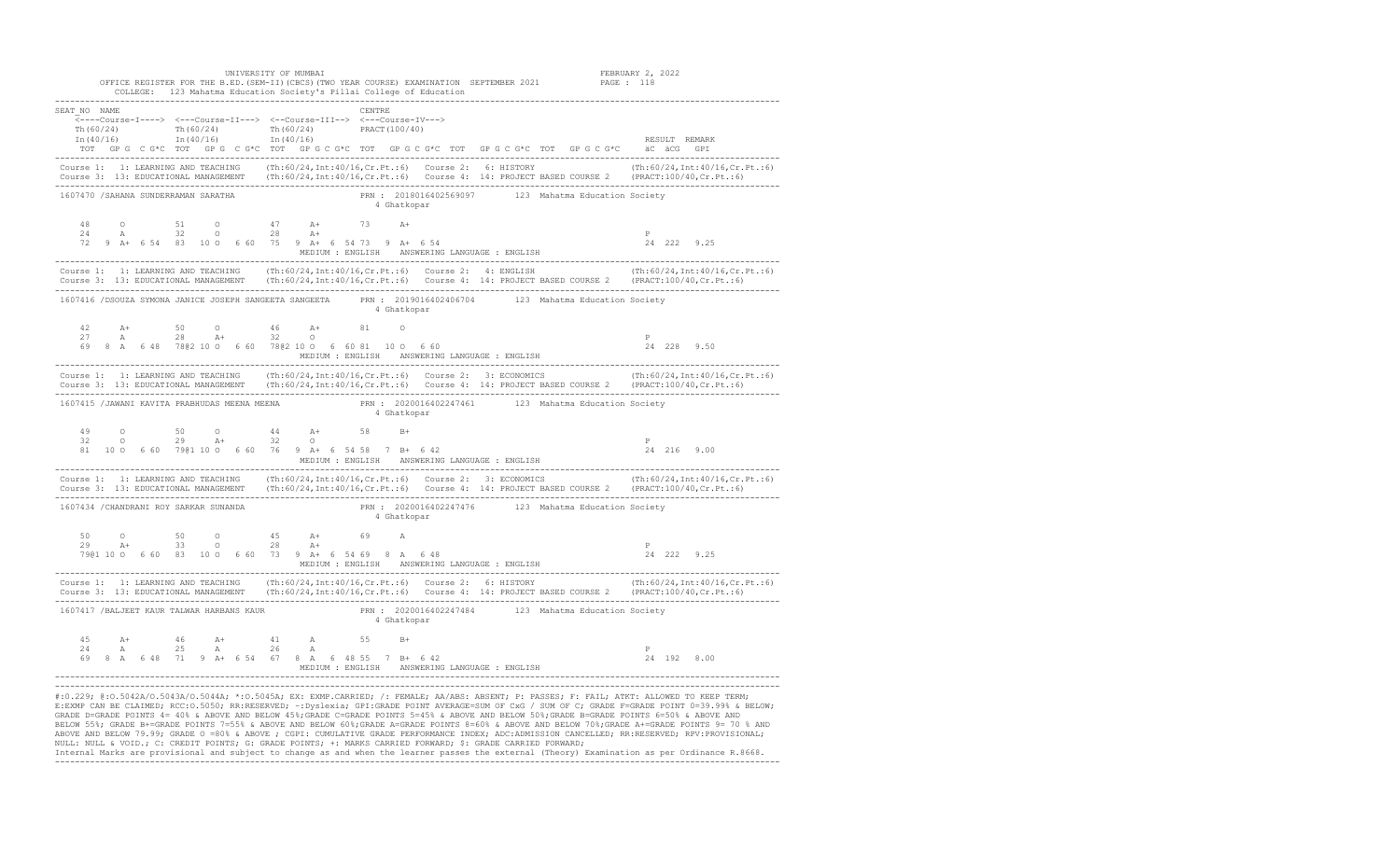|                                                                                                                                                                                                                                                               | OFFICE REGISTER FOR THE B.ED. (SEM-II) (CBCS) (TWO YEAR COURSE) EXAMINATION SEPTEMBER 2021 PAGE : 118<br>COLLEGE: 123 Mahatma Education Society's Pillai College of Education                                                                                     |                             |  |
|---------------------------------------------------------------------------------------------------------------------------------------------------------------------------------------------------------------------------------------------------------------|-------------------------------------------------------------------------------------------------------------------------------------------------------------------------------------------------------------------------------------------------------------------|-----------------------------|--|
| SEAT NO NAME<br><----Course-I----> <---Course-II---> <--Course-III--> <---Course-IV--->                                                                                                                                                                       | CENTRE<br>TOT GPG C G*C TOT GPG C G*C TOT GPG C G*C TOT GPG C G*C TOT GPG C G*C TOT GPG C G*C aC aCG GPI                                                                                                                                                          | RESULT REMARK               |  |
|                                                                                                                                                                                                                                                               | Course 1: 1: LEARNING AND TEACHING (Th:60/24, Int:40/16, Cr. Pt.:6) Course 2: 6: HISTORY (Th:60/24, Int:40/16, Cr. Pt.:6)<br>Course 3: 13: EDUCATIONAL MANAGEMENT (Th:60/24, Int:40/16, Cr. Pt.:6) Course 4: 14: PROJECT BASED COURSE 2 (PRACT:100/40, Cr. Pt.:6) |                             |  |
| 1607470 / SAHANA SUNDERRAMAN SARATHA                                                                                                                                                                                                                          | PRN: 2018016402569097 123 Mahatma Education Society<br>4 Ghatkopar                                                                                                                                                                                                |                             |  |
| 0 51 0 47 A+ 73 A+<br>48<br>24<br>A 32 0                                                                                                                                                                                                                      | 28 A+                                                                                                                                                                                                                                                             | $\mathbb{P}$                |  |
|                                                                                                                                                                                                                                                               | Course 1: 1: LEARNING AND TEACHING (Th:60/24,Int:40/16,Cr.Pt.:6) Course 2: 4: ENGLISH (Th:60/24,Int:40/16,Cr.Pt.:6)<br>Course 3: 13: EDUCATIONAL MANAGEMENT (Th:60/24,Int:40/16,Cr.Pt.:6) Course 4: 14: PROJECT BASED COURSE 2 (P                                 |                             |  |
|                                                                                                                                                                                                                                                               | 1607416 /DSOUZA SYMONA JANICE JOSEPH SANGEETA SANGEETA PRN : 2019016402406704 123 Mahatma Education Society<br>4 Ghatkopar                                                                                                                                        |                             |  |
| $\begin{array}{cccccccccccccc} 42 & & {\bf A}+ & & & 50 & & {\bf O} & & & 46 & & {\bf A}+ & & & 81 & & {\bf O}\\ 27 & & {\bf A} & & & 28 & & {\bf A}+ & & 32 & & {\bf O} & & & & & & & \end{array}$<br>69 8 A 6 48 78@2 10 O 6 60 78@2 10 O 6 60 81 10 O 6 60 |                                                                                                                                                                                                                                                                   | P<br>24 228 9.50            |  |
|                                                                                                                                                                                                                                                               | Course 1: 1: LEARNING AND TEACHING (Th:60/24,Int:40/16,Cr.Pt.:6) Course 2: 3: ECONOMICS (Th:60/24,Int:40/16,Cr.Pt.:6)<br>Course 3: 13: EDUCATIONAL MANAGEMENT (Th:60/24,Int:40/16,Cr.Pt.:6) Course 4: 14: PROJECT BASED COURSE 2                                  |                             |  |
| 1607415 /JAWANI KAVITA PRABHUDAS MEENA MEENA (PRN : 2020016402247461 123 Mahatma Education Society<br>4 Ghatkopar                                                                                                                                             |                                                                                                                                                                                                                                                                   |                             |  |
| $\overline{O}$ and $\overline{O}$ and $\overline{O}$<br>49<br>$\circ$<br>50<br>$32 \t 0 \t 29 \t A+$                                                                                                                                                          | 44 $A+$ 58 $B+$<br>32 0                                                                                                                                                                                                                                           | P                           |  |
|                                                                                                                                                                                                                                                               | Course 1: 1: LEARNING AND TEACHING (Th:60/24,Int:40/16,Cr.Pt.:6) Course 2: 3: ECONOMICS (Th:60/24,Int:40/16,Cr.Pt.:6)<br>Course 3: 13: EDUCATIONAL MANAGEMENT (Th:60/24,Int:40/16,Cr.Pt.:6) Course 4: 14: PROJECT BASED COURSE 2                                  |                             |  |
| 1607434 / CHANDRANI ROY SARKAR SUNANDA<br>PRN : 2020016402247476 123 Mahatma Education Society<br>4 Ghatkopar                                                                                                                                                 |                                                                                                                                                                                                                                                                   |                             |  |
| 0 50 0 45 A+ 69 A<br>A+ 33 0 28 A+<br>50                                                                                                                                                                                                                      | 7901100 660 83 100 660 73 9 A+ 6 54 69 8 A 6 48                                                                                                                                                                                                                   | $\mathbb{P}$<br>24 222 9.25 |  |
|                                                                                                                                                                                                                                                               | Course 1: 1: LEARNING AND TEACHING (Th:60/24,Int:40/16,Cr.Pt.:6) Course 2: 6: HISTORY (Th:60/24,Int:40/16,Cr.Pt<br>Course 3: 13: EDUCATIONAL MANAGEMENT (Th:60/24,Int:40/16,Cr.Pt.:6) Course 4: 14: PROJECT BASED COURSE 2 (PRACT                                 |                             |  |
|                                                                                                                                                                                                                                                               | 1607417 / BALJEET KAUR TALWAR HARBANS KAUR <b>FRANGERY SERIC 2020016402247484</b> 123 Mahatma Education Society<br>4 Ghatkopar                                                                                                                                    |                             |  |
| 4.5<br>46<br>$A+$<br>$A +$<br>25 A 26 A<br>24<br>A<br>69 8 A 6 48 71 9 A+ 6 54 67 8 A 6 48 55 7 B+ 6 42                                                                                                                                                       | 41 A 55<br>$B+$<br>MEDIUM : ENGLISH ANSWERING LANGUAGE : ENGLISH                                                                                                                                                                                                  | $\, {\bf P}$<br>24 192 8.00 |  |

#:0.229; @:O.5042A/O.5043A/O.5044A; \*:O.5045A; EX: EXMP.CARRIED; /: FEMALE; AA/ABS: ABSENT; P: PASSES; F: FAIL; ATKT: ALLOWED TO KEEP TERM; E:EXMP CAN BE CLAIMED; RCC:O.5050; RR:RESERVED; ~:Dyslexia; GPI:GRADE POINT AVERAGE=SUM OF CxG / SUM OF C; GRADE F=GRADE POINT 0=39.99% & BELOW; GRADE D=GRADE POINTS 4= 40% & ABOVE AND BELOW 45%;GRADE C=GRADE POINTS 5=45% & ABOVE AND BELOW 50%;GRADE B=GRADE POINTS 6=50% & ABOVE AND<br>BELOW 55%; GRADE B+=GRADE POINTS 7=55% & ABOVE AND BELOW 60%;GRADE A=GRADE POINTS 8= ABOVE AND BELOW 79.99; GRADE O =80% & ABOVE ; CGPI: CUMULATIVE GRADE PERFORMANCE INDEX; ADC:ADMISSION CANCELLED; RR:RESERVED; RPV:PROVISIONAL; NULL: NULL & VOID.; C: CREDIT POINTS; G: GRADE POINTS; +: MARKS CARRIED FORWARD; \$: GRADE CARRIED FORWARD;

-------------------------------------------------------------------------------------------------------------------------------------------------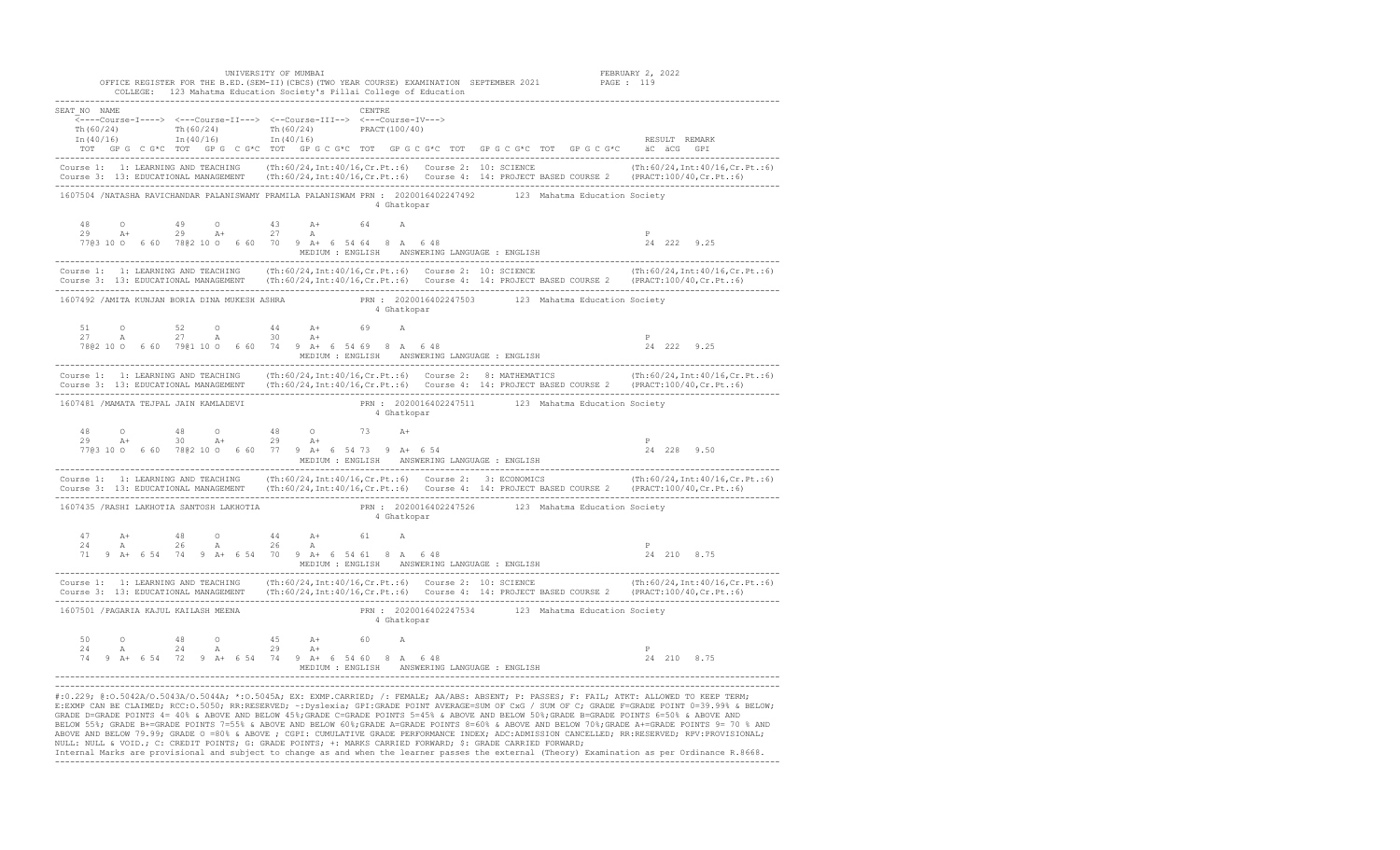|                                                                                                                                                                                  | OFFICE REGISTER FOR THE B.ED. (SEM-II) (CBCS) (TWO YEAR COURSE) EXAMINATION SEPTEMBER 2021 PAGE : 119<br>COLLEGE: 123 Mahatma Education Society's Pillai College of Education                                                                                                                                                                                                                                     |                             |  |
|----------------------------------------------------------------------------------------------------------------------------------------------------------------------------------|-------------------------------------------------------------------------------------------------------------------------------------------------------------------------------------------------------------------------------------------------------------------------------------------------------------------------------------------------------------------------------------------------------------------|-----------------------------|--|
| SEAT NO NAME<br>$\overline{\langle}\text{---Course-I--->}$ $\langle-\text{--Course-II---}\rangle$ $\langle-\text{--Course-III---}\rangle$ $\langle-\text{--Course-IV---}\rangle$ | CENTRE<br>TOT GPG CG*C TOT GPG CG*C TOT GPGCG*C TOT GPGCG*C TOT GPGCG*C TOT GPGCG*C äC äCG GPI                                                                                                                                                                                                                                                                                                                    | RESULT REMARK               |  |
|                                                                                                                                                                                  | Course 1: 1: LEARNING AND TEACHING (Th: 60/24, Int: 40/16, Cr. Pt.: 6) Course 2: 10: SCIENCE (Th: 60/24, Int: 40/16, Cr. Pt.: 6)                                                                                                                                                                                                                                                                                  |                             |  |
|                                                                                                                                                                                  | 1607504 /NATASHA RAVICHANDAR PALANISWAMY PRAMILA PALANISWAM PRN : 2020016402247492 123 Mahatma Education Society<br>4 Ghatkopar                                                                                                                                                                                                                                                                                   |                             |  |
| 48<br>$\circ$<br>49<br>$\circ$<br>$29$ $A+$<br>$29 \qquad A+$<br>77@3 10 0 6 60 78@2 10 0 6 60 70 9 A+ 6 54 64 8 A 6 48                                                          | 43<br>$A+$<br>64 A<br>27 A                                                                                                                                                                                                                                                                                                                                                                                        | $\mathbb{P}$<br>24 222 9.25 |  |
|                                                                                                                                                                                  | Course 1: 1: LEARNING AND TEACHING (Th:60/24,Int:40/16,Cr.Pt.:6) Course 2: 10: SCIENCE (Th:60/24,Int:40/16,Cr.Pt.:6)<br>Course 3: 13: EDUCATIONAL MANAGEMENT (Th:60/24,Int:40/16,Cr.Pt.:6) Course 4: 14: PROJECT BASED COURSE 2 (                                                                                                                                                                                 |                             |  |
| ------------<br>1607492 /AMITA KUNJAN BORIA DINA MUKESH ASHRA                                                                                                                    | PRN : 2020016402247503 123 Mahatma Education Society<br>4 Ghatkopar                                                                                                                                                                                                                                                                                                                                               |                             |  |
| 51<br>$\Omega$<br>A 27 A 30 A+<br>27 —<br>78@2 10 0 6 60 79@1 10 0 6 60 74 9 A+ 6 54 69 8 A 6 48                                                                                 | 52 0 44 A+ 69 A                                                                                                                                                                                                                                                                                                                                                                                                   | $\mathbb{P}$<br>24 222 9.25 |  |
|                                                                                                                                                                                  | Course 1: 1: LEARNING AND TEACHING (Th:60/24, Int:40/16, Cr. Pt.:6) Course 2: 8: MATHEMATICS (Th:60/24, Int:40/16, Cr. Pt.:6)<br>Course 1: 13: EDUCATIONAL MANAGEMENT (Th:60/24,Int:40/16,Cr.Pt.:6) Course 4: 14: PROJECT BASED COURSE 2 (PRACT:100/40,Cr.Pt.:6)                                                                                                                                                  |                             |  |
| 1607481 /MAMATA TEJPAL JAIN KAMLADEVI                                                                                                                                            | PRN : 2020016402247511 123 Mahatma Education Society<br>4 Ghatkopar                                                                                                                                                                                                                                                                                                                                               |                             |  |
| $\circ$ $\circ$<br>$\overline{O}$ and $\overline{O}$ and $\overline{O}$<br>48<br>48<br>$30 \overline{A}$ +<br>29 A+<br>77@3 10 0 6 60 78@2 10 0 6 60 77 9 A+ 6 54 73 9 A+ 6 54   | 48 0 73 A+<br>$29$ $A+$                                                                                                                                                                                                                                                                                                                                                                                           | $_{\rm P}$<br>24 228 9.50   |  |
|                                                                                                                                                                                  | $\texttt{Course 1: LEARNING AND TEACHING} \hspace{1.5cm} (\texttt{Th:60/24, Int:40/16, Cr.Ft.:6}) \hspace{1.5cm} \texttt{Course 2: } 3: ECONOMICS \hspace{1.5cm} (\texttt{Th:60/24, Int:40/16, Cr.Ft.:6}) \hspace{1.5cm} (\texttt{Course 3: } 13: EDCATIONAL MANASEMENT \hspace{1.5cm} (\texttt{Th:60/24, Int:40/16, Cr.Ft.:6}) \hspace{1.5cm} (\texttt{Course 4: } 14: PROJECT BASED COURSE 2 \hspace{1.5cm} (\$ |                             |  |
| 1607435 /RASHI LAKHOTIA SANTOSH LAKHOTIA<br>PRN : 2020016402247526 123 Mahatma Education Society<br>4 Ghatkopar                                                                  |                                                                                                                                                                                                                                                                                                                                                                                                                   |                             |  |
| A+ 48 0 44 A+ 61 A<br>A 26 A 26 A<br>47<br>24                                                                                                                                    | 71 9 A+ 6 54 74 9 A+ 6 54 70 9 A+ 6 54 61 8 A 6 48<br>MEDIUM : ENGLISH ANSWERING LANGUAGE : ENGLISH                                                                                                                                                                                                                                                                                                               | P<br>24 210 8.75            |  |
|                                                                                                                                                                                  | Course 1: 1: LEARNING AND TEACHING (Th:60/24,Int:40/16,Cr.Pt.:6) Course 2: 10: SCIENCE (Th:60/24,Int:40/16,Cr.Pt.:6)<br>Course 3: 13: EDUCATIONAL MANAGEMENT (Th:60/24,Int:40/16,Cr.Pt.:6) Course 4: 14: PROJECT BASED COURSE 2 (                                                                                                                                                                                 |                             |  |
| 1607501 / PAGARIA KAJUL KAILASH MEENA                                                                                                                                            | PRN : 2020016402247534 123 Mahatma Education Society<br>4 Ghatkopar                                                                                                                                                                                                                                                                                                                                               |                             |  |
| 50<br>$\Omega$<br>48<br>$\Omega$<br>$24$ A $29$ A+<br>24<br>A<br>74 9 A+ 6 54 72 9 A+ 6 54 74 9 A+ 6 54 60 8 A 6 48                                                              | $45$ $A+$<br>60<br>$\overline{A}$<br>MEDIUM : ENGLISH ANSWERING LANGUAGE : ENGLISH                                                                                                                                                                                                                                                                                                                                | $\mathbb{P}$<br>24 210 8.75 |  |

#:0.229; @:O.5042A/O.5043A/O.5044A; \*:O.5045A; EX: EXMP.CARRIED; /: FEMALE; AA/ABS: ABSENT; P: PASSES; F: FAIL; ATKT: ALLOWED TO KEEP TERM; E:EXMP CAN BE CLAIMED; RCC:O.5050; RR:RESERVED; ~:Dyslexia; GPI:GRADE POINT AVERAGE=SUM OF CxG / SUM OF C; GRADE F=GRADE POINT 0=39.99% & BELOW; GRADE D=GRADE POINTS 4= 40% & ABOVE AND BELOW 45%;GRADE C=GRADE POINTS 5=45% & ABOVE AND BELOW 50%;GRADE B=GRADE POINTS 6=50% & ABOVE AND<br>BELOW 55%; GRADE B+=GRADE POINTS 7=55% & ABOVE AND BELOW 60%;GRADE A=GRADE POINTS 8= ABOVE AND BELOW 79.99; GRADE O =80% & ABOVE ; CGPI: CUMULATIVE GRADE PERFORMANCE INDEX; ADC:ADMISSION CANCELLED; RR:RESERVED; RPV:PROVISIONAL; NULL: NULL & VOID.; C: CREDIT POINTS; G: GRADE POINTS; +: MARKS CARRIED FORWARD; \$: GRADE CARRIED FORWARD;

-------------------------------------------------------------------------------------------------------------------------------------------------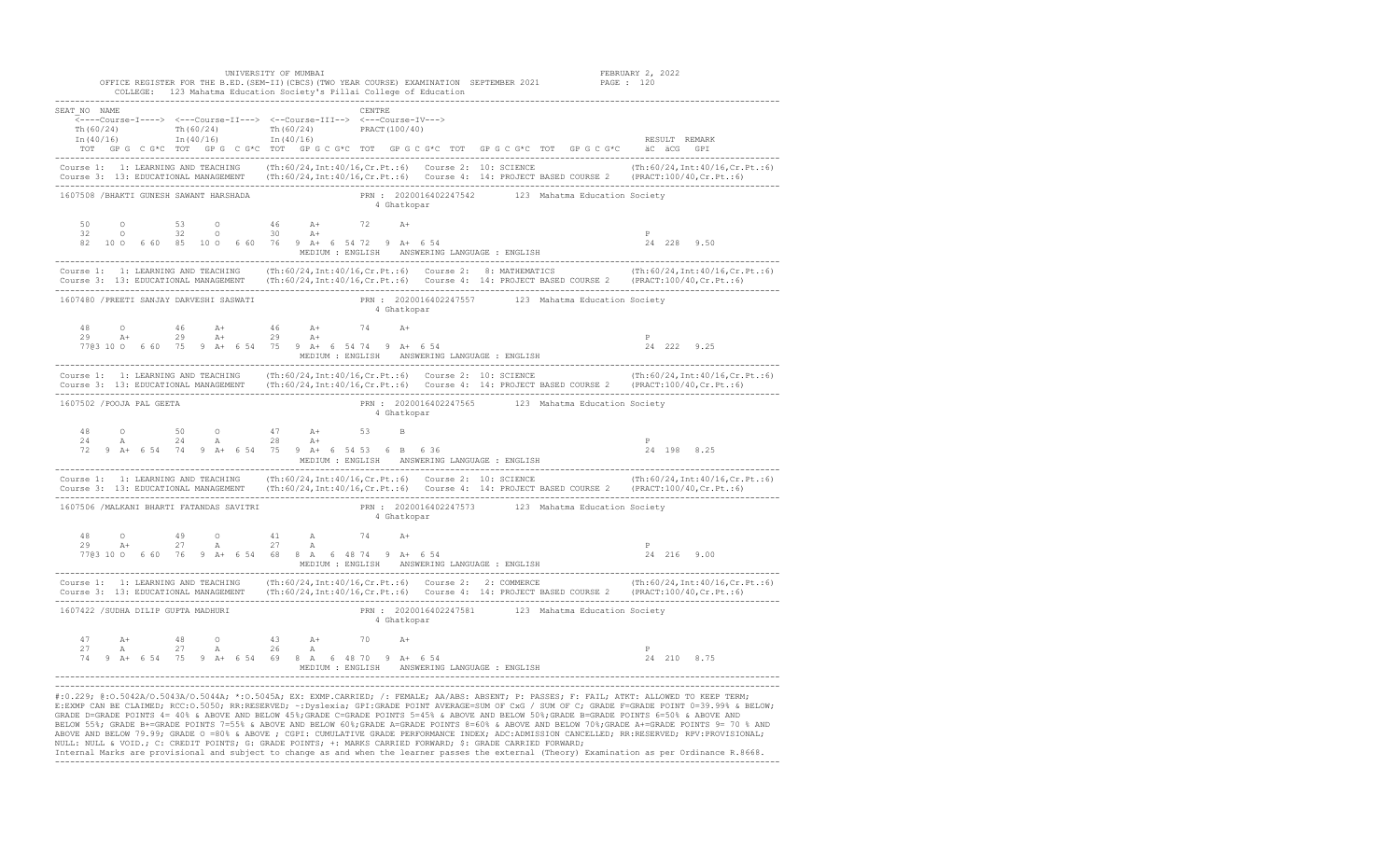|                                                                                                                              | OFFICE REGISTER FOR THE B.ED. (SEM-II) (CBCS) (TWO YEAR COURSE) EXAMINATION SEPTEMBER 2021 PAGE : 120<br>COLLEGE: 123 Mahatma Education Society's Pillai College of Education                                                                                                                                                                                                                   |                             |
|------------------------------------------------------------------------------------------------------------------------------|-------------------------------------------------------------------------------------------------------------------------------------------------------------------------------------------------------------------------------------------------------------------------------------------------------------------------------------------------------------------------------------------------|-----------------------------|
| SEAT NO NAME<br><----Course-I----> <---Course-II---> <--Course-III--> <---Course-IV--->                                      | CENTRE<br>TOT GPG C G*C TOT GPG C G*C TOT GPG C G*C TOT GPG C G*C TOT GPG C G*C TOT GPG C G*C aC aCG GPI                                                                                                                                                                                                                                                                                        | RESULT REMARK               |
|                                                                                                                              | Course 1: 1: LEARNING AND TEACHING (Th:60/24, Int:40/16, Cr. Pt.:6) Course 2: 10: SCIENCE (Th:60/24, Int:40/16, Cr. Pt.:6)<br>Course 3: 13: EDUCATIONAL MANAGEMENT (Th:60/24, Int:40/16, Cr. Pt.:6) Course 4: 14: PROJECT BASED COURSE 2 (PRACT:100/40, Cr. Pt.:6)                                                                                                                              |                             |
| 1607508 / BHAKTI GUNESH SAWANT HARSHADA                                                                                      | PRN: 2020016402247542 123 Mahatma Education Society<br>4 Ghatkopar                                                                                                                                                                                                                                                                                                                              |                             |
| $\circ$<br>$53$ 0<br>50<br>32<br>32 0<br>$\overline{O}$                                                                      | $46$ $A+$ $72$ $A+$<br>$30 \overline{A}$ +                                                                                                                                                                                                                                                                                                                                                      | $_{\rm P}$<br>24 228 9.50   |
|                                                                                                                              | Course 1: 1: LEARNING AND TEACHING (Th:60/24,Int:40/16,Cr.Pt.:6) Course 2: 8: MATHEMATICS (Th:60/24,Int:40/16,Cr.Pt.:6)<br>Course 3: 13: EDUCATIONAL MANAGEMENT (Th:60/24,Int:40/16,Cr.Pt.:6) Course 4: 14: PROJECT BASED COURSE                                                                                                                                                                |                             |
| 1607480 / PREETI SANJAY DARVESHI SASWATI                                                                                     | PRN : 2020016402247557 123 Mahatma Education Society<br>4 Ghatkopar                                                                                                                                                                                                                                                                                                                             |                             |
| 48<br>$\Omega$<br>$29 \qquad A+$<br>$29$ $A+$<br>77@3 10 O 6 60 75 9 A+ 6 54 75 9 A+ 6 54 74 9 A+ 6 54                       | 46 $A+$ 46 $A+$ 74 $A+$<br>$29$ $A+$                                                                                                                                                                                                                                                                                                                                                            | P<br>24 222 9.25            |
|                                                                                                                              | Course 1: 1: LEARNING AND TEACHING (Th:60/24,Int:40/16,Cr.Pt.:6) Course 2: 10: SCIENCE (Th:60/24,Int:40/16,Cr.Pt.:6)<br>Course 3: 13: EDUCATIONAL MANAGEMENT (Th:60/24,Int:40/16,Cr.Pt.:6) Course 4: 14: PROJECT BASED COURSE 2 (                                                                                                                                                               |                             |
| PRN : 2020016402247565 123 Mahatma Education Society<br>1607502 / POOJA PAL GEETA<br>4 Ghatkopar                             |                                                                                                                                                                                                                                                                                                                                                                                                 |                             |
| $\overline{O}$ and $\overline{O}$ and $\overline{O}$ and $\overline{O}$<br>48<br>$\circ$<br>50<br>A 24 A<br>24               | $47$ A+<br>53 B<br>$28$ $A+$<br>72 9 A+ 6 54 74 9 A+ 6 54 75 9 A+ 6 54 53 6 B 6 36<br>$\frac{1}{2}$ . $\frac{1}{2}$ . $\frac{1}{2}$ . $\frac{1}{2}$ . $\frac{1}{2}$ . $\frac{1}{2}$ . $\frac{1}{2}$ . $\frac{1}{2}$ . $\frac{1}{2}$ . $\frac{1}{2}$ . $\frac{1}{2}$ . $\frac{1}{2}$ . $\frac{1}{2}$ . $\frac{1}{2}$ . $\frac{1}{2}$ . $\frac{1}{2}$ . $\frac{1}{2}$ . $\frac{1}{2}$ . $\frac{1$ | P<br>24 198 8.25            |
|                                                                                                                              | Course 1: 1: LEARNING AND TEACHING (Th:60/24,Int:40/16,Cr.Pt.:6) Course 2: 10: SCIENCE (Th:60/24,Int:40/16,Cr.Pt.:6)<br>Course 3: 13: EDUCATIONAL MANAGEMENT (Th:60/24,Int:40/16,Cr.Pt.:6) Course 4: 14: PROJECT BASED COURSE 2 (                                                                                                                                                               |                             |
| 1607506 /MALKANI BHARTI FATANDAS SAVITRI<br>PRN : 2020016402247573 123 Mahatma Education Society<br>4 Ghatkopar              |                                                                                                                                                                                                                                                                                                                                                                                                 |                             |
| 48<br>$\Omega$<br>29<br>$A+$                                                                                                 | $\begin{array}{cccccccccc} 49 & & \text{O} & & & 41 & & \text{A} & & & 74 & & \text{A+} \\ 27 & & \text{A} & & & 27 & & \text{A} & & & & \end{array}$<br>77@3 10 O 6 60 76 9 A+ 6 54 68 8 A 6 48 74 9 A+ 6 54                                                                                                                                                                                   | $\mathbb{P}$<br>24 216 9.00 |
|                                                                                                                              | Course 1: 1: LEARNING AND TEACHING (Th:60/24,Int:40/16,Cr.Pt.:6) Course 2: 2: COMMERCE (Th:60/24,Int:40/16,Cr<br>Course 3: 13: EDUCATIONAL MANAGEMENT (Th:60/24,Int:40/16,Cr.Pt.:6) Course 4: 14: PROJECT BASED COURSE 2 (PRACT:1                                                                                                                                                               |                             |
| 1607422 / SUDHA DILIP GUPTA MADHURI                                                                                          | PRN: 2020016402247581 123 Mahatma Education Society<br>4 Ghatkopar                                                                                                                                                                                                                                                                                                                              |                             |
| 47<br>48<br>$\circ$ $\circ$<br>$A +$<br>27 A 26 A<br>27<br>$A$ and $A$<br>74 9 A+ 6 54 75 9 A+ 6 54 69 8 A 6 48 70 9 A+ 6 54 | 43 A+<br>70 —<br>$A+$<br>MEDIUM : ENGLISH ANSWERING LANGUAGE : ENGLISH                                                                                                                                                                                                                                                                                                                          | $\, {\bf P}$<br>24 210 8.75 |

#:0.229; @:O.5042A/O.5043A/O.5044A; \*:O.5045A; EX: EXMP.CARRIED; /: FEMALE; AA/ABS: ABSENT; P: PASSES; F: FAIL; ATKT: ALLOWED TO KEEP TERM; E:EXMP CAN BE CLAIMED; RCC:O.5050; RR:RESERVED; ~:Dyslexia; GPI:GRADE POINT AVERAGE=SUM OF CxG / SUM OF C; GRADE F=GRADE POINT 0=39.99% & BELOW; GRADE D=GRADE POINTS 4= 40% & ABOVE AND BELOW 45%;GRADE C=GRADE POINTS 5=45% & ABOVE AND BELOW 50%;GRADE B=GRADE POINTS 6=50% & ABOVE AND<br>BELOW 55%; GRADE B+=GRADE POINTS 7=55% & ABOVE AND BELOW 60%;GRADE A=GRADE POINTS 8= ABOVE AND BELOW 79.99; GRADE O =80% & ABOVE ; CGPI: CUMULATIVE GRADE PERFORMANCE INDEX; ADC:ADMISSION CANCELLED; RR:RESERVED; RPV:PROVISIONAL; NULL: NULL & VOID.; C: CREDIT POINTS; G: GRADE POINTS; +: MARKS CARRIED FORWARD; \$: GRADE CARRIED FORWARD;

-------------------------------------------------------------------------------------------------------------------------------------------------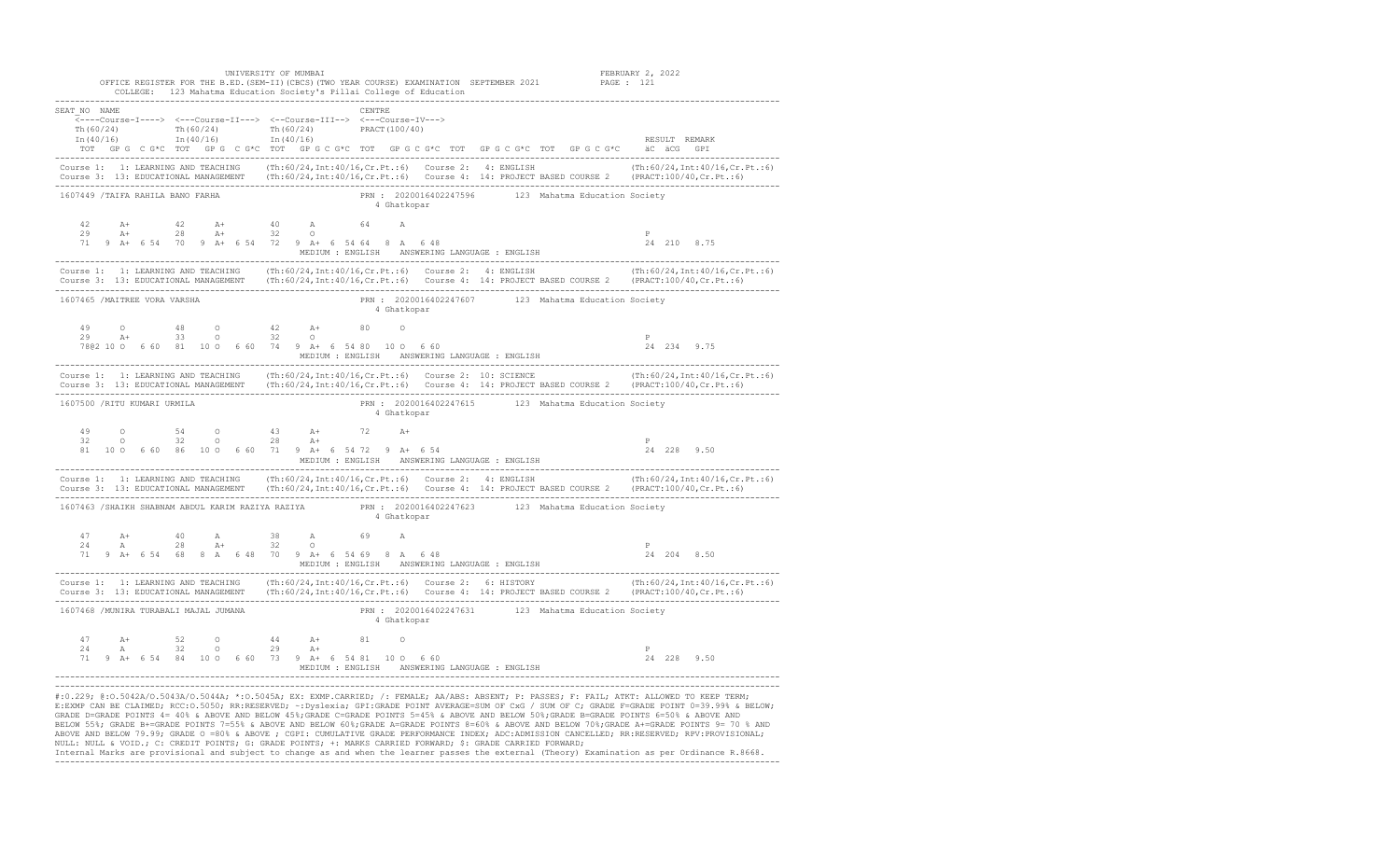|                                                                                                                                                                                                                                                                                                      | OFFICE REGISTER FOR THE B.ED. (SEM-II) (CBCS) (TWO YEAR COURSE) EXAMINATION SEPTEMBER 2021 PAGE : 121<br>COLLEGE: 123 Mahatma Education Society's Pillai College of Education                                                                                                                                        |                             |
|------------------------------------------------------------------------------------------------------------------------------------------------------------------------------------------------------------------------------------------------------------------------------------------------------|----------------------------------------------------------------------------------------------------------------------------------------------------------------------------------------------------------------------------------------------------------------------------------------------------------------------|-----------------------------|
| SEAT NO NAME<br><----Course-I----> <---Course-II---> <--Course-III--> <---Course-IV--->                                                                                                                                                                                                              | CENTRE<br>TOT GPG C G*C TOT GPG C G*C TOT GPG C G*C TOT GPG C G*C TOT GPG C G*C TOT GPG C G*C aC aCG GPI                                                                                                                                                                                                             | RESULT REMARK               |
|                                                                                                                                                                                                                                                                                                      | Course 1: 1: LEARNING AND TEACHING (Th:60/24, Int:40/16, Cr. Pt.:6) Course 2: 4: ENGLISH (Th:60/24, Int:40/16, Cr. Pt.:6)<br>Course 3: 13: EDUCATIONAL MANAGEMENT (Th:60/24, Int:40/16, Cr. Pt.:6) Course 4: 14: PROJECT BASED COURSE 2 (PRACT:100/40, Cr. Pt.:6)                                                    |                             |
| 1607449 /TAIFA RAHILA BANO FARHA                                                                                                                                                                                                                                                                     | PRN: 2020016402247596 123 Mahatma Education Society<br>4 Ghatkopar                                                                                                                                                                                                                                                   |                             |
| 42<br>$A+$<br>29 A+ 28 A+ 32 O<br>71 9 A+ 6 54 70 9 A+ 6 54 72 9 A+ 6 54 64 8 A 6 48                                                                                                                                                                                                                 | $42$ $A+$ $40$ $A$ $64$ $A$                                                                                                                                                                                                                                                                                          | $_{\rm P}$<br>24 210 8.75   |
|                                                                                                                                                                                                                                                                                                      | Course 1: 1: LEARNING AND TEACHING (Th:60/24,Int:40/16,Cr.Pt.:6) Course 2: 4: ENGLISH (Th:60/24,Int:40/16,Cr.Pt.:6)<br>Course 3: 13: EDUCATIONAL MANAGEMENT (Th:60/24,Int:40/16,Cr.Pt.:6) Course 4: 14: PROJECT BASED COURSE 2 (P                                                                                    |                             |
| 1607465 /MAITREE VORA VARSHA                                                                                                                                                                                                                                                                         | PRN : 2020016402247607 123 Mahatma Education Society<br>4 Ghatkopar                                                                                                                                                                                                                                                  |                             |
| 49<br>29<br>78@2 10 0 6 60 81 10 0 6 60 74 9 A+ 6 54 80 10 0 6 60                                                                                                                                                                                                                                    |                                                                                                                                                                                                                                                                                                                      | P<br>24 234 9.75            |
|                                                                                                                                                                                                                                                                                                      | Course 1: 1: LEARNING AND TEACHING (Th:60/24,Int:40/16,Cr.Pt.:6) Course 2: 10: SCIENCE (Th:60/24,Int:40/16,Cr.Pt.:6)<br>Course 3: 13: EDUCATIONAL MANAGEMENT (Th:60/24,Int:40/16,Cr.Pt.:6) Course 4: 14: PROJECT BASED COURSE 2 (                                                                                    |                             |
| PRN : 2020016402247615 123 Mahatma Education Society<br>1607500 /RITU KUMARI URMILA<br>4 Ghatkopar                                                                                                                                                                                                   |                                                                                                                                                                                                                                                                                                                      |                             |
| 0 54 0 43 A+<br>0 32 0 28 A+<br>49<br>32<br>81 10 0 6 60 86 10 0 6 60 71 9 A+ 6 54 72 9 A+ 6 54                                                                                                                                                                                                      | 72 A+<br>$\frac{1}{24}$ $\frac{1}{24}$ $\frac{1}{24}$ $\frac{1}{24}$ $\frac{1}{24}$ $\frac{1}{24}$ $\frac{1}{24}$ $\frac{1}{24}$ $\frac{1}{24}$ $\frac{1}{24}$ $\frac{1}{24}$ $\frac{1}{24}$ $\frac{1}{24}$ $\frac{1}{24}$ $\frac{1}{24}$ $\frac{1}{24}$ $\frac{1}{24}$ $\frac{1}{24}$ $\frac{1}{24}$ $\frac{1}{24}$ | P<br>24 228 9.50            |
|                                                                                                                                                                                                                                                                                                      | Course 1: 1: LEARNING AND TEACHING (Th:60/24,Int:40/16,Cr.Pt.:6) Course 2: 4: ENGLISH (Th:60/24,Int:40/16,Cr.Pt.:6)<br>Course 3: 13: EDUCATIONAL MANAGEMENT (Th:60/24,Int:40/16,Cr.Pt.:6) Course 4: 14: PROJECT BASED COURSE 2 (P                                                                                    |                             |
| 1607463 /SHAIKH SHABNAM ABDUL KARIM RAZIYA RAZIYA PRN: 2020016402247623 123 Mahatma Education Society<br>4 Ghatkopar                                                                                                                                                                                 |                                                                                                                                                                                                                                                                                                                      |                             |
| $\begin{array}{cccccccccccc} 47 & \quad & \text{A+} & \quad & \quad & 40 & \quad & \text{A} & \quad & \quad & 38 & \quad & \text{A} & \quad & \quad & 69 & \quad & \text{A} \\ 24 & \quad & \text{A} & \quad & \quad & 28 & \quad & \text{A+} & \quad & 32 & \quad & \text{O} & \quad & \end{array}$ | 71 9 A+ 6 54 68 8 A 6 48 70 9 A+ 6 54 69 8 A 6 48                                                                                                                                                                                                                                                                    | $\mathbb{P}$<br>24 204 8.50 |
|                                                                                                                                                                                                                                                                                                      | Course 1: 1: LEARNING AND TEACHING (Th:60/24,Int:40/16,Cr.Pt.:6) Course 2: 6: HISTORY (Th:60/24,Int:40/16,Cr.Pt<br>Course 3: 13: EDUCATIONAL MANAGEMENT (Th:60/24,Int:40/16,Cr.Pt.:6) Course 4: 14: PROJECT BASED COURSE 2 (PRACT                                                                                    |                             |
| 1607468 /MUNIRA TURABALI MAJAL JUMANA                                                                                                                                                                                                                                                                | PRN: 2020016402247631 123 Mahatma Education Society<br>4 Ghatkopar                                                                                                                                                                                                                                                   |                             |
| 47<br>52<br>$\Omega$<br>$A +$<br>32 0 29 A+<br>24<br>A<br>71 9 A+ 6 54 84 10 0 6 60 73 9 A+ 6 54 81 10 0 6 60                                                                                                                                                                                        | $44$ $A+$<br>81<br>$\circ$<br>MEDIUM : ENGLISH ANSWERING LANGUAGE : ENGLISH                                                                                                                                                                                                                                          | $\mathbb P$<br>24 228 9.50  |

#:0.229; @:O.5042A/O.5043A/O.5044A; \*:O.5045A; EX: EXMP.CARRIED; /: FEMALE; AA/ABS: ABSENT; P: PASSES; F: FAIL; ATKT: ALLOWED TO KEEP TERM; E:EXMP CAN BE CLAIMED; RCC:O.5050; RR:RESERVED; ~:Dyslexia; GPI:GRADE POINT AVERAGE=SUM OF CxG / SUM OF C; GRADE F=GRADE POINT 0=39.99% & BELOW; GRADE D=GRADE POINTS 4= 40% & ABOVE AND BELOW 45%;GRADE C=GRADE POINTS 5=45% & ABOVE AND BELOW 50%;GRADE B=GRADE POINTS 6=50% & ABOVE AND<br>BELOW 55%; GRADE B+=GRADE POINTS 7=55% & ABOVE AND BELOW 60%;GRADE A=GRADE POINTS 8= ABOVE AND BELOW 79.99; GRADE O =80% & ABOVE ; CGPI: CUMULATIVE GRADE PERFORMANCE INDEX; ADC:ADMISSION CANCELLED; RR:RESERVED; RPV:PROVISIONAL; NULL: NULL & VOID.; C: CREDIT POINTS; G: GRADE POINTS; +: MARKS CARRIED FORWARD; \$: GRADE CARRIED FORWARD;

-------------------------------------------------------------------------------------------------------------------------------------------------